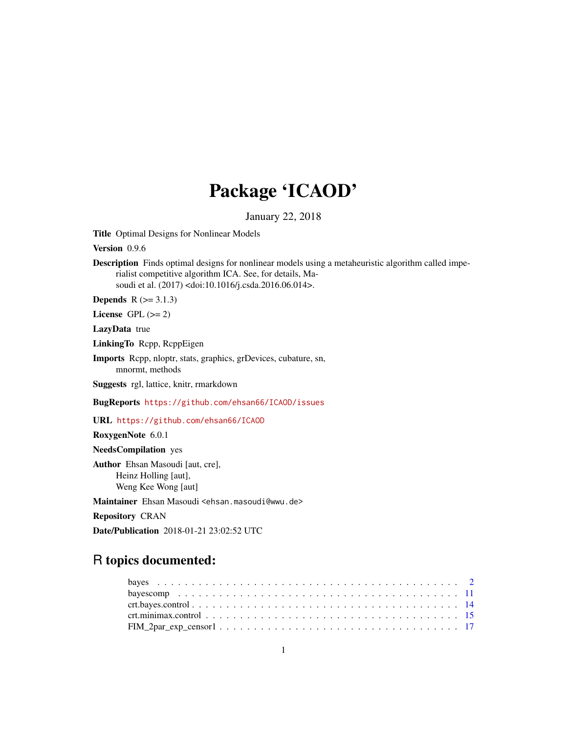# Package 'ICAOD'

January 22, 2018

<span id="page-0-0"></span>Title Optimal Designs for Nonlinear Models

Version 0.9.6

Description Finds optimal designs for nonlinear models using a metaheuristic algorithm called imperialist competitive algorithm ICA. See, for details, Masoudi et al. (2017) <doi:10.1016/j.csda.2016.06.014>.

**Depends**  $R$  ( $>= 3.1.3$ )

License GPL  $(>= 2)$ 

LazyData true

LinkingTo Rcpp, RcppEigen

Imports Rcpp, nloptr, stats, graphics, grDevices, cubature, sn, mnormt, methods

Suggests rgl, lattice, knitr, rmarkdown

BugReports <https://github.com/ehsan66/ICAOD/issues>

URL <https://github.com/ehsan66/ICAOD>

RoxygenNote 6.0.1

NeedsCompilation yes

Author Ehsan Masoudi [aut, cre], Heinz Holling [aut], Weng Kee Wong [aut]

Maintainer Ehsan Masoudi <ehsan.masoudi@wwu.de>

Repository CRAN

Date/Publication 2018-01-21 23:02:52 UTC

# R topics documented: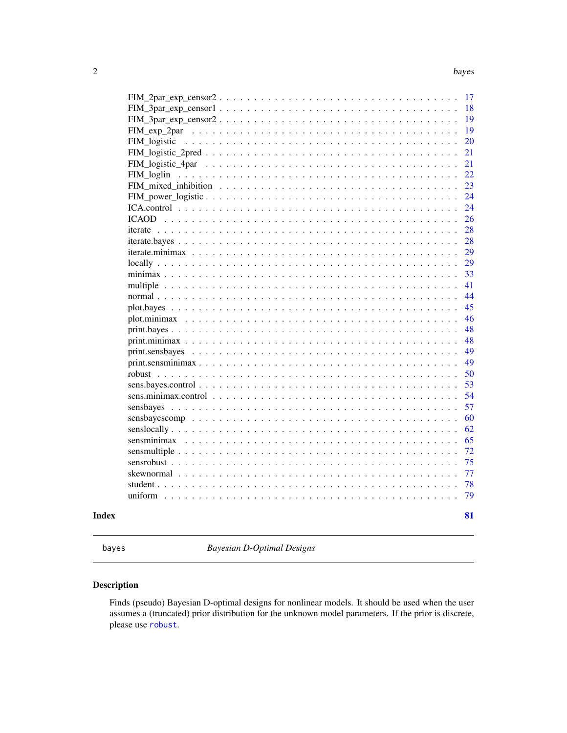<span id="page-1-0"></span>

| uniform                                |  |
|----------------------------------------|--|
| student $\ldots$ , $\ldots$ , $\ldots$ |  |
| skewnormal                             |  |
|                                        |  |
|                                        |  |
|                                        |  |
|                                        |  |
|                                        |  |
|                                        |  |
|                                        |  |
|                                        |  |
|                                        |  |
|                                        |  |
|                                        |  |
|                                        |  |
|                                        |  |
|                                        |  |
|                                        |  |
|                                        |  |
|                                        |  |
|                                        |  |
|                                        |  |
|                                        |  |
|                                        |  |
|                                        |  |
|                                        |  |
|                                        |  |
|                                        |  |
|                                        |  |
|                                        |  |
|                                        |  |
|                                        |  |
|                                        |  |
|                                        |  |
|                                        |  |
|                                        |  |

<span id="page-1-1"></span>bayes *Bayesian D-Optimal Designs*

# Description

Finds (pseudo) Bayesian D-optimal designs for nonlinear models. It should be used when the user assumes a (truncated) prior distribution for the unknown model parameters. If the prior is discrete, please use [robust](#page-49-1).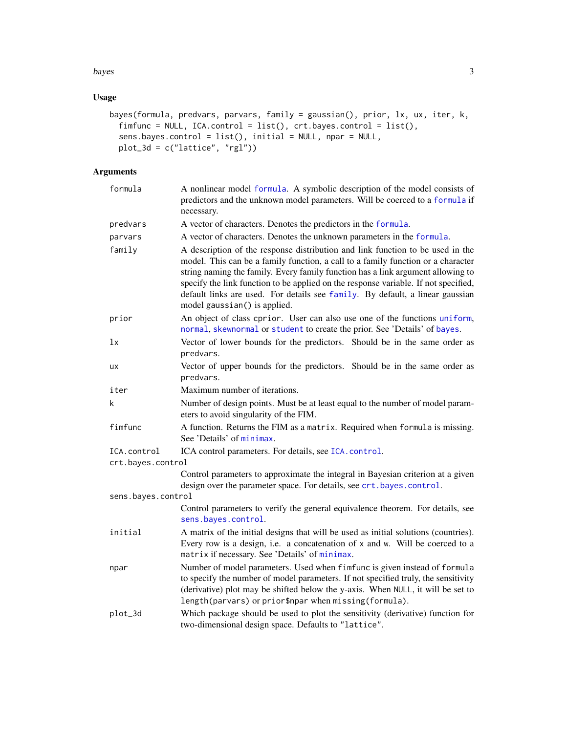#### bayes 3

# Usage

```
bayes(formula, predvars, parvars, family = gaussian(), prior, lx, ux, iter, k,
 fimfunc = NULL, ICA.control = list(), crt.bayes.control = list(),
 sens.bayes.control = list(), initial = NULL, npar = NULL,
 plot_3d = c("lattice", "rgl"))
```
# Arguments

| formula            | A nonlinear model formula. A symbolic description of the model consists of<br>predictors and the unknown model parameters. Will be coerced to a formula if<br>necessary.                                                                                                                                                                                                                                                                                      |
|--------------------|---------------------------------------------------------------------------------------------------------------------------------------------------------------------------------------------------------------------------------------------------------------------------------------------------------------------------------------------------------------------------------------------------------------------------------------------------------------|
| predvars           | A vector of characters. Denotes the predictors in the formula.                                                                                                                                                                                                                                                                                                                                                                                                |
| parvars            | A vector of characters. Denotes the unknown parameters in the formula.                                                                                                                                                                                                                                                                                                                                                                                        |
| family             | A description of the response distribution and link function to be used in the<br>model. This can be a family function, a call to a family function or a character<br>string naming the family. Every family function has a link argument allowing to<br>specify the link function to be applied on the response variable. If not specified,<br>default links are used. For details see family. By default, a linear gaussian<br>model gaussian() is applied. |
| prior              | An object of class cprior. User can also use one of the functions uniform,<br>normal, skewnormal or student to create the prior. See 'Details' of bayes.                                                                                                                                                                                                                                                                                                      |
| lx                 | Vector of lower bounds for the predictors. Should be in the same order as<br>predvars.                                                                                                                                                                                                                                                                                                                                                                        |
| ux                 | Vector of upper bounds for the predictors. Should be in the same order as<br>predvars.                                                                                                                                                                                                                                                                                                                                                                        |
| iter               | Maximum number of iterations.                                                                                                                                                                                                                                                                                                                                                                                                                                 |
| k                  | Number of design points. Must be at least equal to the number of model param-<br>eters to avoid singularity of the FIM.                                                                                                                                                                                                                                                                                                                                       |
| fimfunc            | A function. Returns the FIM as a matrix. Required when formula is missing.<br>See 'Details' of minimax.                                                                                                                                                                                                                                                                                                                                                       |
| ICA.control        | ICA control parameters. For details, see ICA. control.                                                                                                                                                                                                                                                                                                                                                                                                        |
| crt.bayes.control  |                                                                                                                                                                                                                                                                                                                                                                                                                                                               |
|                    | Control parameters to approximate the integral in Bayesian criterion at a given<br>design over the parameter space. For details, see crt.bayes.control.                                                                                                                                                                                                                                                                                                       |
| sens.bayes.control |                                                                                                                                                                                                                                                                                                                                                                                                                                                               |
|                    | Control parameters to verify the general equivalence theorem. For details, see<br>sens.bayes.control.                                                                                                                                                                                                                                                                                                                                                         |
| initial            | A matrix of the initial designs that will be used as initial solutions (countries).<br>Every row is a design, i.e. a concatenation of x and w. Will be coerced to a<br>matrix if necessary. See 'Details' of minimax.                                                                                                                                                                                                                                         |
| npar               | Number of model parameters. Used when fimfunc is given instead of formula<br>to specify the number of model parameters. If not specified truly, the sensitivity<br>(derivative) plot may be shifted below the y-axis. When NULL, it will be set to<br>length(parvars) or prior\$npar when missing(formula).                                                                                                                                                   |
| plot_3d            | Which package should be used to plot the sensitivity (derivative) function for<br>two-dimensional design space. Defaults to "lattice".                                                                                                                                                                                                                                                                                                                        |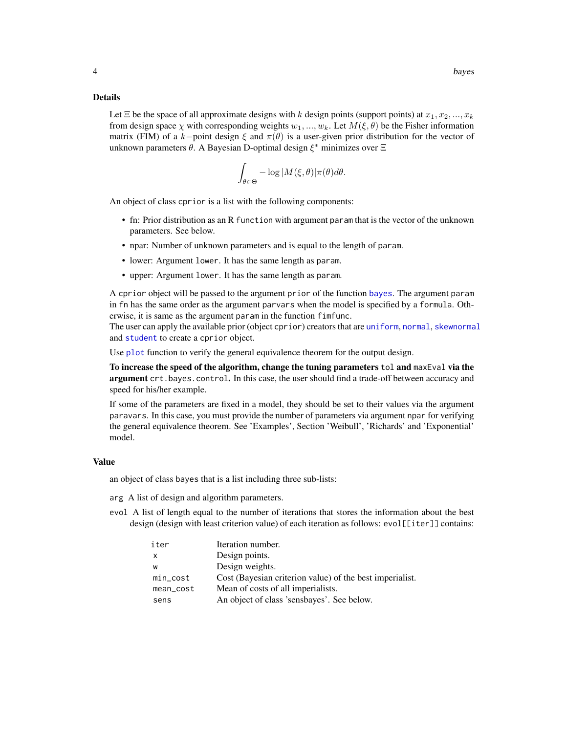#### Details

Let  $\Xi$  be the space of all approximate designs with k design points (support points) at  $x_1, x_2, ..., x_k$ from design space  $\chi$  with corresponding weights  $w_1, ..., w_k$ . Let  $M(\xi, \theta)$  be the Fisher information matrix (FIM) of a k–point design  $\xi$  and  $\pi(\theta)$  is a user-given prior distribution for the vector of unknown parameters  $\theta$ . A Bayesian D-optimal design  $\xi^*$  minimizes over  $\Xi$ 

$$
\int_{\theta \in \Theta} -\log |M(\xi, \theta)| \pi(\theta) d\theta.
$$

An object of class cprior is a list with the following components:

- fn: Prior distribution as an R function with argument param that is the vector of the unknown parameters. See below.
- npar: Number of unknown parameters and is equal to the length of param.
- lower: Argument lower. It has the same length as param.
- upper: Argument lower. It has the same length as param.

A cprior object will be passed to the argument prior of the function [bayes](#page-1-1). The argument param in fn has the same order as the argument parvars when the model is specified by a formula. Otherwise, it is same as the argument param in the function fimfunc.

The user can apply the available prior (object cprior) creators that are [uniform](#page-78-1), [normal](#page-43-1), [skewnormal](#page-76-1) and [student](#page-77-1) to create a cprior object.

Use [plot](#page-0-0) function to verify the general equivalence theorem for the output design.

To increase the speed of the algorithm, change the tuning parameters tol and maxEval via the argument crt.bayes.control. In this case, the user should find a trade-off between accuracy and speed for his/her example.

If some of the parameters are fixed in a model, they should be set to their values via the argument paravars. In this case, you must provide the number of parameters via argument npar for verifying the general equivalence theorem. See 'Examples', Section 'Weibull', 'Richards' and 'Exponential' model.

#### Value

an object of class bayes that is a list including three sub-lists:

- arg A list of design and algorithm parameters.
- evol A list of length equal to the number of iterations that stores the information about the best design (design with least criterion value) of each iteration as follows: evol[[iter]] contains:

| iter        | Iteration number.                                        |
|-------------|----------------------------------------------------------|
| x           | Design points.                                           |
| w           | Design weights.                                          |
| $min\_cost$ | Cost (Bayesian criterion value) of the best imperialist. |
| mean_cost   | Mean of costs of all imperialists.                       |
| sens        | An object of class 'sensbayes'. See below.               |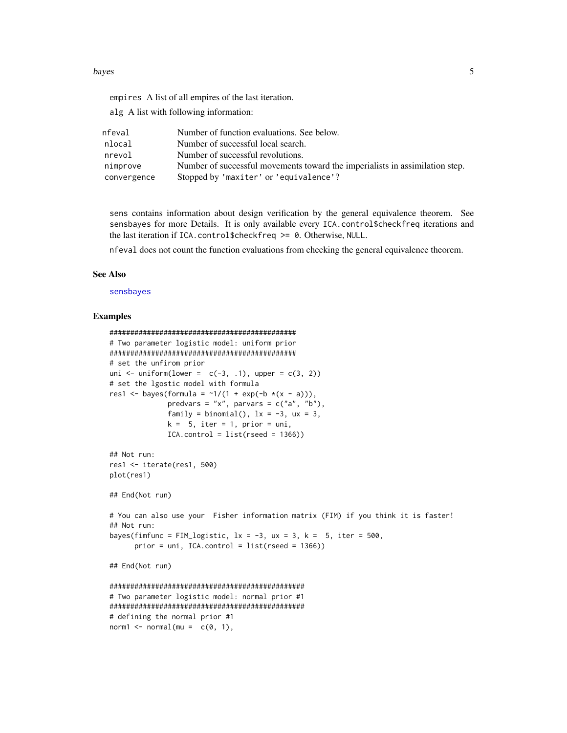#### bayes 5

empires A list of all empires of the last iteration.

alg A list with following information:

| nfeval      | Number of function evaluations. See below.                                   |
|-------------|------------------------------------------------------------------------------|
| nlocal      | Number of successful local search.                                           |
| nrevol      | Number of successful revolutions.                                            |
| nimprove    | Number of successful movements toward the imperialists in assimilation step. |
| convergence | Stopped by 'maxiter' or 'equivalence'?                                       |

sens contains information about design verification by the general equivalence theorem. See sensbayes for more Details. It is only available every ICA.control\$checkfreq iterations and the last iteration if ICA.control\$checkfreq >= 0. Otherwise, NULL.

nfeval does not count the function evaluations from checking the general equivalence theorem.

#### See Also

[sensbayes](#page-56-1)

#### Examples

```
#############################################
# Two parameter logistic model: uniform prior
#############################################
# set the unfirom prior
uni \le- uniform(lower = c(-3, .1), upper = c(3, 2))
# set the lgostic model with formula
res1 <- bayes(formula = \sim 1/(1 + \exp(-b \times (x - a))),
              predvars = "x", parvars = c("a", "b"),
              family = binomial(), 1x = -3, ux = 3,
              k = 5, iter = 1, prior = uni,
              ICA.control = list(rseed = 1366)## Not run:
res1 <- iterate(res1, 500)
plot(res1)
## End(Not run)
# You can also use your Fisher information matrix (FIM) if you think it is faster!
## Not run:
bayes(fimfunc = FIM_logistic, lx = -3, ux = 3, k = 5, iter = 500,
      prior = uni, ICA.control = list(rseed = 1366))
## End(Not run)
###############################################
# Two parameter logistic model: normal prior #1
###############################################
# defining the normal prior #1
norm1 \leq normal(mu = c(0, 1),
```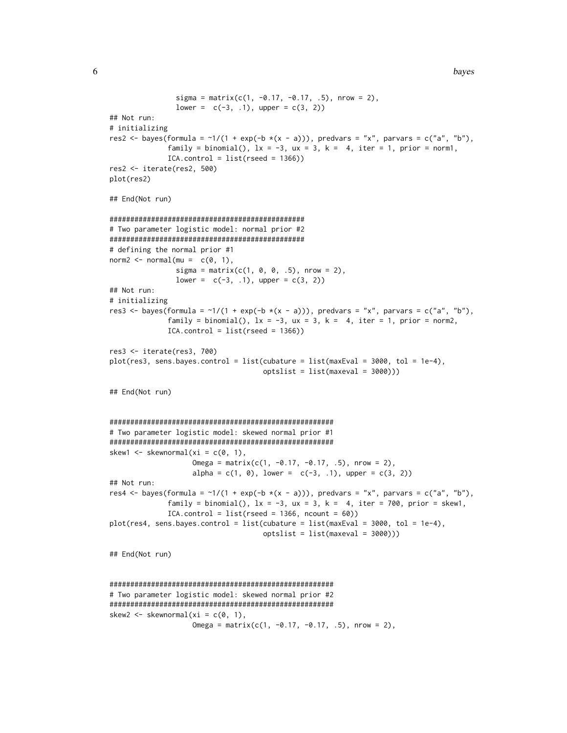```
sigma = matrix(c(1, -0.17, -0.17, .5), nrow = 2),
                lower = c(-3, 1), upper = c(3, 2)## Not run:
# initializing
res2 <- bayes(formula = \sim 1/(1 + \exp(-b \times (x - a))), predvars = "x", parvars = c("a", "b"),
              family = binomial(), lx = -3, ux = 3, k = 4, iter = 1, prior = norm1,
              ICA.contrib = list(rseed = 1366)res2 <- iterate(res2, 500)
plot(res2)
## End(Not run)
###############################################
# Two parameter logistic model: normal prior #2
###############################################
# defining the normal prior #1
norm2 < - normal(m = c(0, 1),sigma = matrix(c(1, 0, 0, .5), nrow = 2),lower = c(-3, .1), upper = c(3, 2)## Not run:
# initializing
res3 <- bayes(formula = \gamma1/(1 + exp(-b \star(x - a))), predvars = "x", parvars = c("a", "b"),
              family = binomial(), lx = -3, ux = 3, k = 4, iter = 1, prior = norm2,
              ICA.control = list(rseed = 1366))
res3 <- iterate(res3, 700)
plot(res3, sens.bayes.control = list(cubature = list(maxEval = 3000, tol = 1e-4),
                                     optslist = list(maxeval = 3000)))
## End(Not run)
######################################################
# Two parameter logistic model: skewed normal prior #1
######################################################
skew1 <- skewnormal(xi = c(0, 1),
                    Omega = matrix(c(1, -0.17, -0.17, .5), nrow = 2),
                    alpha = c(1, 0), lower = c(-3, .1), upper = c(3, 2))## Not run:
res4 <- bayes(formula = \sim 1/(1 + \exp(-b \times (x - a))), predvars = "x", parvars = c("a", "b"),
              family = binomial(), lx = -3, ux = 3, k = 4, iter = 700, prior = skew1,
              ICA.control = list(rseed = 1366, ncount = 60)plot(res4, sens.bayes.control = list(cubature = list(maxEval = 3000, tol = 1e-4),
                                     optslist = list(maxeval = 3000)))
## End(Not run)
######################################################
# Two parameter logistic model: skewed normal prior #2
```

```
######################################################
skew2 <- skewnormal(xi = c(0, 1),
                    Omega = matrix(c(1, -0.17, -0.17, .5), nrow = 2),
```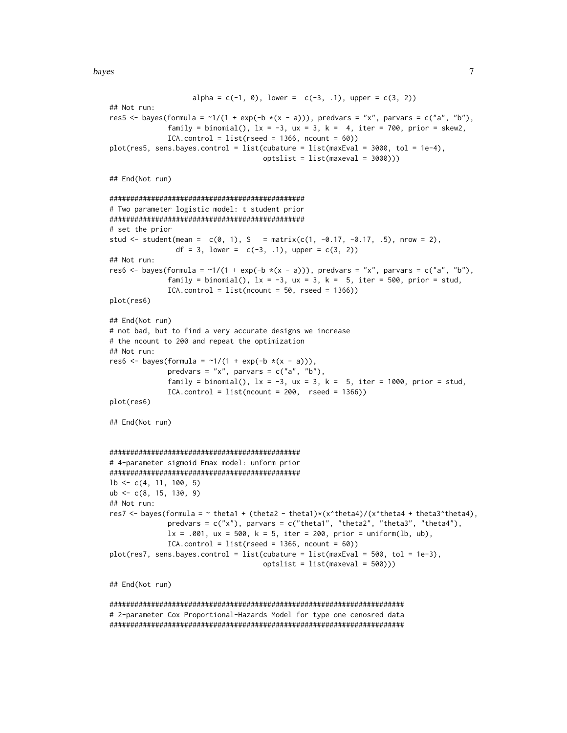```
alpha = c(-1, 0), lower = c(-3, 1), upper = c(3, 2))
## Not run:
res5 <- bayes(formula = \sim 1/(1 + \exp(-b \times (x - a))), predvars = "x", parvars = c("a", "b"),
              family = binomial(), lx = -3, ux = 3, k = 4, iter = 700, prior = skew2,
              ICA.contrib = list(rseed = 1366, ncount = 60)plot(res5, sens.bayes.control = list(cubature = list(maxEval = 3000, tol = 1e-4),
                                     optslist = list(maxeval = 3000)))
## End(Not run)
###############################################
# Two parameter logistic model: t student prior
###############################################
# set the prior
stud <- student(mean = c(0, 1), S = matrix(c(1, -0.17, -0.17, .5), nrow = 2),
                df = 3, lower = c(-3, 1), upper = c(3, 2))
## Not run:
res6 <- bayes(formula = \sim 1/(1 + \exp(-b \times (x - a))), predvars = "x", parvars = c("a", "b"),
              family = binomial(), lx = -3, ux = 3, k = 5, iter = 500, prior = stud,
              ICA.control = list(ncount = 50, \text{rseed} = 1366)plot(res6)
## End(Not run)
# not bad, but to find a very accurate designs we increase
# the ncount to 200 and repeat the optimization
## Not run:
res6 <- bayes(formula = \sim 1/(1 + \exp(-b \times (x - a))),
              predvars = "x", parvars = c("a", "b"),
              family = binomial(), lx = -3, ux = 3, k = 5, iter = 1000, prior = stud,
              ICA.contrib = list(ncount = 200, rseed = 1366)plot(res6)
## End(Not run)
##############################################
# 4-parameter sigmoid Emax model: unform prior
##############################################
1b \leftarrow c(4, 11, 100, 5)ub \leq c(8, 15, 130, 9)## Not run:
res7 <- bayes(formula = \sim theta1 + (theta2 - theta1)*(x^theta4)/(x^theta4 + theta3^theta4),
              predvars = c("x"), parvars = c("theta1", "theta2", "theta3", "theta44"),
              lx = .001, ux = 500, k = 5, iter = 200, prior = uniform(lb, ub),
              ICA-control = list(rseed = 1366, ncount = 60)plot(res7, sens.bayes.control = list(cubature = list(maxEval = 500, tol = 1e-3),
                                      optslist = list(maxeval = 500)))
## End(Not run)
```
####################################################################### # 2-parameter Cox Proportional-Hazards Model for type one cenosred data #######################################################################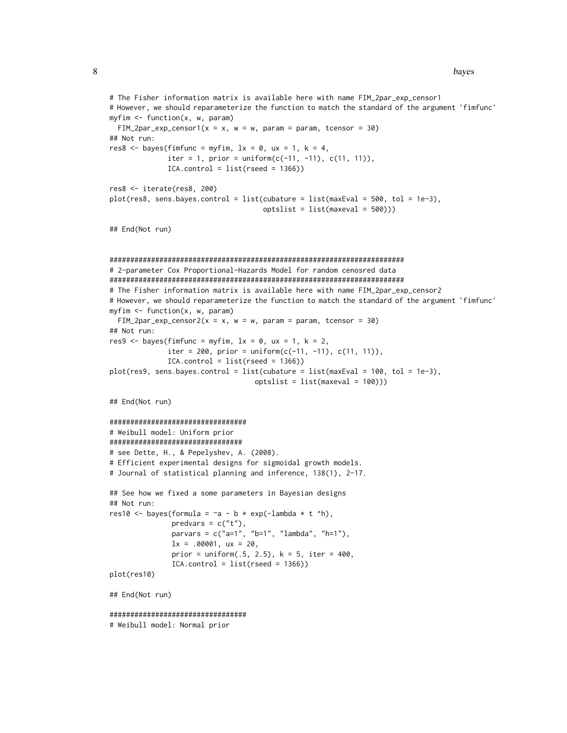8 bayes are seen to be a set of the set of the set of the set of the set of the set of the set of the set of the set of the set of the set of the set of the set of the set of the set of the set of the set of the set of the

```
# The Fisher information matrix is available here with name FIM_2par_exp_censor1
# However, we should reparameterize the function to match the standard of the argument 'fimfunc'
myfin < - function(x, w, param)FIM_2par_exp_censor1(x = x, w = w, param = param, tcensor = 30)
## Not run:
res8 \leq bayes(fimfunc = myfim, lx = 0, ux = 1, k = 4,
              iter = 1, prior = uniform(c(-11, -11), c(11, 11)),
              ICA.control = list(rseed = 1366))
res8 <- iterate(res8, 200)
plot(res8, sens.bayes.control = list(cubature = list(maxEval = 500, tol = 1e-3),
                                     optslist = list(maxeval = 500)))
## End(Not run)
#######################################################################
# 2-parameter Cox Proportional-Hazards Model for random cenosred data
#######################################################################
# The Fisher information matrix is available here with name FIM_2par_exp_censor2
# However, we should reparameterize the function to match the standard of the argument 'fimfunc'
myfin < - function(x, w, param)FIM_2par_exp_censor2(x = x, w = w, param = param, tcensor = 30)
## Not run:
res9 <- bayes(fimfunc = myfim, lx = 0, ux = 1, k = 2,
              iter = 200, prior = uniform(c(-11, -11), c(11, 11)),
              ICA.contrib = list(rseed = 1366))plot(res9, sens.bayes.control = list(cubature = list(maxEval = 100, tol = 1e-3),
                                   optslist = list(maxeval = 100)))
## End(Not run)
#################################
# Weibull model: Uniform prior
################################
# see Dette, H., & Pepelyshev, A. (2008).
# Efficient experimental designs for sigmoidal growth models.
# Journal of statistical planning and inference, 138(1), 2-17.
## See how we fixed a some parameters in Bayesian designs
## Not run:
res10 <- bayes(formula = -a - b * exp(-\text{lambda} * t ^{h}),predvars = c("t"),
               parvars = c("a=1", "b=1", "lambda", "h=1"),
               lx = .00001, ux = 20,
               prior = uniform(.5, 2.5), k = 5, iter = 400,ICA.contrib = list(resed = 1366)plot(res10)
## End(Not run)
#################################
# Weibull model: Normal prior
```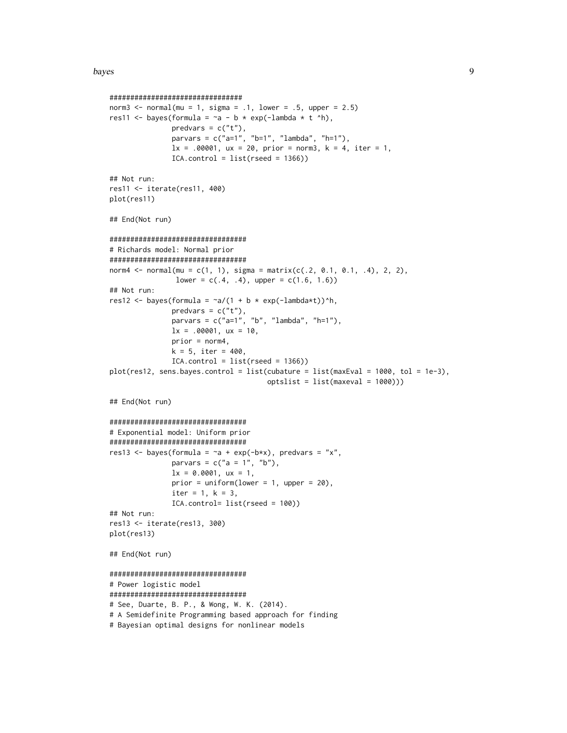#### bayes **9**

```
################################
norm3 \le normal(mu = 1, sigma = .1, lower = .5, upper = 2.5)
res11 <- bayes(formula = -a - b * exp(-\text{lambda} * t ^h),
               predvars = c("t"),
               parvars = c("a=1", "b=1", "lambda", "h=1", "h=1"lx = .00001, ux = 20, prior = norm3, k = 4, iter = 1,
               ICA.control = list(rseed = 1366)## Not run:
res11 <- iterate(res11, 400)
plot(res11)
## End(Not run)
#################################
# Richards model: Normal prior
#################################
norm4 <- normal(mu = c(1, 1), sigma = matrix(c(.2, 0.1, 0.1, .4), 2, 2),
                lower = c(.4, .4), upper = c(1.6, 1.6))## Not run:
res12 <- bayes(formula = -a/(1 + b * exp(-\text{lambda}*t))^h,
               predvars = c("t"),
               parvars = c("a=1", "b", "lambda", "h=1"),
               lx = .00001, ux = 10,
               prior = norm4,
               k = 5, iter = 400,
               ICA.contrib = list(rseed = 1366)plot(res12, sens.bayes.control = list(cubature = list(maxEval = 1000, tol = 1e-3),
                                       optslist = list(maxeval = 1000)))
## End(Not run)
#################################
# Exponential model: Uniform prior
#################################
res13 <- bayes(formula = \sima + exp(-b*x), predvars = "x",
               parvars = c("a = 1", "b"),
               lx = 0.0001, ux = 1,
               prior = uniform(lower = 1, upper = 20),
               iter = 1, k = 3,ICA.control= list(rseed = 100))
## Not run:
res13 <- iterate(res13, 300)
plot(res13)
## End(Not run)
#################################
# Power logistic model
#################################
# See, Duarte, B. P., & Wong, W. K. (2014).
# A Semidefinite Programming based approach for finding
# Bayesian optimal designs for nonlinear models
```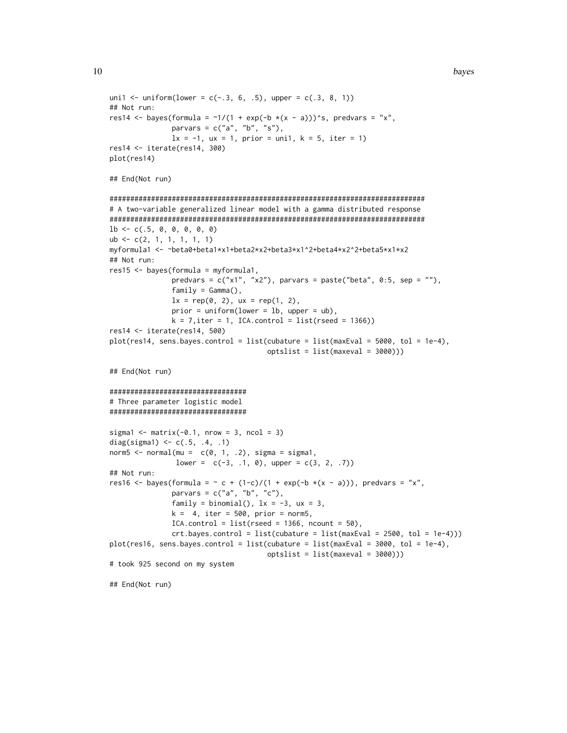```
uni1 <- uniform(lower = c(-.3, 6, .5), upper = c(.3, 8, 1))
## Not run:
res14 <- bayes(formula = \gamma1/(1 + exp(-b *(x - a)))^s, predvars = "x",
               parvars = c("a", "b", "s"),
               lx = -1, ux = 1, prior = uni1, k = 5, iter = 1)
res14 <- iterate(res14, 300)
plot(res14)
## End(Not run)
############################################################################
# A two-variable generalized linear model with a gamma distributed response
############################################################################
1b \leftarrow c(.5, 0, 0, 0, 0, 0)ub <- c(2, 1, 1, 1, 1, 1)
myformula1 <- ~beta0+beta1*x1+beta2*x2+beta3*x1^2+beta4*x2^2+beta5*x1*x2
## Not run:
res15 <- bayes(formula = myformula1,
               predvars = c("x1", "x2"), parvars = paste("beta", 0:5, sep = ""),
               family = Gamma(),
               lx = rep(0, 2), ux = rep(1, 2),prior = uniform(lower = lb, upper = ub),
               k = 7, iter = 1, ICA.control = list(rseed = 1366))
res14 <- iterate(res14, 500)
plot(res14, sens.bayes.control = list(cubature = list(maxEval = 5000, tol = 1e-4),
                                      optslist = list(maxeval = 3000)))
## End(Not run)
#################################
# Three parameter logistic model
#################################
sigmal \leq matrix(-0.1, nrow = 3, ncol = 3)
diag(sigma1) <- c(.5, .4, .1)norm5 \le normal(mu = c(0, 1, .2), sigma = sigma1,
                lower = c(-3, 1, 0), upper = c(3, 2, .7))## Not run:
res16 <- bayes(formula = \sim c + (1-c)/(1 + exp(-b *(x - a))), predvars = "x",
               parvars = c("a", "b", "c"),family = binomial(), 1x = -3, ux = 3,
               k = 4, iter = 500, prior = norm5,
               ICA.contrib = list(rseed = 1366, ncount = 50),crt.bayes.contrib = list(cubature = list(maxEval = 2500, tol = 1e-4)))plot(res16, sens.bayes.control = list(cubature = list(maxEval = 3000, tol = 1e-4),
                                      optslist = list(maxeval = 3000)))
# took 925 second on my system
## End(Not run)
```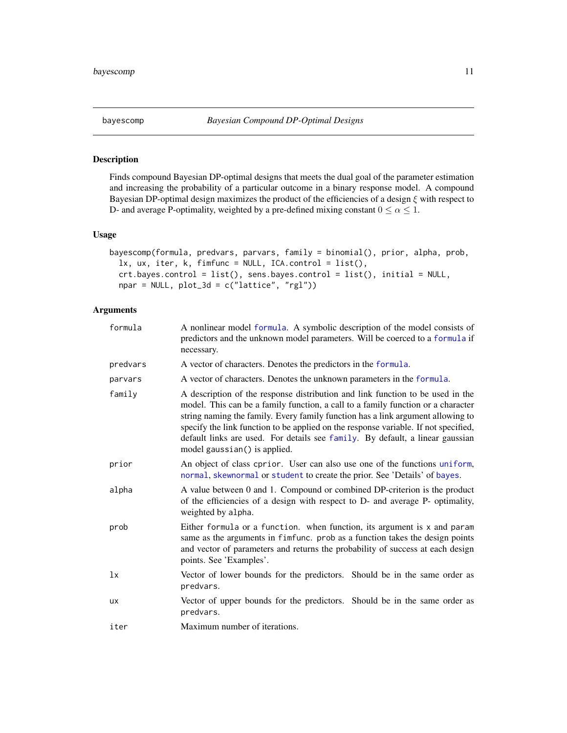<span id="page-10-1"></span><span id="page-10-0"></span>

# Description

Finds compound Bayesian DP-optimal designs that meets the dual goal of the parameter estimation and increasing the probability of a particular outcome in a binary response model. A compound Bayesian DP-optimal design maximizes the product of the efficiencies of a design ξ with respect to D- and average P-optimality, weighted by a pre-defined mixing constant  $0 \le \alpha \le 1$ .

# Usage

```
bayescomp(formula, predvars, parvars, family = binomial(), prior, alpha, prob,
  lx, ux, iter, k, fimfunc = NULL, ICA.control = list(),
  crt.bayes.control = list(), sens.bayes.control = list(), initial = NULL,
 npar = NULL, plot_3d = c("lattice", "rgl"))
```
# Arguments

| formula   | A nonlinear model formula. A symbolic description of the model consists of<br>predictors and the unknown model parameters. Will be coerced to a formula if<br>necessary.                                                                                                                                                                                                                                                                                      |
|-----------|---------------------------------------------------------------------------------------------------------------------------------------------------------------------------------------------------------------------------------------------------------------------------------------------------------------------------------------------------------------------------------------------------------------------------------------------------------------|
| predvars  | A vector of characters. Denotes the predictors in the formula.                                                                                                                                                                                                                                                                                                                                                                                                |
| parvars   | A vector of characters. Denotes the unknown parameters in the formula.                                                                                                                                                                                                                                                                                                                                                                                        |
| family    | A description of the response distribution and link function to be used in the<br>model. This can be a family function, a call to a family function or a character<br>string naming the family. Every family function has a link argument allowing to<br>specify the link function to be applied on the response variable. If not specified,<br>default links are used. For details see family. By default, a linear gaussian<br>model gaussian() is applied. |
| prior     | An object of class cprior. User can also use one of the functions uniform,<br>normal, skewnormal or student to create the prior. See 'Details' of bayes.                                                                                                                                                                                                                                                                                                      |
| alpha     | A value between 0 and 1. Compound or combined DP-criterion is the product<br>of the efficiencies of a design with respect to D- and average P- optimality,<br>weighted by alpha.                                                                                                                                                                                                                                                                              |
| prob      | Either formula or a function. when function, its argument is x and param<br>same as the arguments in fimfunc. prob as a function takes the design points<br>and vector of parameters and returns the probability of success at each design<br>points. See 'Examples'.                                                                                                                                                                                         |
| 1x        | Vector of lower bounds for the predictors. Should be in the same order as<br>predvars.                                                                                                                                                                                                                                                                                                                                                                        |
| <b>UX</b> | Vector of upper bounds for the predictors. Should be in the same order as<br>predvars.                                                                                                                                                                                                                                                                                                                                                                        |
| iter      | Maximum number of iterations.                                                                                                                                                                                                                                                                                                                                                                                                                                 |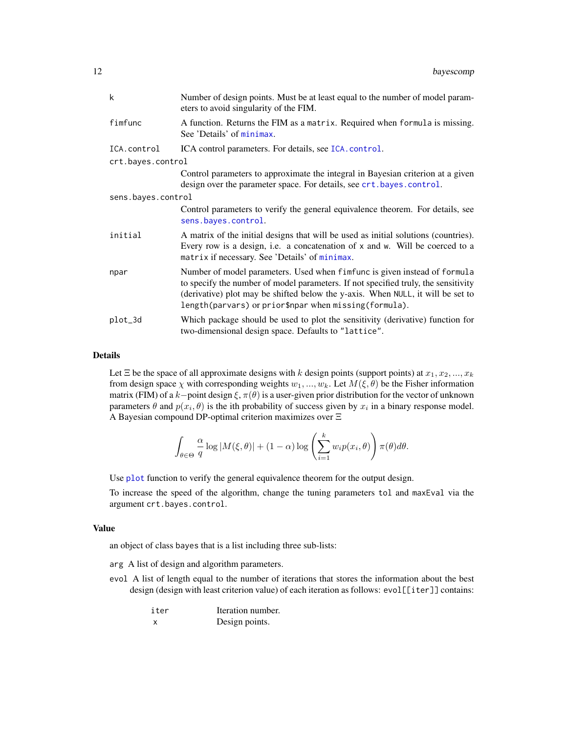| k                  | Number of design points. Must be at least equal to the number of model param-<br>eters to avoid singularity of the FIM.                                                                                                                                                                                     |
|--------------------|-------------------------------------------------------------------------------------------------------------------------------------------------------------------------------------------------------------------------------------------------------------------------------------------------------------|
| fimfunc            | A function. Returns the FIM as a matrix. Required when formula is missing.<br>See 'Details' of minimax.                                                                                                                                                                                                     |
| ICA.control        | ICA control parameters. For details, see ICA. control.                                                                                                                                                                                                                                                      |
| crt.bayes.control  |                                                                                                                                                                                                                                                                                                             |
|                    | Control parameters to approximate the integral in Bayesian criterion at a given<br>design over the parameter space. For details, see crt.bayes.control.                                                                                                                                                     |
| sens.bayes.control |                                                                                                                                                                                                                                                                                                             |
|                    | Control parameters to verify the general equivalence theorem. For details, see<br>sens.bayes.control.                                                                                                                                                                                                       |
| initial            | A matrix of the initial designs that will be used as initial solutions (countries).<br>Every row is a design, i.e. a concatenation of x and w. Will be coerced to a<br>matrix if necessary. See 'Details' of minimax.                                                                                       |
| npar               | Number of model parameters. Used when fimfunc is given instead of formula<br>to specify the number of model parameters. If not specified truly, the sensitivity<br>(derivative) plot may be shifted below the y-axis. When NULL, it will be set to<br>length(parvars) or prior\$npar when missing(formula). |
| plot_3d            | Which package should be used to plot the sensitivity (derivative) function for<br>two-dimensional design space. Defaults to "lattice".                                                                                                                                                                      |

#### Details

Let  $\Xi$  be the space of all approximate designs with k design points (support points) at  $x_1, x_2, ..., x_k$ from design space  $\chi$  with corresponding weights  $w_1, ..., w_k$ . Let  $M(\xi, \theta)$  be the Fisher information matrix (FIM) of a k−point design  $\xi$ ,  $\pi(\theta)$  is a user-given prior distribution for the vector of unknown parameters  $\theta$  and  $p(x_i, \theta)$  is the ith probability of success given by  $x_i$  in a binary response model. A Bayesian compound DP-optimal criterion maximizes over Ξ

$$
\int_{\theta \in \Theta} \frac{\alpha}{q} \log |M(\xi, \theta)| + (1 - \alpha) \log \left( \sum_{i=1}^{k} w_i p(x_i, \theta) \right) \pi(\theta) d\theta.
$$

Use [plot](#page-0-0) function to verify the general equivalence theorem for the output design.

To increase the speed of the algorithm, change the tuning parameters tol and maxEval via the argument crt.bayes.control.

# Value

an object of class bayes that is a list including three sub-lists:

- arg A list of design and algorithm parameters.
- evol A list of length equal to the number of iterations that stores the information about the best design (design with least criterion value) of each iteration as follows: evol[[iter]] contains:

| iter | Iteration number. |
|------|-------------------|
|      | Design points.    |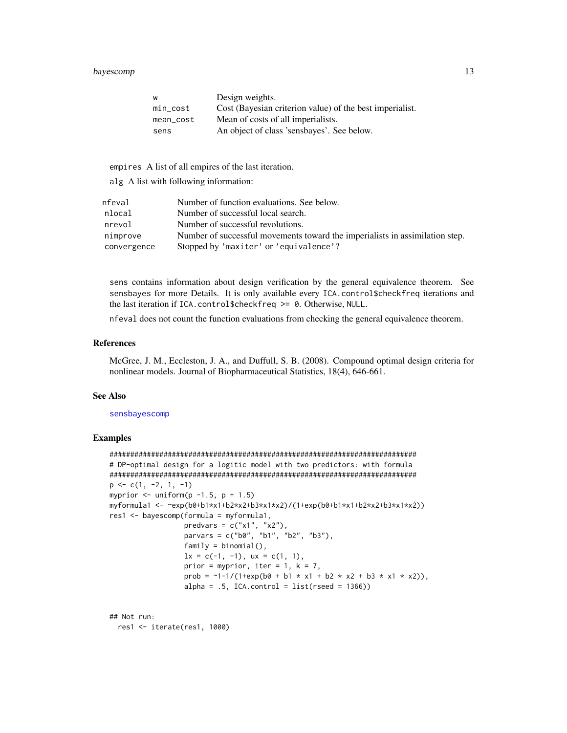# bayescomp and the state of the state of the state of the state of the state of the state of the state of the state of the state of the state of the state of the state of the state of the state of the state of the state of

| W           | Design weights.                                          |
|-------------|----------------------------------------------------------|
| $min\_cost$ | Cost (Bayesian criterion value) of the best imperialist. |
| mean_cost   | Mean of costs of all imperialists.                       |
| sens        | An object of class 'sensbayes'. See below.               |

empires A list of all empires of the last iteration.

alg A list with following information:

| nfeval      | Number of function evaluations. See below.                                   |
|-------------|------------------------------------------------------------------------------|
| nlocal      | Number of successful local search.                                           |
| nrevol      | Number of successful revolutions.                                            |
| nimprove    | Number of successful movements toward the imperialists in assimilation step. |
| convergence | Stopped by 'maxiter' or 'equivalence'?                                       |

sens contains information about design verification by the general equivalence theorem. See sensbayes for more Details. It is only available every ICA.control\$checkfreq iterations and the last iteration if ICA.control\$checkfreq >= 0. Otherwise, NULL.

nfeval does not count the function evaluations from checking the general equivalence theorem.

#### References

McGree, J. M., Eccleston, J. A., and Duffull, S. B. (2008). Compound optimal design criteria for nonlinear models. Journal of Biopharmaceutical Statistics, 18(4), 646-661.

# See Also

#### [sensbayescomp](#page-59-1)

# Examples

```
##########################################################################
# DP-optimal design for a logitic model with two predictors: with formula
##########################################################################
p \leftarrow c(1, -2, 1, -1)myprior \le uniform(p -1.5, p + 1.5)
myformula1 <- ~exp(b0+b1*x1+b2*x2+b3*x1*x2)/(1+exp(b0+b1*x1+b2*x2+b3*x1*x2))
res1 <- bayescomp(formula = myformula1,
                  predvars = c("x1", "x2"),parvars = c("b0", "b1", "b2", "b3"),
                  family = binomial(),
                  lx = c(-1, -1), ux = c(1, 1),prior = myprior, iter = 1, k = 7,
                  prob = \sim1-1/(1+exp(b0 + b1 * x1 + b2 * x2 + b3 * x1 * x2)),
                  alpha = .5, ICA.control = list(rseed = 1366))
```
## Not run: res1 <- iterate(res1, 1000)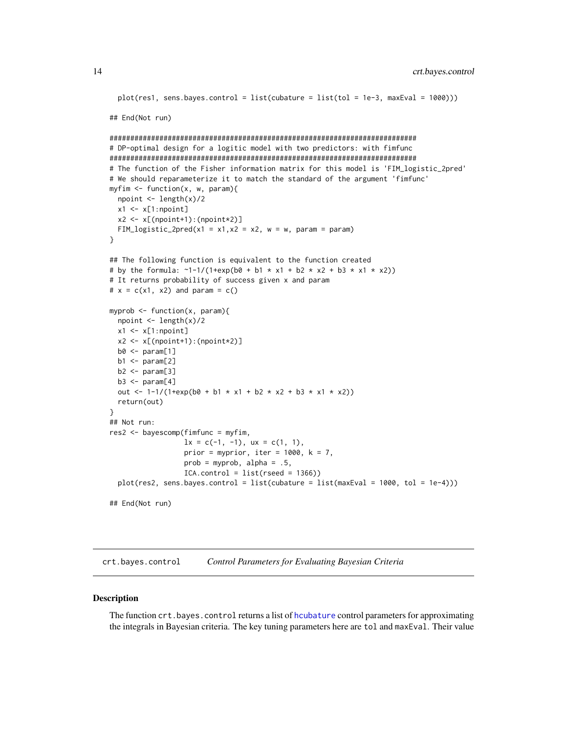```
plot(res1, sens.bayes.contrib = list(cubature = list(tol = 1e-3, maxEval = 1000)))## End(Not run)
##########################################################################
# DP-optimal design for a logitic model with two predictors: with fimfunc
##########################################################################
# The function of the Fisher information matrix for this model is 'FIM_logistic_2pred'
# We should reparameterize it to match the standard of the argument 'fimfunc'
myfim \leq function(x, w, param){
 npoint <- length(x)/2
 x1 \leftarrow x[1:npoint]x2 \leq x[(npoint+1):(npoint*2)]
 FIM_logistic_2pred(x1 = x1,x2 = x2, w = w, param = param)
}
## The following function is equivalent to the function created
# by the formula: \sim1-1/(1+exp(b0 + b1 * x1 + b2 * x2 + b3 * x1 * x2))
# It returns probability of success given x and param
# x = c(x1, x2) and param = c()
myprob \leq function(x, param){
 npoint <- length(x)/2
 x1 \leftarrow x[1:npoint]x2 \leq x[(npoint+1):(npoint*2)]
 b0 \leq param[1]
 b1 \leftarrow param[2]b2 \leq param[3]
 b3 \leq param[4]out <- 1-1/(1+exp(b0 + b1 * x1 + b2 * x2 + b3 * x1 * x2))
 return(out)
}
## Not run:
res2 <- bayescomp(fimfunc = myfim,
                  lx = c(-1, -1), ux = c(1, 1),prior = myprior, iter = 1000, k = 7,
                  prob = myprob, alpha = .5,
                  ICA.contrib = list(rseed = 1366))plot(res2, sens.bayes.control = list(cubature = list(maxEval = 1000, tol = 1e-4)))
## End(Not run)
```
<span id="page-13-1"></span>crt.bayes.control *Control Parameters for Evaluating Bayesian Criteria*

#### **Description**

The function crt.bayes.control returns a list of [hcubature](#page-0-0) control parameters for approximating the integrals in Bayesian criteria. The key tuning parameters here are tol and maxEval. Their value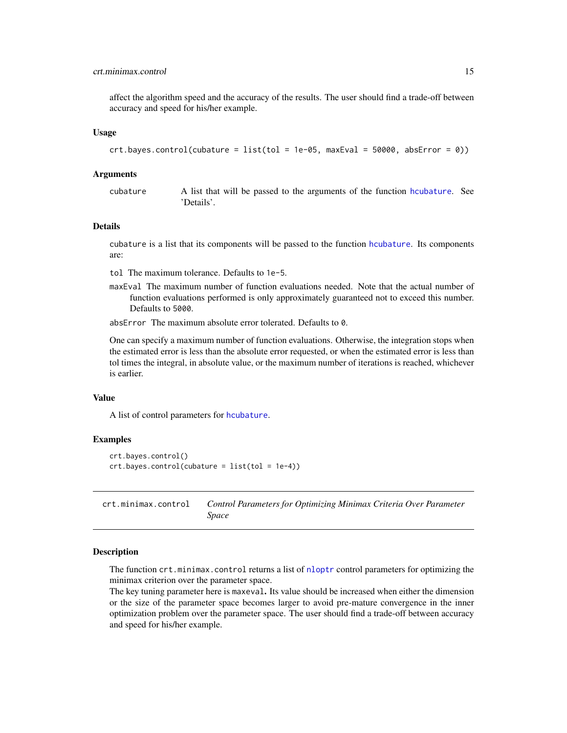#### <span id="page-14-0"></span>crt.minimax.control 15

affect the algorithm speed and the accuracy of the results. The user should find a trade-off between accuracy and speed for his/her example.

#### Usage

```
crt.bayes.contrib(cubature = list(tol = 1e-05, maxEval = 50000, absError = 0))
```
# Arguments

cubature A list that will be passed to the arguments of the function [hcubature](#page-0-0). See 'Details'.

# Details

cubature is a list that its components will be passed to the function [hcubature](#page-0-0). Its components are:

- tol The maximum tolerance. Defaults to 1e-5.
- maxEval The maximum number of function evaluations needed. Note that the actual number of function evaluations performed is only approximately guaranteed not to exceed this number. Defaults to 5000.
- absError The maximum absolute error tolerated. Defaults to 0.

One can specify a maximum number of function evaluations. Otherwise, the integration stops when the estimated error is less than the absolute error requested, or when the estimated error is less than tol times the integral, in absolute value, or the maximum number of iterations is reached, whichever is earlier.

# Value

A list of control parameters for [hcubature](#page-0-0).

# Examples

```
crt.bayes.control()
crt.bayes.control(cubature = list(tol = 1e-4))
```
<span id="page-14-1"></span>crt.minimax.control *Control Parameters for Optimizing Minimax Criteria Over Parameter Space*

#### Description

The function crt.minimax.control returns a list of [nloptr](#page-0-0) control parameters for optimizing the minimax criterion over the parameter space.

The key tuning parameter here is maxeval. Its value should be increased when either the dimension or the size of the parameter space becomes larger to avoid pre-mature convergence in the inner optimization problem over the parameter space. The user should find a trade-off between accuracy and speed for his/her example.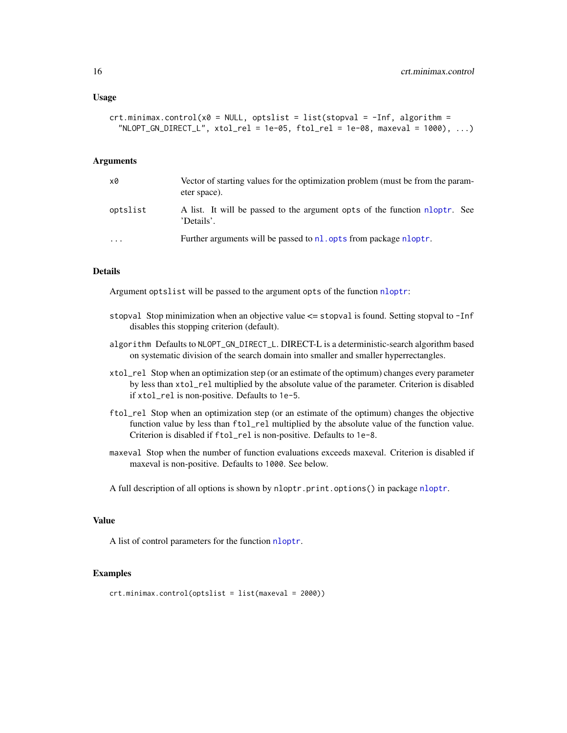#### Usage

```
crt.minimax.control(x0 = NULL, optslist = list(stopval = -Inf, algorithm =NLOPT_GN_DIRECT_L", xtol_rel = 1e-05, ftol_rel = 1e-08, maxeval = 1000), ...
```
#### Arguments

| x0       | Vector of starting values for the optimization problem (must be from the param-<br>eter space). |
|----------|-------------------------------------------------------------------------------------------------|
| optslist | A list. It will be passed to the argument opts of the function nloptr. See<br>'Details'.        |
| $\cdots$ | Further arguments will be passed to nl. opts from package nloptr.                               |

#### Details

Argument optslist will be passed to the argument opts of the function [nloptr](#page-0-0):

- stopval Stop minimization when an objective value <= stopval is found. Setting stopval to -Inf disables this stopping criterion (default).
- algorithm Defaults to NLOPT\_GN\_DIRECT\_L. DIRECT-L is a deterministic-search algorithm based on systematic division of the search domain into smaller and smaller hyperrectangles.
- xtol\_rel Stop when an optimization step (or an estimate of the optimum) changes every parameter by less than xtol\_rel multiplied by the absolute value of the parameter. Criterion is disabled if xtol\_rel is non-positive. Defaults to 1e-5.
- ftol\_rel Stop when an optimization step (or an estimate of the optimum) changes the objective function value by less than ftol\_rel multiplied by the absolute value of the function value. Criterion is disabled if ftol\_rel is non-positive. Defaults to 1e-8.
- maxeval Stop when the number of function evaluations exceeds maxeval. Criterion is disabled if maxeval is non-positive. Defaults to 1000. See below.

A full description of all options is shown by nloptr.print.options() in package [nloptr](#page-0-0).

# Value

A list of control parameters for the function [nloptr](#page-0-0).

# Examples

crt.minimax.control(optslist = list(maxeval = 2000))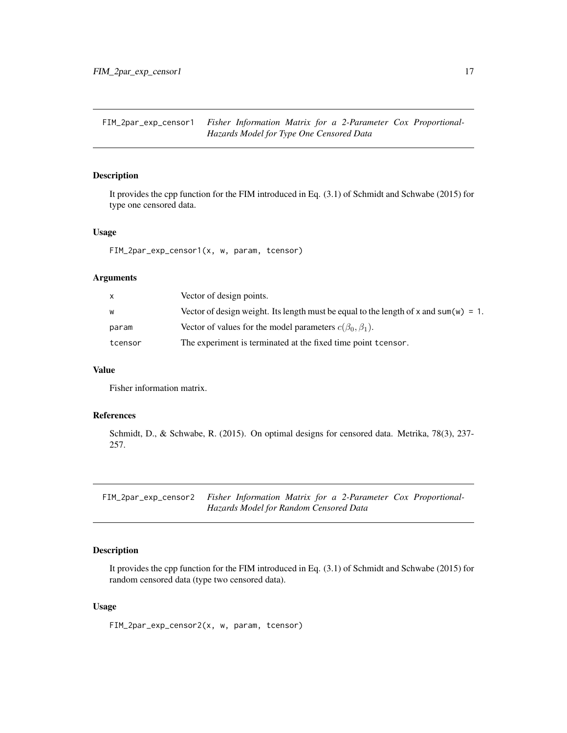<span id="page-16-0"></span>FIM\_2par\_exp\_censor1 *Fisher Information Matrix for a 2-Parameter Cox Proportional-Hazards Model for Type One Censored Data*

# Description

It provides the cpp function for the FIM introduced in Eq. (3.1) of Schmidt and Schwabe (2015) for type one censored data.

# Usage

FIM\_2par\_exp\_censor1(x, w, param, tcensor)

#### **Arguments**

| X       | Vector of design points.                                                             |
|---------|--------------------------------------------------------------------------------------|
| W       | Vector of design weight. Its length must be equal to the length of x and sum(w) = 1. |
| param   | Vector of values for the model parameters $c(\beta_0, \beta_1)$ .                    |
| tcensor | The experiment is terminated at the fixed time point tcensor.                        |

#### Value

Fisher information matrix.

#### References

Schmidt, D., & Schwabe, R. (2015). On optimal designs for censored data. Metrika, 78(3), 237- 257.

FIM\_2par\_exp\_censor2 *Fisher Information Matrix for a 2-Parameter Cox Proportional-Hazards Model for Random Censored Data*

# Description

It provides the cpp function for the FIM introduced in Eq. (3.1) of Schmidt and Schwabe (2015) for random censored data (type two censored data).

#### Usage

FIM\_2par\_exp\_censor2(x, w, param, tcensor)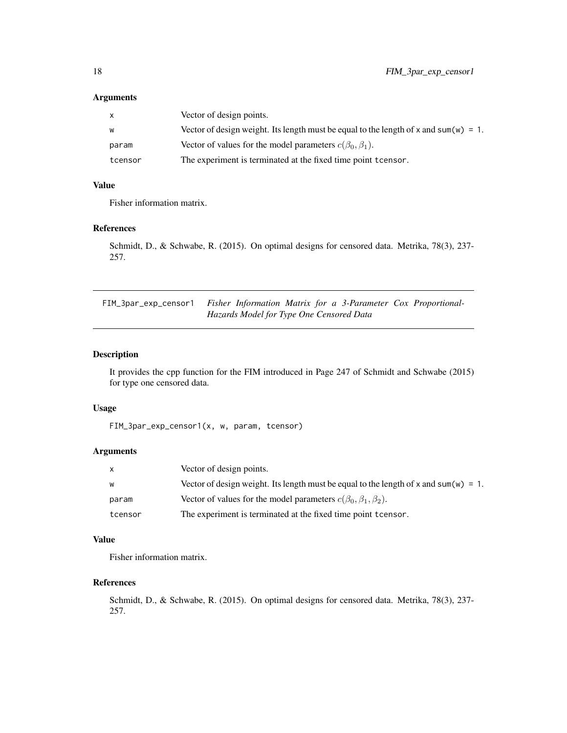# <span id="page-17-0"></span>Arguments

| $\mathsf{x}$ | Vector of design points.                                                             |
|--------------|--------------------------------------------------------------------------------------|
| W            | Vector of design weight. Its length must be equal to the length of x and sum(w) = 1. |
| param        | Vector of values for the model parameters $c(\beta_0, \beta_1)$ .                    |
| tcensor      | The experiment is terminated at the fixed time point to ensor.                       |

# Value

Fisher information matrix.

# References

Schmidt, D., & Schwabe, R. (2015). On optimal designs for censored data. Metrika, 78(3), 237- 257.

FIM\_3par\_exp\_censor1 *Fisher Information Matrix for a 3-Parameter Cox Proportional-Hazards Model for Type One Censored Data*

# Description

It provides the cpp function for the FIM introduced in Page 247 of Schmidt and Schwabe (2015) for type one censored data.

# Usage

FIM\_3par\_exp\_censor1(x, w, param, tcensor)

# Arguments

| X       | Vector of design points.                                                             |
|---------|--------------------------------------------------------------------------------------|
| W       | Vector of design weight. Its length must be equal to the length of x and sum(w) = 1. |
| param   | Vector of values for the model parameters $c(\beta_0, \beta_1, \beta_2)$ .           |
| tcensor | The experiment is terminated at the fixed time point to ensor.                       |

# Value

Fisher information matrix.

# References

Schmidt, D., & Schwabe, R. (2015). On optimal designs for censored data. Metrika, 78(3), 237- 257.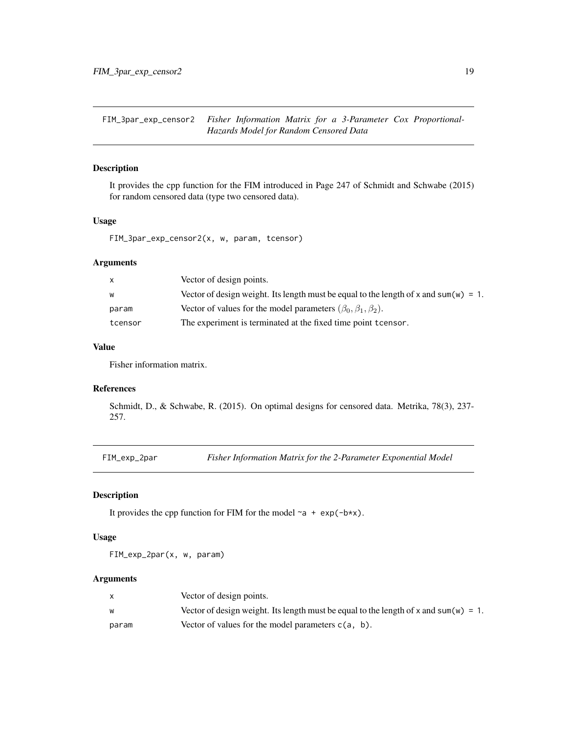<span id="page-18-0"></span>FIM\_3par\_exp\_censor2 *Fisher Information Matrix for a 3-Parameter Cox Proportional-Hazards Model for Random Censored Data*

# Description

It provides the cpp function for the FIM introduced in Page 247 of Schmidt and Schwabe (2015) for random censored data (type two censored data).

# Usage

FIM\_3par\_exp\_censor2(x, w, param, tcensor)

# Arguments

| x       | Vector of design points.                                                             |
|---------|--------------------------------------------------------------------------------------|
| w       | Vector of design weight. Its length must be equal to the length of x and sum(w) = 1. |
| param   | Vector of values for the model parameters $(\beta_0, \beta_1, \beta_2)$ .            |
| tcensor | The experiment is terminated at the fixed time point to ensor.                       |

# Value

Fisher information matrix.

# References

Schmidt, D., & Schwabe, R. (2015). On optimal designs for censored data. Metrika, 78(3), 237- 257.

FIM\_exp\_2par *Fisher Information Matrix for the 2-Parameter Exponential Model*

# Description

It provides the cpp function for FIM for the model  $\sim a + \exp(-b \times x)$ .

# Usage

FIM\_exp\_2par(x, w, param)

#### Arguments

|       | Vector of design points.                                                             |
|-------|--------------------------------------------------------------------------------------|
|       | Vector of design weight. Its length must be equal to the length of x and sum(w) = 1. |
| param | Vector of values for the model parameters $c(a, b)$ .                                |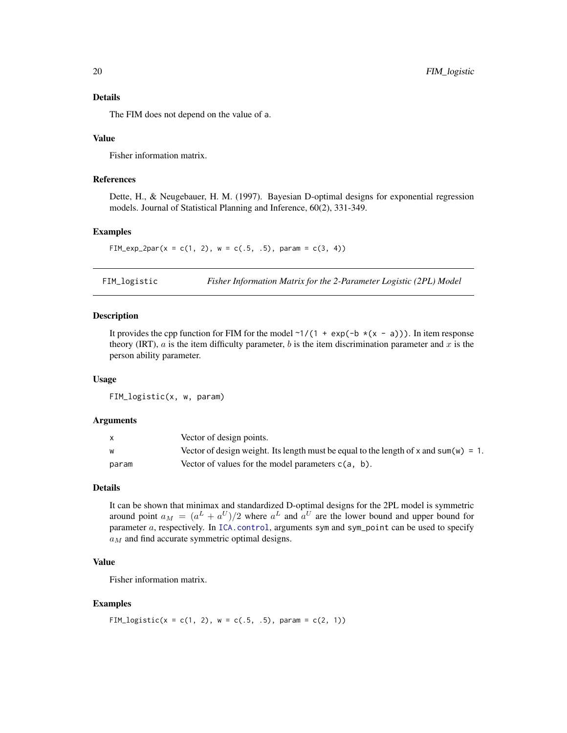#### Details

The FIM does not depend on the value of a.

# Value

Fisher information matrix.

# References

Dette, H., & Neugebauer, H. M. (1997). Bayesian D-optimal designs for exponential regression models. Journal of Statistical Planning and Inference, 60(2), 331-349.

#### Examples

FIM\_exp\_2par(x = c(1, 2), w = c(.5, .5), param = c(3, 4))

FIM\_logistic *Fisher Information Matrix for the 2-Parameter Logistic (2PL) Model*

#### Description

It provides the cpp function for FIM for the model  $\sim 1/(1 + \exp(-b \times (x - a)))$ . In item response theory (IRT), a is the item difficulty parameter, b is the item discrimination parameter and x is the person ability parameter.

#### Usage

FIM\_logistic(x, w, param)

#### Arguments

|       | Vector of design points.                                                             |
|-------|--------------------------------------------------------------------------------------|
| W     | Vector of design weight. Its length must be equal to the length of x and sum(w) = 1. |
| param | Vector of values for the model parameters $c(a, b)$ .                                |

# Details

It can be shown that minimax and standardized D-optimal designs for the 2PL model is symmetric around point  $a_M = (a^L + a^U)/2$  where  $a^L$  and  $a^U$  are the lower bound and upper bound for parameter  $a$ , respectively. In [ICA.control](#page-23-1), arguments sym and sym\_point can be used to specify  $a_M$  and find accurate symmetric optimal designs.

#### Value

Fisher information matrix.

#### Examples

FIM\_logistic(x = c(1, 2), w = c(.5, .5), param = c(2, 1))

<span id="page-19-0"></span>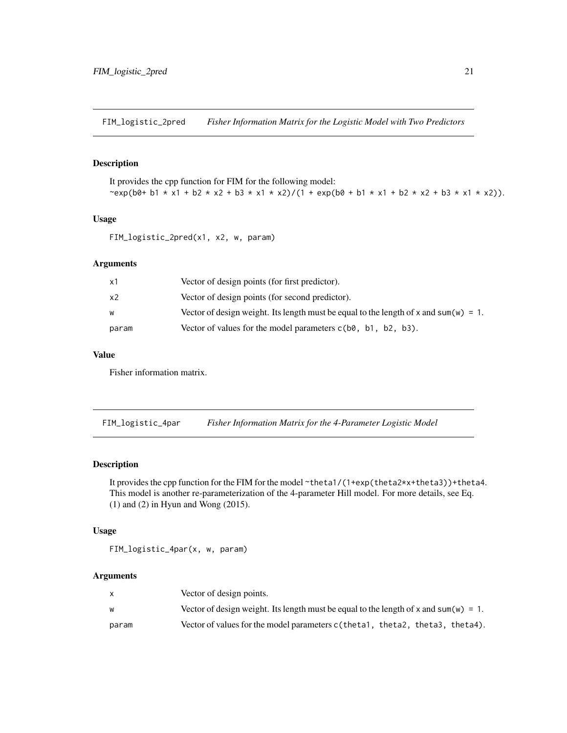<span id="page-20-0"></span>FIM\_logistic\_2pred *Fisher Information Matrix for the Logistic Model with Two Predictors*

# Description

It provides the cpp function for FIM for the following model: ~exp(b0+ b1 \* x1 + b2 \* x2 + b3 \* x1 \* x2)/(1 + exp(b0 + b1 \* x1 + b2 \* x2 + b3 \* x1 \* x2)).

# Usage

```
FIM_logistic_2pred(x1, x2, w, param)
```
# Arguments

| x1    | Vector of design points (for first predictor).                                       |
|-------|--------------------------------------------------------------------------------------|
| x2    | Vector of design points (for second predictor).                                      |
| w     | Vector of design weight. Its length must be equal to the length of x and sum(w) = 1. |
| param | Vector of values for the model parameters $c(b0, b1, b2, b3)$ .                      |

# Value

Fisher information matrix.

FIM\_logistic\_4par *Fisher Information Matrix for the 4-Parameter Logistic Model*

# Description

It provides the cpp function for the FIM for the model ~theta1/(1+exp(theta2\*x+theta3))+theta4. This model is another re-parameterization of the 4-parameter Hill model. For more details, see Eq. (1) and (2) in Hyun and Wong (2015).

# Usage

FIM\_logistic\_4par(x, w, param)

# Arguments

|       | Vector of design points.                                                             |
|-------|--------------------------------------------------------------------------------------|
|       | Vector of design weight. Its length must be equal to the length of x and sum(w) = 1. |
| param | Vector of values for the model parameters $c$ (theta1, theta2, theta3, theta4).      |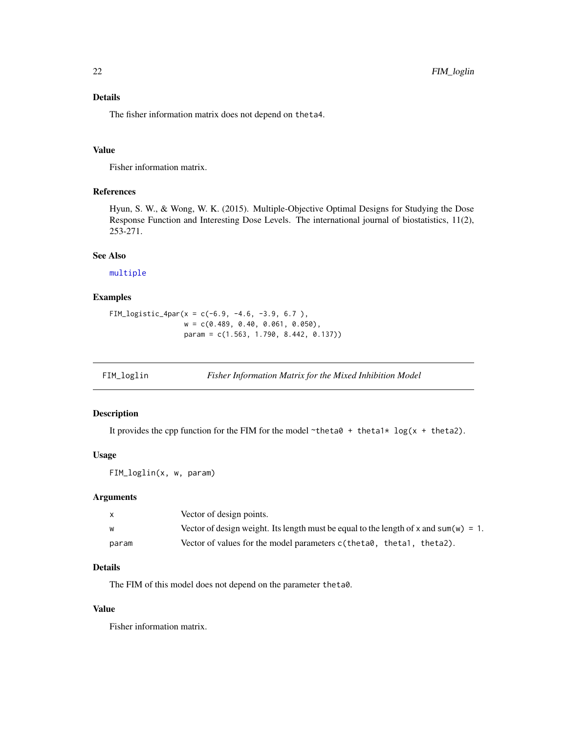# <span id="page-21-0"></span>Details

The fisher information matrix does not depend on theta4.

#### Value

Fisher information matrix.

# References

Hyun, S. W., & Wong, W. K. (2015). Multiple-Objective Optimal Designs for Studying the Dose Response Function and Interesting Dose Levels. The international journal of biostatistics, 11(2), 253-271.

#### See Also

[multiple](#page-40-1)

# Examples

```
FIM_logistic_4par(x = c(-6.9, -4.6, -3.9, 6.7 ),
                  w = c(0.489, 0.40, 0.061, 0.050),
                  param = c(1.563, 1.790, 8.442, 0.137))
```
FIM\_loglin *Fisher Information Matrix for the Mixed Inhibition Model*

# Description

It provides the cpp function for the FIM for the model  $\sim$ theta $\theta$  + theta1\* log(x + theta2).

# Usage

FIM\_loglin(x, w, param)

# Arguments

| X.    | Vector of design points.                                                             |
|-------|--------------------------------------------------------------------------------------|
| W     | Vector of design weight. Its length must be equal to the length of x and sum(w) = 1. |
| param | Vector of values for the model parameters c(theta0, theta1, theta2).                 |

# Details

The FIM of this model does not depend on the parameter theta0.

# Value

Fisher information matrix.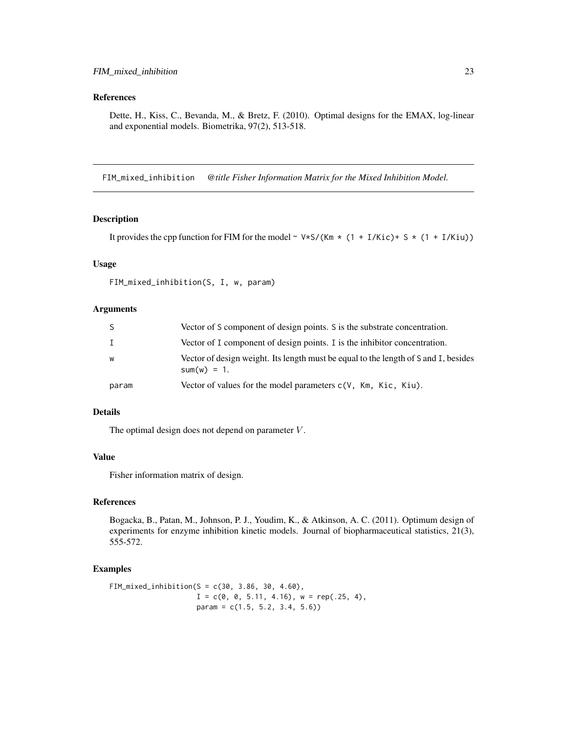# <span id="page-22-0"></span>References

Dette, H., Kiss, C., Bevanda, M., & Bretz, F. (2010). Optimal designs for the EMAX, log-linear and exponential models. Biometrika, 97(2), 513-518.

FIM\_mixed\_inhibition *@title Fisher Information Matrix for the Mixed Inhibition Model.*

# Description

It provides the cpp function for FIM for the model  $\sim \frac{\sqrt{8}}{1 + 1/Kic} + \frac{1}{Kic} + \frac{1}{Kic} + \frac{1}{Kic}$ 

# Usage

```
FIM_mixed_inhibition(S, I, w, param)
```
#### Arguments

|       | Vector of S component of design points. S is the substrate concentration.                             |
|-------|-------------------------------------------------------------------------------------------------------|
|       | Vector of I component of design points. I is the inhibitor concentration.                             |
| W     | Vector of design weight. Its length must be equal to the length of S and I, besides<br>$sum(w) = 1$ . |
| param | Vector of values for the model parameters $c(V, Km, Kic, Kiu)$ .                                      |

# Details

The optimal design does not depend on parameter  $V$ .

# Value

Fisher information matrix of design.

# References

Bogacka, B., Patan, M., Johnson, P. J., Youdim, K., & Atkinson, A. C. (2011). Optimum design of experiments for enzyme inhibition kinetic models. Journal of biopharmaceutical statistics, 21(3), 555-572.

#### Examples

```
FIM_mixed_inhibition(S = c(30, 3.86, 30, 4.60),
                    I = c(0, 0, 5.11, 4.16), w = rep(.25, 4),param = c(1.5, 5.2, 3.4, 5.6)
```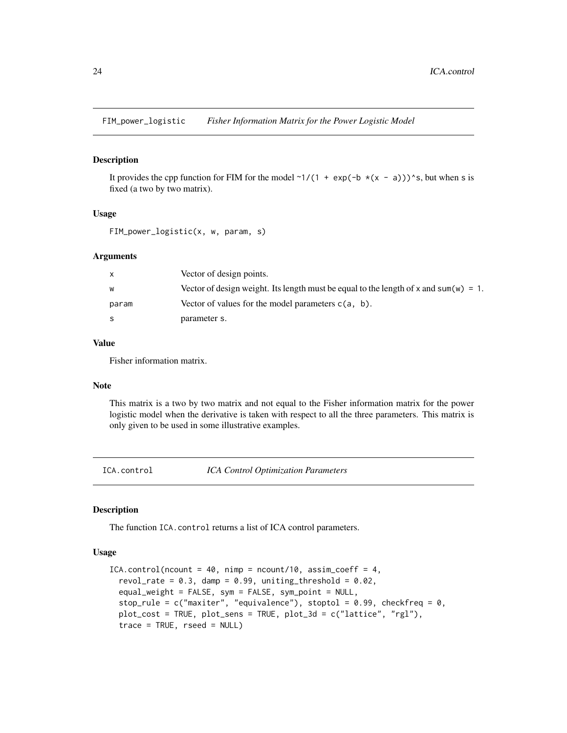<span id="page-23-0"></span>FIM\_power\_logistic *Fisher Information Matrix for the Power Logistic Model*

#### Description

It provides the cpp function for FIM for the model  $\gamma$ 1/(1 + exp(-b  $\star$ (x - a))) $\star$ s, but when s is fixed (a two by two matrix).

# Usage

FIM\_power\_logistic(x, w, param, s)

#### **Arguments**

|       | Vector of design points.                                                             |
|-------|--------------------------------------------------------------------------------------|
| w     | Vector of design weight. Its length must be equal to the length of x and sum(w) = 1. |
| param | Vector of values for the model parameters $c(a, b)$ .                                |
| S     | parameter s.                                                                         |

# Value

Fisher information matrix.

# Note

This matrix is a two by two matrix and not equal to the Fisher information matrix for the power logistic model when the derivative is taken with respect to all the three parameters. This matrix is only given to be used in some illustrative examples.

<span id="page-23-1"></span>ICA.control *ICA Control Optimization Parameters*

# Description

The function ICA.control returns a list of ICA control parameters.

#### Usage

```
ICA.control(ncount = 40, nimp = ncount/10, assim_coeff = 4,
  revol_rate = 0.3, damp = 0.99, uniting_threshold = 0.02,
  equal_weight = FALSE, sym = FALSE, sym_point = NULL,
  stop_rule = c("maxiter", "equivalence"), stoptol = 0.99, checkfreq = 0,plot_cost = TRUE, plot_sens = TRUE, plot_3d = c("lattice", "rgl"),
  trace = TRUE, rseed = NULL)
```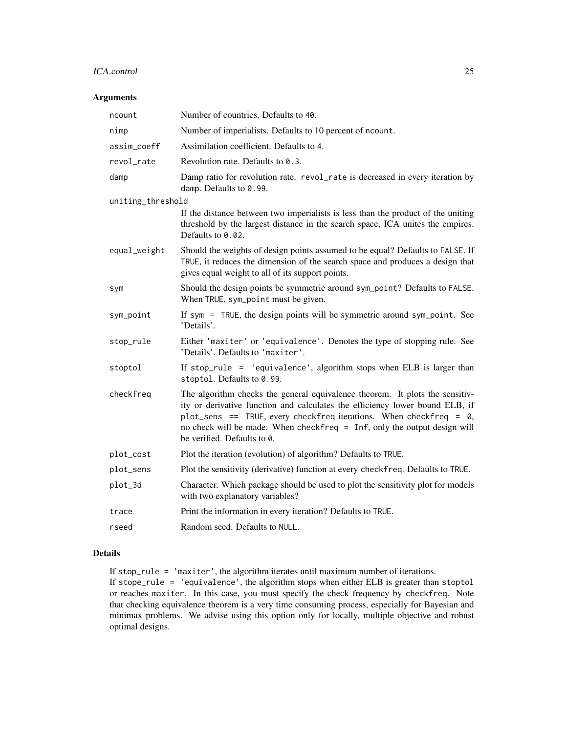#### ICA.control 25

# Arguments

| ncount            | Number of countries. Defaults to 40.                                                                                                                                                                                                                                                                                                          |  |
|-------------------|-----------------------------------------------------------------------------------------------------------------------------------------------------------------------------------------------------------------------------------------------------------------------------------------------------------------------------------------------|--|
| nimp              | Number of imperialists. Defaults to 10 percent of ncount.                                                                                                                                                                                                                                                                                     |  |
| assim_coeff       | Assimilation coefficient. Defaults to 4.                                                                                                                                                                                                                                                                                                      |  |
| revol_rate        | Revolution rate. Defaults to 0.3.                                                                                                                                                                                                                                                                                                             |  |
| damp              | Damp ratio for revolution rate. revol_rate is decreased in every iteration by<br>damp. Defaults to 0.99.                                                                                                                                                                                                                                      |  |
| uniting_threshold |                                                                                                                                                                                                                                                                                                                                               |  |
|                   | If the distance between two imperialists is less than the product of the uniting<br>threshold by the largest distance in the search space, ICA unites the empires.<br>Defaults to 0.02.                                                                                                                                                       |  |
| equal_weight      | Should the weights of design points assumed to be equal? Defaults to FALSE. If<br>TRUE, it reduces the dimension of the search space and produces a design that<br>gives equal weight to all of its support points.                                                                                                                           |  |
| sym               | Should the design points be symmetric around sym_point? Defaults to FALSE.<br>When TRUE, sym_point must be given.                                                                                                                                                                                                                             |  |
| sym_point         | If sym = TRUE, the design points will be symmetric around sym_point. See<br>'Details'.                                                                                                                                                                                                                                                        |  |
| stop_rule         | Either 'maxiter' or 'equivalence'. Denotes the type of stopping rule. See<br>'Details'. Defaults to 'maxiter'.                                                                                                                                                                                                                                |  |
| stoptol           | If stop_rule = 'equivalence', algorithm stops when ELB is larger than<br>stoptol. Defaults to 0.99.                                                                                                                                                                                                                                           |  |
| checkfreq         | The algorithm checks the general equivalence theorem. It plots the sensitiv-<br>ity or derivative function and calculates the efficiency lower bound ELB, if<br>plot_sens == TRUE, every checkfreq iterations. When checkfreq = 0,<br>no check will be made. When checkfreq = Inf, only the output design will<br>be verified. Defaults to 0. |  |
| plot_cost         | Plot the iteration (evolution) of algorithm? Defaults to TRUE.                                                                                                                                                                                                                                                                                |  |
| plot_sens         | Plot the sensitivity (derivative) function at every checkfreq. Defaults to TRUE.                                                                                                                                                                                                                                                              |  |
| plot_3d           | Character. Which package should be used to plot the sensitivity plot for models<br>with two explanatory variables?                                                                                                                                                                                                                            |  |
| trace             | Print the information in every iteration? Defaults to TRUE.                                                                                                                                                                                                                                                                                   |  |
| rseed             | Random seed. Defaults to NULL.                                                                                                                                                                                                                                                                                                                |  |
|                   |                                                                                                                                                                                                                                                                                                                                               |  |

# Details

If stop\_rule = 'maxiter', the algorithm iterates until maximum number of iterations. If stope\_rule = 'equivalence', the algorithm stops when either ELB is greater than stoptol or reaches maxiter. In this case, you must specify the check frequency by checkfreq. Note that checking equivalence theorem is a very time consuming process, especially for Bayesian and minimax problems. We advise using this option only for locally, multiple objective and robust optimal designs.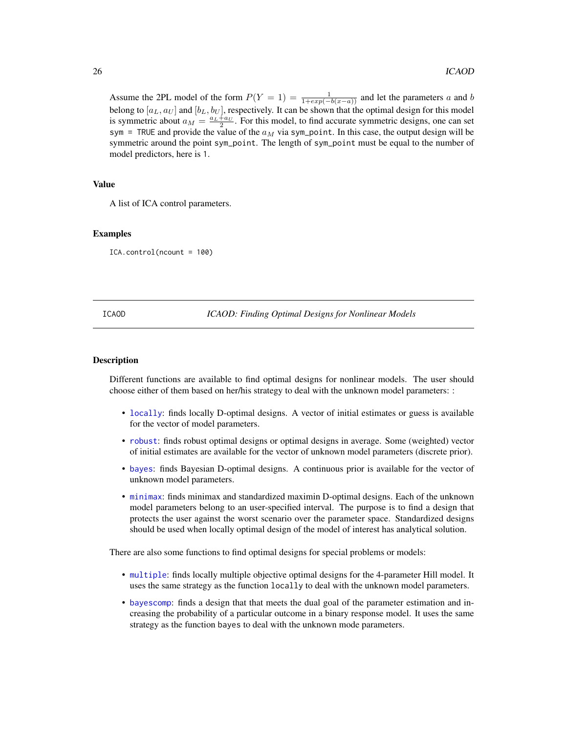<span id="page-25-0"></span>Assume the 2PL model of the form  $P(Y = 1) = \frac{1}{1 + exp(-b(x-a))}$  and let the parameters a and b belong to  $[a_L, a_U]$  and  $[b_L, b_U]$ , respectively. It can be shown that the optimal design for this model is symmetric about  $a_M = \frac{a_L + a_U}{2}$ . For this model, to find accurate symmetric designs, one can set sym = TRUE and provide the value of the  $a_M$  via sym\_point. In this case, the output design will be symmetric around the point sym\_point. The length of sym\_point must be equal to the number of model predictors, here is 1.

# Value

A list of ICA control parameters.

#### Examples

ICA.control(ncount = 100)

#### ICAOD *ICAOD: Finding Optimal Designs for Nonlinear Models*

#### **Description**

Different functions are available to find optimal designs for nonlinear models. The user should choose either of them based on her/his strategy to deal with the unknown model parameters: :

- [locally](#page-28-1): finds locally D-optimal designs. A vector of initial estimates or guess is available for the vector of model parameters.
- [robust](#page-49-1): finds robust optimal designs or optimal designs in average. Some (weighted) vector of initial estimates are available for the vector of unknown model parameters (discrete prior).
- [bayes](#page-1-1): finds Bayesian D-optimal designs. A continuous prior is available for the vector of unknown model parameters.
- [minimax](#page-32-1): finds minimax and standardized maximin D-optimal designs. Each of the unknown model parameters belong to an user-specified interval. The purpose is to find a design that protects the user against the worst scenario over the parameter space. Standardized designs should be used when locally optimal design of the model of interest has analytical solution.

There are also some functions to find optimal designs for special problems or models:

- [multiple](#page-40-1): finds locally multiple objective optimal designs for the 4-parameter Hill model. It uses the same strategy as the function locally to deal with the unknown model parameters.
- [bayescomp](#page-10-1): finds a design that that meets the dual goal of the parameter estimation and increasing the probability of a particular outcome in a binary response model. It uses the same strategy as the function bayes to deal with the unknown mode parameters.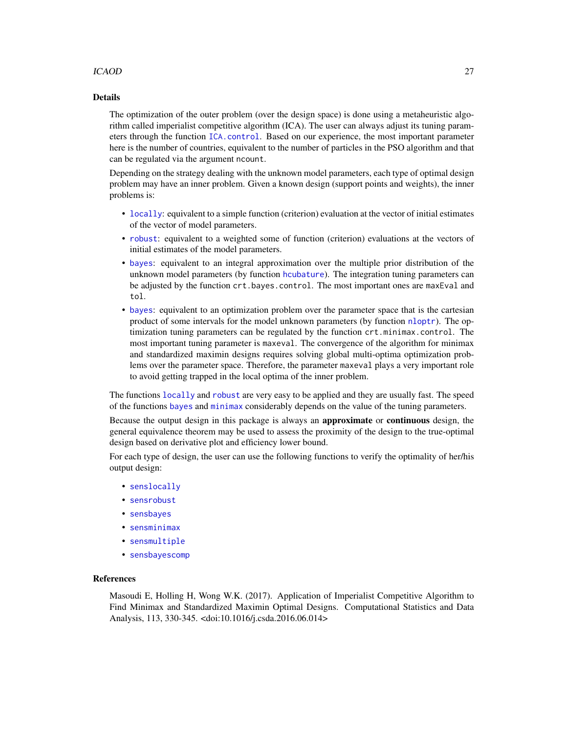# ICAOD 27

#### Details

The optimization of the outer problem (over the design space) is done using a metaheuristic algorithm called imperialist competitive algorithm (ICA). The user can always adjust its tuning parameters through the function [ICA.control](#page-23-1). Based on our experience, the most important parameter here is the number of countries, equivalent to the number of particles in the PSO algorithm and that can be regulated via the argument ncount.

Depending on the strategy dealing with the unknown model parameters, each type of optimal design problem may have an inner problem. Given a known design (support points and weights), the inner problems is:

- [locally](#page-28-1): equivalent to a simple function (criterion) evaluation at the vector of initial estimates of the vector of model parameters.
- [robust](#page-49-1): equivalent to a weighted some of function (criterion) evaluations at the vectors of initial estimates of the model parameters.
- [bayes](#page-1-1): equivalent to an integral approximation over the multiple prior distribution of the unknown model parameters (by function [hcubature](#page-0-0)). The integration tuning parameters can be adjusted by the function crt.bayes.control. The most important ones are maxEval and tol.
- [bayes](#page-1-1): equivalent to an optimization problem over the parameter space that is the cartesian product of some intervals for the model unknown parameters (by function [nloptr](#page-0-0)). The optimization tuning parameters can be regulated by the function crt.minimax.control. The most important tuning parameter is maxeval. The convergence of the algorithm for minimax and standardized maximin designs requires solving global multi-optima optimization problems over the parameter space. Therefore, the parameter maxeval plays a very important role to avoid getting trapped in the local optima of the inner problem.

The functions [locally](#page-28-1) and [robust](#page-49-1) are very easy to be applied and they are usually fast. The speed of the functions [bayes](#page-1-1) and [minimax](#page-32-1) considerably depends on the value of the tuning parameters.

Because the output design in this package is always an approximate or continuous design, the general equivalence theorem may be used to assess the proximity of the design to the true-optimal design based on derivative plot and efficiency lower bound.

For each type of design, the user can use the following functions to verify the optimality of her/his output design:

- [senslocally](#page-61-1)
- [sensrobust](#page-74-1)
- [sensbayes](#page-56-1)
- [sensminimax](#page-64-1)
- [sensmultiple](#page-71-1)
- [sensbayescomp](#page-59-1)

# References

Masoudi E, Holling H, Wong W.K. (2017). Application of Imperialist Competitive Algorithm to Find Minimax and Standardized Maximin Optimal Designs. Computational Statistics and Data Analysis, 113, 330-345. <doi:10.1016/j.csda.2016.06.014>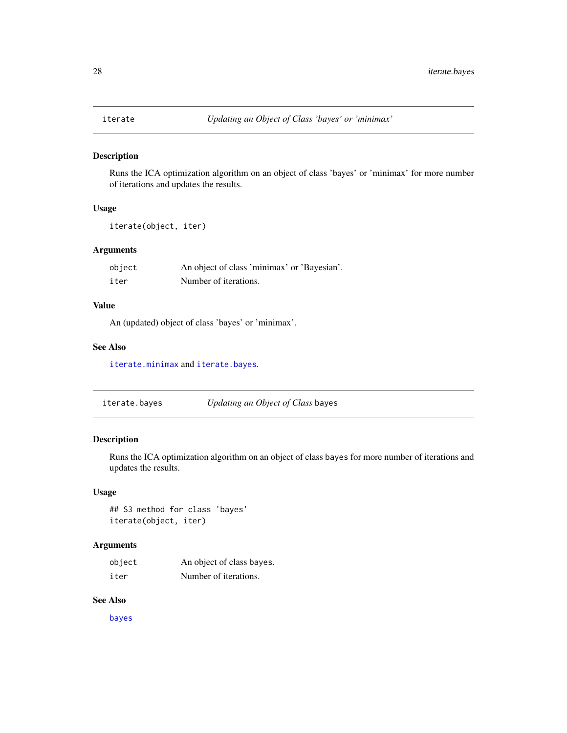<span id="page-27-0"></span>

#### Description

Runs the ICA optimization algorithm on an object of class 'bayes' or 'minimax' for more number of iterations and updates the results.

# Usage

iterate(object, iter)

# Arguments

| object | An object of class 'minimax' or 'Bayesian'. |
|--------|---------------------------------------------|
| iter   | Number of iterations.                       |

# Value

An (updated) object of class 'bayes' or 'minimax'.

# See Also

[iterate.minimax](#page-28-2) and [iterate.bayes](#page-27-1).

<span id="page-27-1"></span>iterate.bayes *Updating an Object of Class* bayes

# Description

Runs the ICA optimization algorithm on an object of class bayes for more number of iterations and updates the results.

#### Usage

## S3 method for class 'bayes' iterate(object, iter)

# Arguments

| object | An object of class bayes. |
|--------|---------------------------|
| iter   | Number of iterations.     |

# See Also

[bayes](#page-1-1)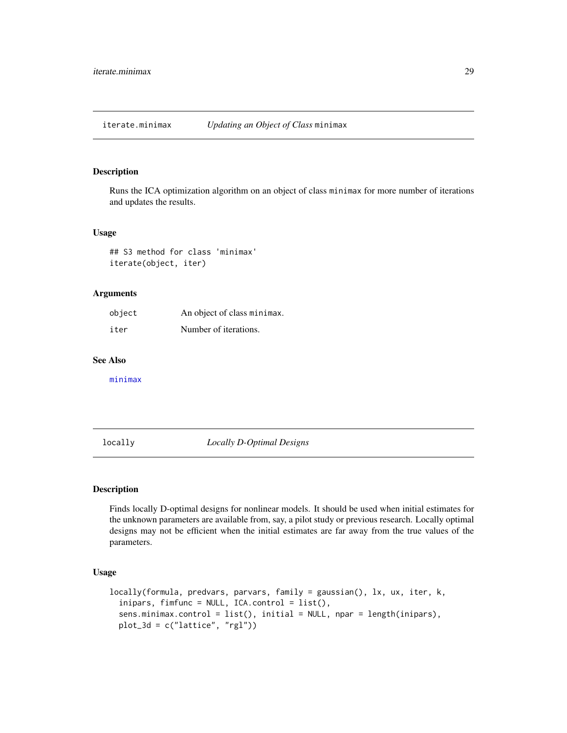<span id="page-28-2"></span><span id="page-28-0"></span>iterate.minimax *Updating an Object of Class* minimax

#### Description

Runs the ICA optimization algorithm on an object of class minimax for more number of iterations and updates the results.

# Usage

## S3 method for class 'minimax' iterate(object, iter)

#### Arguments

| object | An object of class minimax. |
|--------|-----------------------------|
| iter   | Number of iterations.       |

# See Also

[minimax](#page-32-1)

<span id="page-28-1"></span>locally *Locally D-Optimal Designs*

# Description

Finds locally D-optimal designs for nonlinear models. It should be used when initial estimates for the unknown parameters are available from, say, a pilot study or previous research. Locally optimal designs may not be efficient when the initial estimates are far away from the true values of the parameters.

# Usage

```
locally(formula, predvars, parvars, family = gaussian(), lx, ux, iter, k,
  inipars, fimfunc = NULL, ICA.control = list(),
  sens.minimax.control = list(), initial = NULL, npar = length(inipars),
 plot_3d = c("lattice", "rgl"))
```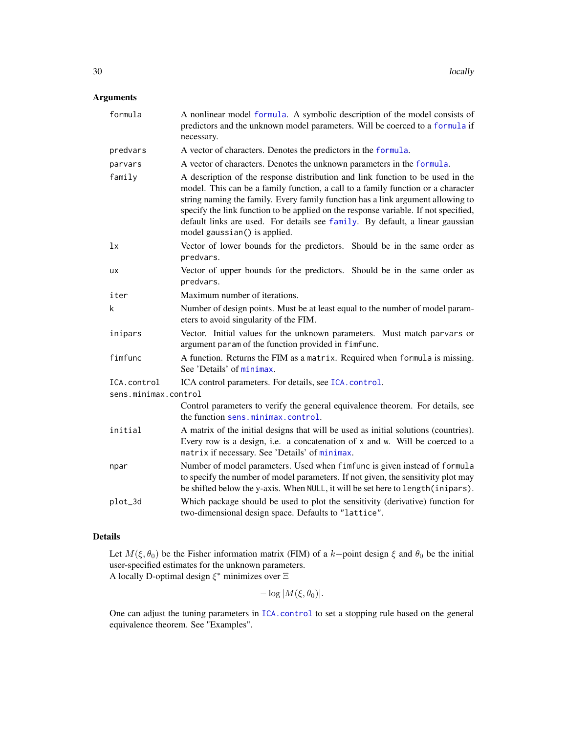# Arguments

| formula                             | A nonlinear model formula. A symbolic description of the model consists of<br>predictors and the unknown model parameters. Will be coerced to a formula if<br>necessary.                                                                                                                                                                                                                                                                                      |
|-------------------------------------|---------------------------------------------------------------------------------------------------------------------------------------------------------------------------------------------------------------------------------------------------------------------------------------------------------------------------------------------------------------------------------------------------------------------------------------------------------------|
| predvars                            | A vector of characters. Denotes the predictors in the formula.                                                                                                                                                                                                                                                                                                                                                                                                |
| parvars                             | A vector of characters. Denotes the unknown parameters in the formula.                                                                                                                                                                                                                                                                                                                                                                                        |
| family                              | A description of the response distribution and link function to be used in the<br>model. This can be a family function, a call to a family function or a character<br>string naming the family. Every family function has a link argument allowing to<br>specify the link function to be applied on the response variable. If not specified,<br>default links are used. For details see family. By default, a linear gaussian<br>model gaussian() is applied. |
| 1x                                  | Vector of lower bounds for the predictors. Should be in the same order as<br>predvars.                                                                                                                                                                                                                                                                                                                                                                        |
| <b>UX</b>                           | Vector of upper bounds for the predictors. Should be in the same order as<br>predvars.                                                                                                                                                                                                                                                                                                                                                                        |
| iter                                | Maximum number of iterations.                                                                                                                                                                                                                                                                                                                                                                                                                                 |
| k                                   | Number of design points. Must be at least equal to the number of model param-<br>eters to avoid singularity of the FIM.                                                                                                                                                                                                                                                                                                                                       |
| inipars                             | Vector. Initial values for the unknown parameters. Must match parvars or<br>argument param of the function provided in fimfunc.                                                                                                                                                                                                                                                                                                                               |
| fimfunc                             | A function. Returns the FIM as a matrix. Required when formula is missing.<br>See 'Details' of minimax.                                                                                                                                                                                                                                                                                                                                                       |
| ICA.control<br>sens.minimax.control | ICA control parameters. For details, see ICA. control.                                                                                                                                                                                                                                                                                                                                                                                                        |
|                                     | Control parameters to verify the general equivalence theorem. For details, see<br>the function sens.minimax.control.                                                                                                                                                                                                                                                                                                                                          |
| initial                             | A matrix of the initial designs that will be used as initial solutions (countries).<br>Every row is a design, i.e. a concatenation of x and w. Will be coerced to a<br>matrix if necessary. See 'Details' of minimax.                                                                                                                                                                                                                                         |
| npar                                | Number of model parameters. Used when fimfunc is given instead of formula<br>to specify the number of model parameters. If not given, the sensitivity plot may<br>be shifted below the y-axis. When NULL, it will be set here to length (inipars).                                                                                                                                                                                                            |
| plot_3d                             | Which package should be used to plot the sensitivity (derivative) function for<br>two-dimensional design space. Defaults to "lattice".                                                                                                                                                                                                                                                                                                                        |

# Details

Let  $M(\xi, \theta_0)$  be the Fisher information matrix (FIM) of a k-point design  $\xi$  and  $\theta_0$  be the initial user-specified estimates for the unknown parameters. A locally D-optimal design  $\xi^*$  minimizes over  $\Xi$ 

$$
-\log|M(\xi,\theta_0)|.
$$

One can adjust the tuning parameters in [ICA.control](#page-23-1) to set a stopping rule based on the general equivalence theorem. See "Examples".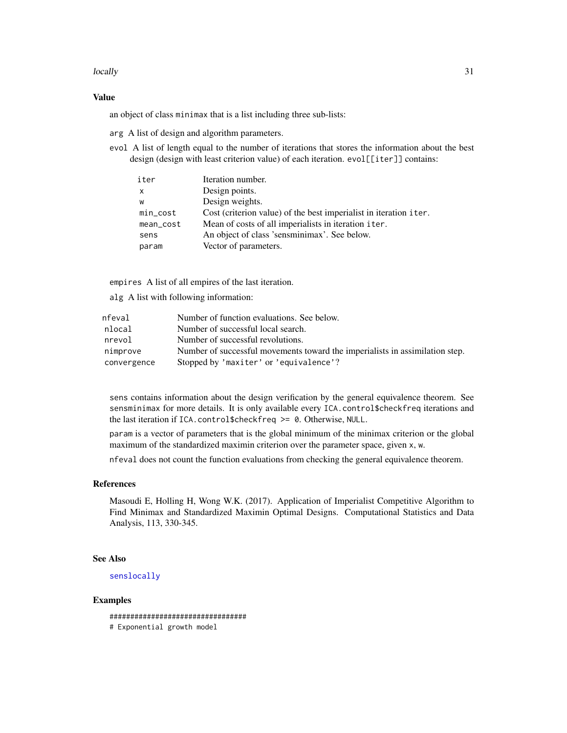#### locally 31

#### Value

an object of class minimax that is a list including three sub-lists:

arg A list of design and algorithm parameters.

evol A list of length equal to the number of iterations that stores the information about the best design (design with least criterion value) of each iteration. evol[[iter]] contains:

| iter         | Iteration number.                                                 |
|--------------|-------------------------------------------------------------------|
| $\mathsf{x}$ | Design points.                                                    |
| W            | Design weights.                                                   |
| $min\_cost$  | Cost (criterion value) of the best imperialist in iteration iter. |
| mean_cost    | Mean of costs of all imperialists in iteration iter.              |
| sens         | An object of class 'sensminimax'. See below.                      |
| param        | Vector of parameters.                                             |

empires A list of all empires of the last iteration.

alg A list with following information:

| nfeval      | Number of function evaluations. See below.                                   |
|-------------|------------------------------------------------------------------------------|
| nlocal      | Number of successful local search.                                           |
| nrevol      | Number of successful revolutions.                                            |
| nimprove    | Number of successful movements toward the imperialists in assimilation step. |
| convergence | Stopped by 'maxiter' or 'equivalence'?                                       |

sens contains information about the design verification by the general equivalence theorem. See sensminimax for more details. It is only available every ICA.control\$checkfreq iterations and the last iteration if ICA.control\$checkfreq >= 0. Otherwise, NULL.

param is a vector of parameters that is the global minimum of the minimax criterion or the global maximum of the standardized maximin criterion over the parameter space, given x, w.

nfeval does not count the function evaluations from checking the general equivalence theorem.

#### References

Masoudi E, Holling H, Wong W.K. (2017). Application of Imperialist Competitive Algorithm to Find Minimax and Standardized Maximin Optimal Designs. Computational Statistics and Data Analysis, 113, 330-345.

#### See Also

[senslocally](#page-61-1)

#### Examples

################################# # Exponential growth model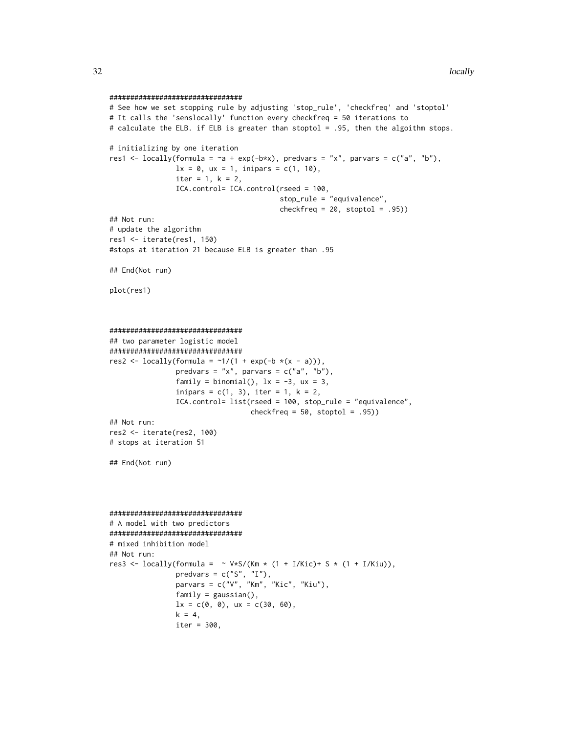```
################################
# See how we set stopping rule by adjusting 'stop_rule', 'checkfreq' and 'stoptol'
# It calls the 'senslocally' function every checkfreq = 50 iterations to
# calculate the ELB. if ELB is greater than stoptol = .95, then the algoithm stops.
# initializing by one iteration
res1 <- locally(formula = \sima + exp(-b*x), predvars = "x", parvars = c("a", "b"),
                1x = 0, ux = 1, inipars = c(1, 10),
                iter = 1, k = 2,ICA.control= ICA.control(rseed = 100,
                                          stop_rule = "equivalence",
                                          checkfreq = 20, stoptol = .95))
## Not run:
# update the algorithm
res1 <- iterate(res1, 150)
#stops at iteration 21 because ELB is greater than .95
## End(Not run)
plot(res1)
################################
## two parameter logistic model
################################
res2 <- locally(formula = \sim 1/(1 + \exp(-b \times (x - a))),
                predvars = "x", parvars = c("a", "b"),
                family = binomial(), 1x = -3, ux = 3,
                inipars = c(1, 3), iter = 1, k = 2,
                ICA.control= list(rseed = 100, stop_rule = "equivalence",
                                  checkfreq = 50, stoptol = .95)
## Not run:
res2 <- iterate(res2, 100)
# stops at iteration 51
## End(Not run)
################################
# A model with two predictors
################################
# mixed inhibition model
## Not run:
res3 <- locally(formula = \sim V*S/(Km * (1 + I/Kic)+ S * (1 + I/Kiu)),
                predvars = c("S", "I"),parvars = c("V", "Km", "Kic", "Kiu"),
                family = gaussian(),
                lx = c(0, 0), ux = c(30, 60),k = 4,iter = 300,
```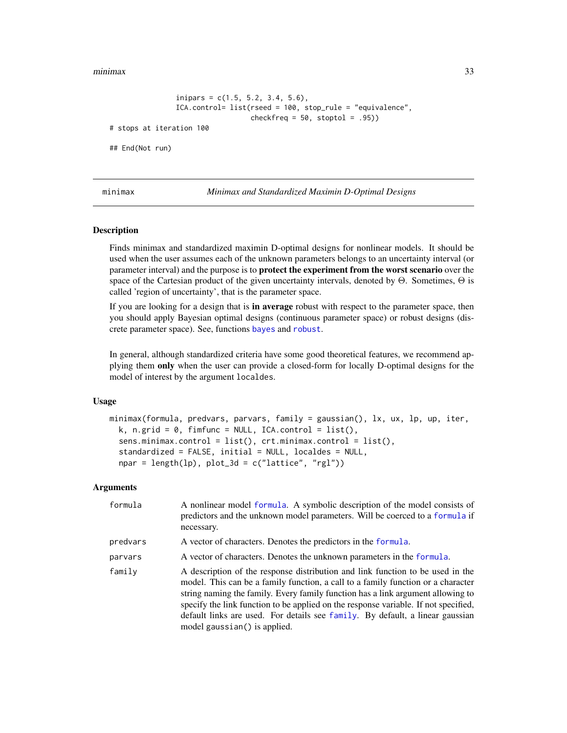<span id="page-32-0"></span>minimax 33

```
inipars = c(1.5, 5.2, 3.4, 5.6),
                ICA.control= list(rseed = 100, stop_rule = "equivalence",
                                  checkfreq = 50, stoptol = .95)
# stops at iteration 100
## End(Not run)
```
<span id="page-32-1"></span>

minimax *Minimax and Standardized Maximin D-Optimal Designs*

#### **Description**

Finds minimax and standardized maximin D-optimal designs for nonlinear models. It should be used when the user assumes each of the unknown parameters belongs to an uncertainty interval (or parameter interval) and the purpose is to protect the experiment from the worst scenario over the space of the Cartesian product of the given uncertainty intervals, denoted by  $\Theta$ . Sometimes,  $\Theta$  is called 'region of uncertainty', that is the parameter space.

If you are looking for a design that is **in average** robust with respect to the parameter space, then you should apply Bayesian optimal designs (continuous parameter space) or robust designs (discrete parameter space). See, functions [bayes](#page-1-1) and [robust](#page-49-1).

In general, although standardized criteria have some good theoretical features, we recommend applying them only when the user can provide a closed-form for locally D-optimal designs for the model of interest by the argument localdes.

# Usage

```
minimax(formula, predvars, parvars, family = gaussian(), lx, ux, lp, up, iter,
 k, n.grid = 0, fimfunc = NULL, ICA.control = list(),
  sens.minimax.control = list(), crt.minimax.control = list(),
  standardized = FALSE, initial = NULL, localdes = NULL,
 npar = length(ln), plot_3d = c("lattice", "rgl"))
```
#### Arguments

| formula  | A nonlinear model formula. A symbolic description of the model consists of<br>predictors and the unknown model parameters. Will be coerced to a formula if<br>necessary.                                                                                                                                                                                                                                                                                      |
|----------|---------------------------------------------------------------------------------------------------------------------------------------------------------------------------------------------------------------------------------------------------------------------------------------------------------------------------------------------------------------------------------------------------------------------------------------------------------------|
| predvars | A vector of characters. Denotes the predictors in the formula.                                                                                                                                                                                                                                                                                                                                                                                                |
| parvars  | A vector of characters. Denotes the unknown parameters in the formula.                                                                                                                                                                                                                                                                                                                                                                                        |
| family   | A description of the response distribution and link function to be used in the<br>model. This can be a family function, a call to a family function or a character<br>string naming the family. Every family function has a link argument allowing to<br>specify the link function to be applied on the response variable. If not specified,<br>default links are used. For details see family. By default, a linear gaussian<br>model gaussian() is applied. |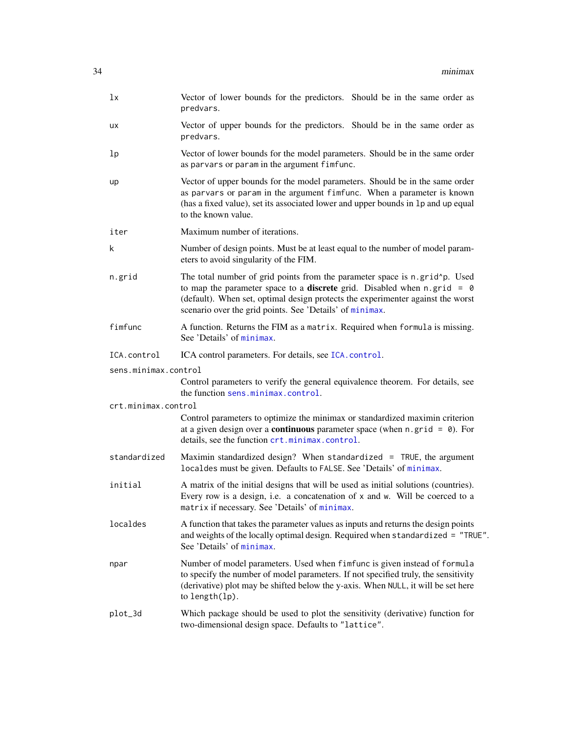| 1x                   | Vector of lower bounds for the predictors. Should be in the same order as<br>predvars.                                                                                                                                                                                                                               |
|----------------------|----------------------------------------------------------------------------------------------------------------------------------------------------------------------------------------------------------------------------------------------------------------------------------------------------------------------|
| ux                   | Vector of upper bounds for the predictors. Should be in the same order as<br>predvars.                                                                                                                                                                                                                               |
| 1p                   | Vector of lower bounds for the model parameters. Should be in the same order<br>as parvars or param in the argument fimfunc.                                                                                                                                                                                         |
| up                   | Vector of upper bounds for the model parameters. Should be in the same order<br>as parvars or param in the argument fimfunc. When a parameter is known<br>(has a fixed value), set its associated lower and upper bounds in 1p and up equal<br>to the known value.                                                   |
| iter                 | Maximum number of iterations.                                                                                                                                                                                                                                                                                        |
| k                    | Number of design points. Must be at least equal to the number of model param-<br>eters to avoid singularity of the FIM.                                                                                                                                                                                              |
| n.grid               | The total number of grid points from the parameter space is n.grid^p. Used<br>to map the parameter space to a <b>discrete</b> grid. Disabled when $n$ grid = $\theta$<br>(default). When set, optimal design protects the experimenter against the worst<br>scenario over the grid points. See 'Details' of minimax. |
| fimfunc              | A function. Returns the FIM as a matrix. Required when formula is missing.<br>See 'Details' of minimax.                                                                                                                                                                                                              |
| ICA.control          | ICA control parameters. For details, see ICA. control.                                                                                                                                                                                                                                                               |
| sens.minimax.control |                                                                                                                                                                                                                                                                                                                      |
|                      | Control parameters to verify the general equivalence theorem. For details, see<br>the function sens.minimax.control.                                                                                                                                                                                                 |
| crt.minimax.control  |                                                                                                                                                                                                                                                                                                                      |
|                      | Control parameters to optimize the minimax or standardized maximin criterion<br>at a given design over a <b>continuous</b> parameter space (when $n$ , grid = $\theta$ ). For<br>details, see the function crt.minimax.control.                                                                                      |
| standardized         | Maximin standardized design? When standardized = TRUE, the argument<br>localdes must be given. Defaults to FALSE. See 'Details' of minimax.                                                                                                                                                                          |
| initial              | A matrix of the initial designs that will be used as initial solutions (countries).<br>Every row is a design, i.e. a concatenation of x and w. Will be coerced to a<br>matrix if necessary. See 'Details' of minimax.                                                                                                |
| localdes             | A function that takes the parameter values as inputs and returns the design points<br>and weights of the locally optimal design. Required when standardized = "TRUE".<br>See 'Details' of minimax.                                                                                                                   |
| npar                 | Number of model parameters. Used when fimfunc is given instead of formula<br>to specify the number of model parameters. If not specified truly, the sensitivity<br>(derivative) plot may be shifted below the y-axis. When NULL, it will be set here<br>to length(lp).                                               |
| plot_3d              | Which package should be used to plot the sensitivity (derivative) function for<br>two-dimensional design space. Defaults to "lattice".                                                                                                                                                                               |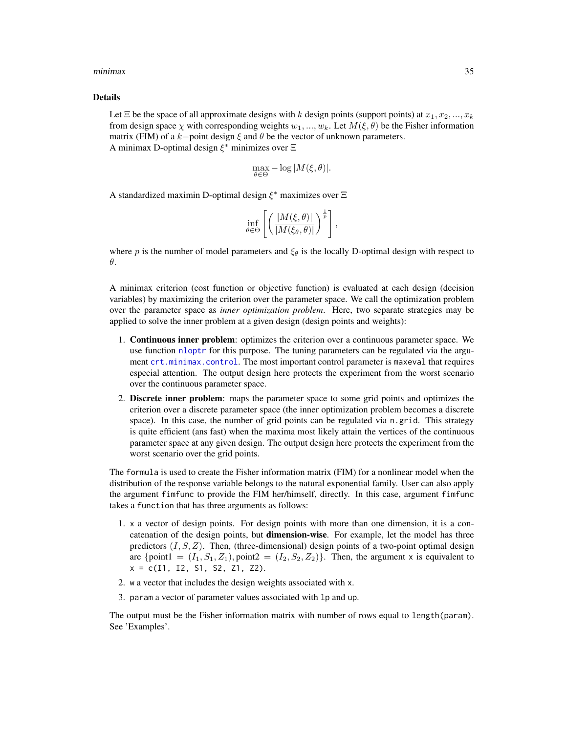#### minimax 35

#### Details

Let  $\Xi$  be the space of all approximate designs with k design points (support points) at  $x_1, x_2, ..., x_k$ from design space  $\chi$  with corresponding weights  $w_1, ..., w_k$ . Let  $M(\xi, \theta)$  be the Fisher information matrix (FIM) of a k−point design  $\xi$  and  $\theta$  be the vector of unknown parameters. A minimax D-optimal design  $\xi^*$  minimizes over  $\Xi$ 

$$
\max_{\theta \in \Theta} -\log |M(\xi, \theta)|.
$$

A standardized maximin D-optimal design  $\xi^*$  maximizes over  $\Xi$ 

$$
\inf_{\theta \in \Theta} \left[ \left( \frac{|M(\xi, \theta)|}{|M(\xi_{\theta}, \theta)|} \right)^{\frac{1}{p}} \right],
$$

where p is the number of model parameters and  $\xi_{\theta}$  is the locally D-optimal design with respect to θ.

A minimax criterion (cost function or objective function) is evaluated at each design (decision variables) by maximizing the criterion over the parameter space. We call the optimization problem over the parameter space as *inner optimization problem*. Here, two separate strategies may be applied to solve the inner problem at a given design (design points and weights):

- 1. Continuous inner problem: optimizes the criterion over a continuous parameter space. We use function [nloptr](#page-0-0) for this purpose. The tuning parameters can be regulated via the argument [crt.minimax.control](#page-14-1). The most important control parameter is maxeval that requires especial attention. The output design here protects the experiment from the worst scenario over the continuous parameter space.
- 2. Discrete inner problem: maps the parameter space to some grid points and optimizes the criterion over a discrete parameter space (the inner optimization problem becomes a discrete space). In this case, the number of grid points can be regulated via n.grid. This strategy is quite efficient (ans fast) when the maxima most likely attain the vertices of the continuous parameter space at any given design. The output design here protects the experiment from the worst scenario over the grid points.

The formula is used to create the Fisher information matrix (FIM) for a nonlinear model when the distribution of the response variable belongs to the natural exponential family. User can also apply the argument fimfunc to provide the FIM her/himself, directly. In this case, argument fimfunc takes a function that has three arguments as follows:

- 1. x a vector of design points. For design points with more than one dimension, it is a concatenation of the design points, but **dimension-wise**. For example, let the model has three predictors  $(I, S, Z)$ . Then, (three-dimensional) design points of a two-point optimal design are {point1 =  $(I_1, S_1, Z_1)$ , point2 =  $(I_2, S_2, Z_2)$ }. Then, the argument x is equivalent to  $x = c(11, 12, 51, 52, 71, 72)$ .
- 2. w a vector that includes the design weights associated with x.
- 3. param a vector of parameter values associated with lp and up.

The output must be the Fisher information matrix with number of rows equal to length(param). See 'Examples'.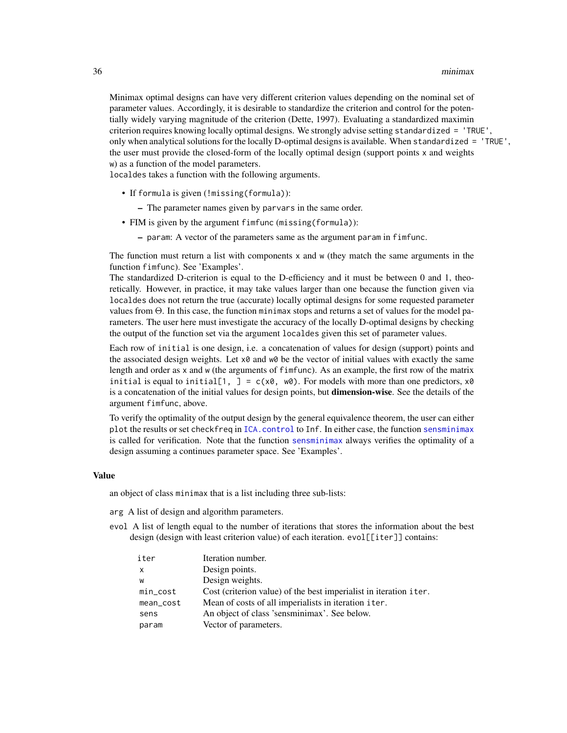Minimax optimal designs can have very different criterion values depending on the nominal set of parameter values. Accordingly, it is desirable to standardize the criterion and control for the potentially widely varying magnitude of the criterion (Dette, 1997). Evaluating a standardized maximin criterion requires knowing locally optimal designs. We strongly advise setting standardized = 'TRUE', only when analytical solutions for the locally D-optimal designs is available. When standardized = 'TRUE', the user must provide the closed-form of the locally optimal design (support points x and weights w) as a function of the model parameters.

localdes takes a function with the following arguments.

- If formula is given (!missing(formula)):
	- The parameter names given by parvars in the same order.
- FIM is given by the argument fimfunc (missing(formula)):
	- param: A vector of the parameters same as the argument param in fimfunc.

The function must return a list with components  $x$  and  $w$  (they match the same arguments in the function fimfunc). See 'Examples'.

The standardized D-criterion is equal to the D-efficiency and it must be between 0 and 1, theoretically. However, in practice, it may take values larger than one because the function given via localdes does not return the true (accurate) locally optimal designs for some requested parameter values from Θ. In this case, the function minimax stops and returns a set of values for the model parameters. The user here must investigate the accuracy of the locally D-optimal designs by checking the output of the function set via the argument localdes given this set of parameter values.

Each row of initial is one design, i.e. a concatenation of values for design (support) points and the associated design weights. Let  $x \theta$  and  $w \theta$  be the vector of initial values with exactly the same length and order as x and w (the arguments of fimfunc). As an example, the first row of the matrix initial is equal to initial[1,  $J = c(x0, w0)$ . For models with more than one predictors,  $x0$ is a concatenation of the initial values for design points, but dimension-wise. See the details of the argument fimfunc, above.

To verify the optimality of the output design by the general equivalence theorem, the user can either plot the results or set checkfreq in [ICA.control](#page-23-1) to Inf. In either case, the function [sensminimax](#page-64-1) is called for verification. Note that the function [sensminimax](#page-64-1) always verifies the optimality of a design assuming a continues parameter space. See 'Examples'.

#### Value

an object of class minimax that is a list including three sub-lists:

- arg A list of design and algorithm parameters.
- evol A list of length equal to the number of iterations that stores the information about the best design (design with least criterion value) of each iteration. evol[[iter]] contains:

| iter         | Iteration number.                                                 |
|--------------|-------------------------------------------------------------------|
| $\mathsf{x}$ | Design points.                                                    |
| W            | Design weights.                                                   |
| min_cost     | Cost (criterion value) of the best imperialist in iteration iter. |
| mean_cost    | Mean of costs of all imperialists in iteration iter.              |
| sens         | An object of class 'sensminimax'. See below.                      |
| param        | Vector of parameters.                                             |
|              |                                                                   |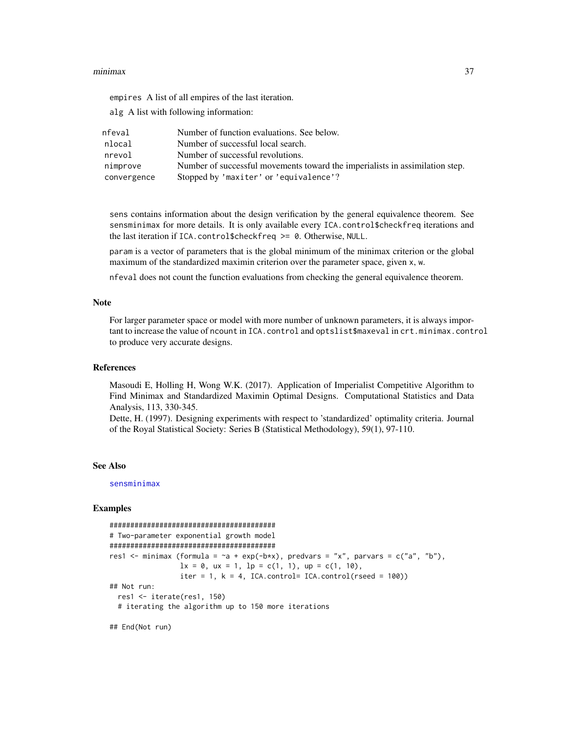### minimax 37

empires A list of all empires of the last iteration.

alg A list with following information:

| nfeval      | Number of function evaluations. See below.                                   |
|-------------|------------------------------------------------------------------------------|
| nlocal      | Number of successful local search.                                           |
| nrevol      | Number of successful revolutions.                                            |
| nimprove    | Number of successful movements toward the imperialists in assimilation step. |
| convergence | Stopped by 'maxiter' or 'equivalence'?                                       |

sens contains information about the design verification by the general equivalence theorem. See sensminimax for more details. It is only available every ICA.control\$checkfreq iterations and the last iteration if ICA.control\$checkfreq >= 0. Otherwise, NULL.

param is a vector of parameters that is the global minimum of the minimax criterion or the global maximum of the standardized maximin criterion over the parameter space, given x, w.

nfeval does not count the function evaluations from checking the general equivalence theorem.

### Note

For larger parameter space or model with more number of unknown parameters, it is always important to increase the value of ncount in ICA.control and optslist\$maxeval in crt.minimax.control to produce very accurate designs.

#### References

Masoudi E, Holling H, Wong W.K. (2017). Application of Imperialist Competitive Algorithm to Find Minimax and Standardized Maximin Optimal Designs. Computational Statistics and Data Analysis, 113, 330-345.

Dette, H. (1997). Designing experiments with respect to 'standardized' optimality criteria. Journal of the Royal Statistical Society: Series B (Statistical Methodology), 59(1), 97-110.

## See Also

[sensminimax](#page-64-0)

# Examples

```
########################################
# Two-parameter exponential growth model
########################################
res1 <- minimax (formula = \alpha + exp(-b*x), predvars = "x", parvars = c("a", "b"),1x = 0, ux = 1, 1p = c(1, 1), up = c(1, 10),
                 iter = 1, k = 4, ICA.control= ICA.control(rseed = 100))
## Not run:
 res1 <- iterate(res1, 150)
 # iterating the algorithm up to 150 more iterations
```
## End(Not run)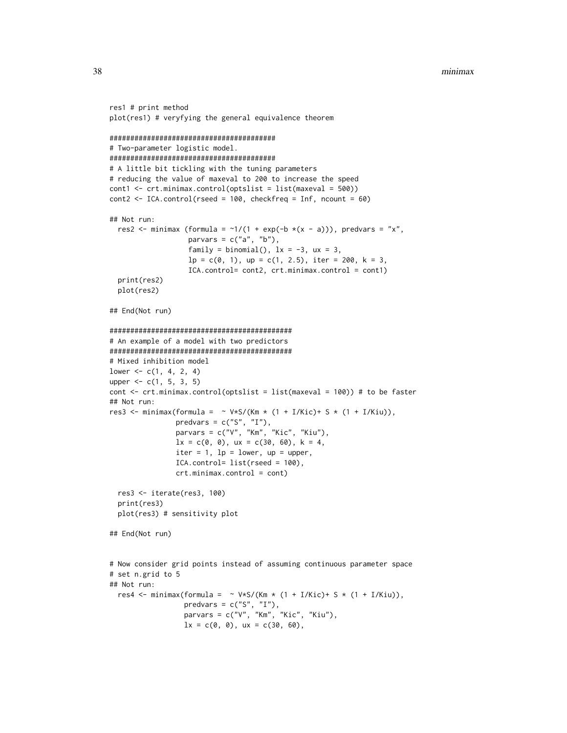```
res1 # print method
plot(res1) # veryfying the general equivalence theorem
########################################
# Two-parameter logistic model.
########################################
# A little bit tickling with the tuning parameters
# reducing the value of maxeval to 200 to increase the speed
cont1 <- crt.minimax.control(optslist = list(maxeval = 500))
\text{cont2} \leq \text{ICA}.\text{control}(\text{rseed} = 100, \text{ checkfreq} = \text{Inf}, \text{ncount} = 60)## Not run:
 res2 <- minimax (formula = \sim 1/(1 + \exp(-b \times (x - a))), predvars = "x",
                   parvars = c("a", "b"),
                   family = binomial(), 1x = -3, ux = 3,
                   lp = c(0, 1), up = c(1, 2.5), iter = 200, k = 3,ICA.control= cont2, crt.minimax.control = cont1)
 print(res2)
 plot(res2)
## End(Not run)
############################################
# An example of a model with two predictors
############################################
# Mixed inhibition model
lower <-c(1, 4, 2, 4)upper <- c(1, 5, 3, 5)
cont <- crt.minimax.control(optslist = list(maxeval = 100)) # to be faster
## Not run:
res3 <- minimax(formula = \sim V*S/(Km * (1 + I/Kic)+ S * (1 + I/Kiu)),
                predvars = c("S", "I"),parvars = c("V", "Km", "Kic", "Kiu"),
                lx = c(0, 0), ux = c(30, 60), k = 4,iter = 1, lp = lower, up = upper,
                ICA.control= list(rseed = 100),
                crt.minimax.control = cont)
 res3 <- iterate(res3, 100)
 print(res3)
 plot(res3) # sensitivity plot
## End(Not run)
# Now consider grid points instead of assuming continuous parameter space
# set n.grid to 5
## Not run:
 res4 <- minimax(formula = \sim V*S/(Km * (1 + I/Kic)+ S * (1 + I/Kiu)),
                  predvars = c("S", "I"),parvars = c("V", "Km", "Kic", "Kiu"),
                  lx = c(0, 0), ux = c(30, 60),
```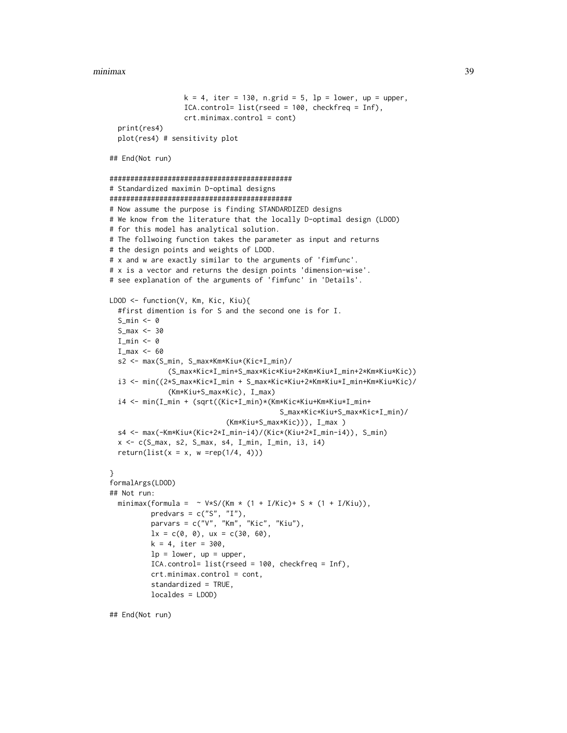```
k = 4, iter = 130, n.grid = 5, lp = lower, up = upper,
                  ICA.control= list(rseed = 100, checkfreq = Inf),
                  crt.minimax.control = cont)
  print(res4)
  plot(res4) # sensitivity plot
## End(Not run)
############################################
# Standardized maximin D-optimal designs
############################################
# Now assume the purpose is finding STANDARDIZED designs
# We know from the literature that the locally D-optimal design (LDOD)
# for this model has analytical solution.
# The follwoing function takes the parameter as input and returns
# the design points and weights of LDOD.
# x and w are exactly similar to the arguments of 'fimfunc'.
# x is a vector and returns the design points 'dimension-wise'.
# see explanation of the arguments of 'fimfunc' in 'Details'.
LDOD <- function(V, Km, Kic, Kiu){
  #first dimention is for S and the second one is for I.
  S min <- 0
  S_max <- 30
  I_min <- 0
  I_{max} < -60s2 <- max(S_min, S_max*Km*Kiu*(Kic+I_min)/
              (S_max*Kic*I_min+S_max*Kic*Kiu+2*Km*Kiu*I_min+2*Km*Kiu*Kic))
  i3 <- min((2*S_max*Kic*I_min + S_max*Kic*Kiu+2*Km*Kiu*I_min+Km*Kiu*Kic)/
              (Km*Kiu+S_max*Kic), I_max)
  i4 <- min(I_min + (sqrt((Kic+I_min)*(Km*Kic*Kiu+Km*Kiu*I_min+
                                         S_max*Kic*Kiu+S_max*Kic*I_min)/
                            (Km*Kiu+S_max*Kic))), I_max )
  s4 <- max(-Km*Kiu*(Kic+2*I_min-i4)/(Kic*(Kiu+2*I_min-i4)), S_min)
  x <- c(S_max, s2, S_max, s4, I_min, I_min, i3, i4)
  return(list(x = x, w = rep(1/4, 4)))}
formalArgs(LDOD)
## Not run:
  minimax(formula = \sim V*S/(Km * (1 + I/Kic)+ S * (1 + I/Kiu)),
          predvars = c("S", "I"),parvars = c("V", "Km", "Kic", "Kiu"),
          lx = c(0, 0), ux = c(30, 60),k = 4, iter = 300,
          lp = lower, up = upper,ICA.control= list(rseed = 100, checkfreq = Inf),
          crt.minimax.control = cont,
          standardized = TRUE,
          localdes = LDOD)
```
## End(Not run)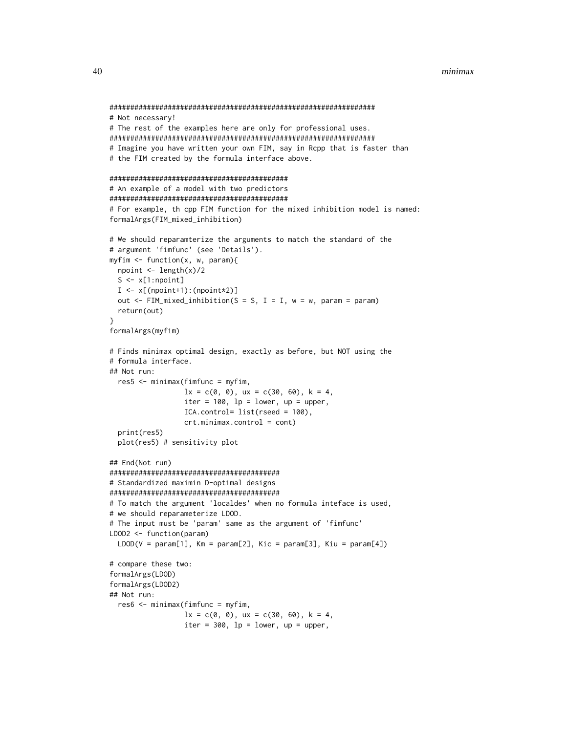```
################################################################
# Not necessary!
# The rest of the examples here are only for professional uses.
################################################################
# Imagine you have written your own FIM, say in Rcpp that is faster than
# the FIM created by the formula interface above.
###########################################
# An example of a model with two predictors
###########################################
# For example, th cpp FIM function for the mixed inhibition model is named:
formalArgs(FIM_mixed_inhibition)
# We should reparamterize the arguments to match the standard of the
# argument 'fimfunc' (see 'Details').
myfim <- function(x, w, param){
 npoint <- length(x)/2
  S \leftarrow x[1:npoint]I \leftarrow x[(\text{npoint+1}):(\text{npoint+2})]out \leq FIM_mixed_inhibition(S = S, I = I, w = w, param = param)
  return(out)
}
formalArgs(myfim)
# Finds minimax optimal design, exactly as before, but NOT using the
# formula interface.
## Not run:
  res5 <- minimax(fimfunc = myfim,
                  lx = c(0, 0), ux = c(30, 60), k = 4,iter = 100, lp = lower, up = upper,
                  ICA.control= list(rseed = 100),
                  crt.minimax.control = cont)
  print(res5)
  plot(res5) # sensitivity plot
## End(Not run)
#########################################
# Standardized maximin D-optimal designs
#########################################
# To match the argument 'localdes' when no formula inteface is used,
# we should reparameterize LDOD.
# The input must be 'param' same as the argument of 'fimfunc'
LDOD2 <- function(param)
  LDOD(V = param[1], Km = param[2], Kic = param[3], Kiu = param[4])# compare these two:
formalArgs(LDOD)
formalArgs(LDOD2)
## Not run:
  res6 <- minimax(fimfunc = myfim,
                  lx = c(0, 0), ux = c(30, 60), k = 4,iter = 300, lp = lower, up = upper,
```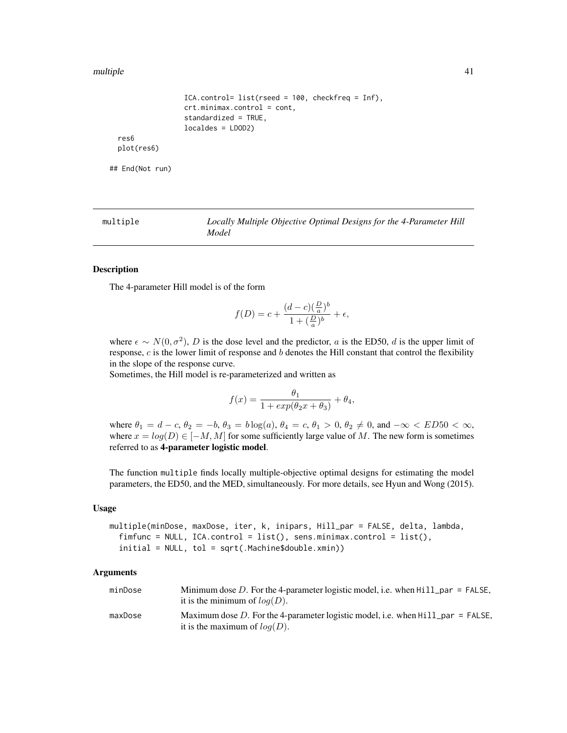### multiple that the contract of the contract of the contract of the contract of the contract of the contract of the contract of the contract of the contract of the contract of the contract of the contract of the contract of

```
ICA.control= list(rseed = 100, checkfreq = Inf),
                crt.minimax.control = cont,
                standardized = TRUE,
                localdes = LDOD2)
res6
plot(res6)
```
## End(Not run)

multiple *Locally Multiple Objective Optimal Designs for the 4-Parameter Hill Model*

# Description

The 4-parameter Hill model is of the form

$$
f(D) = c + \frac{(d-c)(\frac{D}{a})^b}{1+(\frac{D}{a})^b} + \epsilon,
$$

where  $\epsilon \sim N(0, \sigma^2)$ , D is the dose level and the predictor, a is the ED50, d is the upper limit of response,  $c$  is the lower limit of response and  $b$  denotes the Hill constant that control the flexibility in the slope of the response curve.

Sometimes, the Hill model is re-parameterized and written as

$$
f(x) = \frac{\theta_1}{1 + exp(\theta_2 x + \theta_3)} + \theta_4,
$$

where  $\theta_1 = d - c$ ,  $\theta_2 = -b$ ,  $\theta_3 = b \log(a)$ ,  $\theta_4 = c$ ,  $\theta_1 > 0$ ,  $\theta_2 \neq 0$ , and  $-\infty < E D 50 < \infty$ , where  $x = log(D) \in [-M, M]$  for some sufficiently large value of M. The new form is sometimes referred to as 4-parameter logistic model.

The function multiple finds locally multiple-objective optimal designs for estimating the model parameters, the ED50, and the MED, simultaneously. For more details, see Hyun and Wong (2015).

### Usage

```
multiple(minDose, maxDose, iter, k, inipars, Hill_par = FALSE, delta, lambda,
  fimfunc = NULL, ICA.control = list(), sens.minimax.control = list(),
  initial = NULL, tol = sqrt(.Machine$double.xmin))
```

| minDose | Minimum dose D. For the 4-parameter logistic model, i.e. when $Hill$ par = FALSE,<br>it is the minimum of $log(D)$ . |
|---------|----------------------------------------------------------------------------------------------------------------------|
| maxDose | Maximum dose D. For the 4-parameter logistic model, i.e. when $HilL$ par = FALSE,<br>it is the maximum of $log(D)$ . |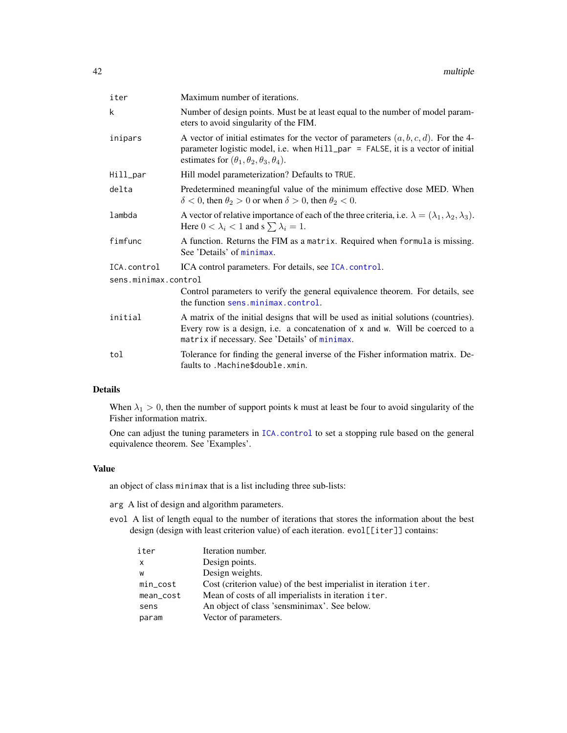| iter                 | Maximum number of iterations.                                                                                                                                                                                                           |  |
|----------------------|-----------------------------------------------------------------------------------------------------------------------------------------------------------------------------------------------------------------------------------------|--|
| k                    | Number of design points. Must be at least equal to the number of model param-<br>eters to avoid singularity of the FIM.                                                                                                                 |  |
| inipars              | A vector of initial estimates for the vector of parameters $(a, b, c, d)$ . For the 4-<br>parameter logistic model, i.e. when Hill_par = FALSE, it is a vector of initial<br>estimates for $(\theta_1, \theta_2, \theta_3, \theta_4)$ . |  |
| Hill_par             | Hill model parameterization? Defaults to TRUE.                                                                                                                                                                                          |  |
| delta                | Predetermined meaningful value of the minimum effective dose MED. When<br>$\delta$ < 0, then $\theta_2$ > 0 or when $\delta$ > 0, then $\theta_2$ < 0.                                                                                  |  |
| lambda               | A vector of relative importance of each of the three criteria, i.e. $\lambda = (\lambda_1, \lambda_2, \lambda_3)$ .<br>Here $0 < \lambda_i < 1$ and s $\sum \lambda_i = 1$ .                                                            |  |
| fimfunc              | A function. Returns the FIM as a matrix. Required when formula is missing.<br>See 'Details' of minimax.                                                                                                                                 |  |
| ICA.control          | ICA control parameters. For details, see ICA. control.                                                                                                                                                                                  |  |
| sens.minimax.control |                                                                                                                                                                                                                                         |  |
|                      | Control parameters to verify the general equivalence theorem. For details, see<br>the function sens.minimax.control.                                                                                                                    |  |
| initial              | A matrix of the initial designs that will be used as initial solutions (countries).<br>Every row is a design, i.e. a concatenation of x and w. Will be coerced to a<br>matrix if necessary. See 'Details' of minimax.                   |  |
| tol                  | Tolerance for finding the general inverse of the Fisher information matrix. De-<br>faults to . Machine\$double. xmin.                                                                                                                   |  |

# Details

When  $\lambda_1 > 0$ , then the number of support points k must at least be four to avoid singularity of the Fisher information matrix.

One can adjust the tuning parameters in [ICA.control](#page-23-0) to set a stopping rule based on the general equivalence theorem. See 'Examples'.

# Value

an object of class minimax that is a list including three sub-lists:

- arg A list of design and algorithm parameters.
- evol A list of length equal to the number of iterations that stores the information about the best design (design with least criterion value) of each iteration. evol[[iter]] contains:

| iter         | Iteration number.                                                 |
|--------------|-------------------------------------------------------------------|
| $\mathsf{x}$ | Design points.                                                    |
| W            | Design weights.                                                   |
| $min\_cost$  | Cost (criterion value) of the best imperialist in iteration iter. |
| mean_cost    | Mean of costs of all imperialists in iteration iter.              |
| sens         | An object of class 'sensminimax'. See below.                      |
| param        | Vector of parameters.                                             |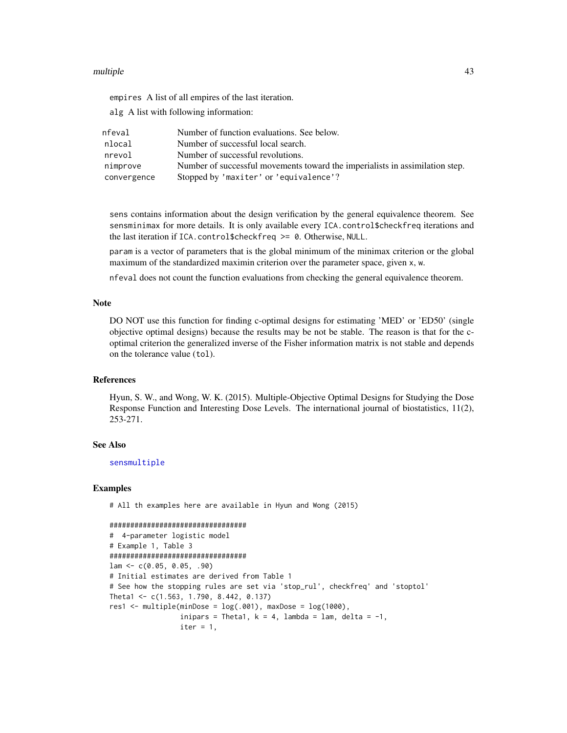### multiple that the contract of the contract of the contract of the contract of the contract of the contract of the contract of the contract of the contract of the contract of the contract of the contract of the contract of

empires A list of all empires of the last iteration.

alg A list with following information:

| nfeval      | Number of function evaluations. See below.                                   |
|-------------|------------------------------------------------------------------------------|
| nlocal      | Number of successful local search.                                           |
| nrevol      | Number of successful revolutions.                                            |
| nimprove    | Number of successful movements toward the imperialists in assimilation step. |
| convergence | Stopped by 'maxiter' or 'equivalence'?                                       |

sens contains information about the design verification by the general equivalence theorem. See sensminimax for more details. It is only available every ICA.control\$checkfreq iterations and the last iteration if ICA.control\$checkfreq >= 0. Otherwise, NULL.

param is a vector of parameters that is the global minimum of the minimax criterion or the global maximum of the standardized maximin criterion over the parameter space, given x, w.

nfeval does not count the function evaluations from checking the general equivalence theorem.

### Note

DO NOT use this function for finding c-optimal designs for estimating 'MED' or 'ED50' (single objective optimal designs) because the results may be not be stable. The reason is that for the coptimal criterion the generalized inverse of the Fisher information matrix is not stable and depends on the tolerance value (tol).

## **References**

Hyun, S. W., and Wong, W. K. (2015). Multiple-Objective Optimal Designs for Studying the Dose Response Function and Interesting Dose Levels. The international journal of biostatistics, 11(2), 253-271.

### See Also

[sensmultiple](#page-71-0)

### Examples

# All th examples here are available in Hyun and Wong (2015)

```
#################################
```

```
# 4-parameter logistic model
# Example 1, Table 3
#################################
lam \leftarrow c(0.05, 0.05, .90)# Initial estimates are derived from Table 1
# See how the stopping rules are set via 'stop_rul', checkfreq' and 'stoptol'
Theta1 <- c(1.563, 1.790, 8.442, 0.137)
res1 \leq - multiple(minDose = log(.001), maxDose = log(1000),
                 inipars = Theta1, k = 4, lambda = lam, delta = -1,
                 iter = 1,
```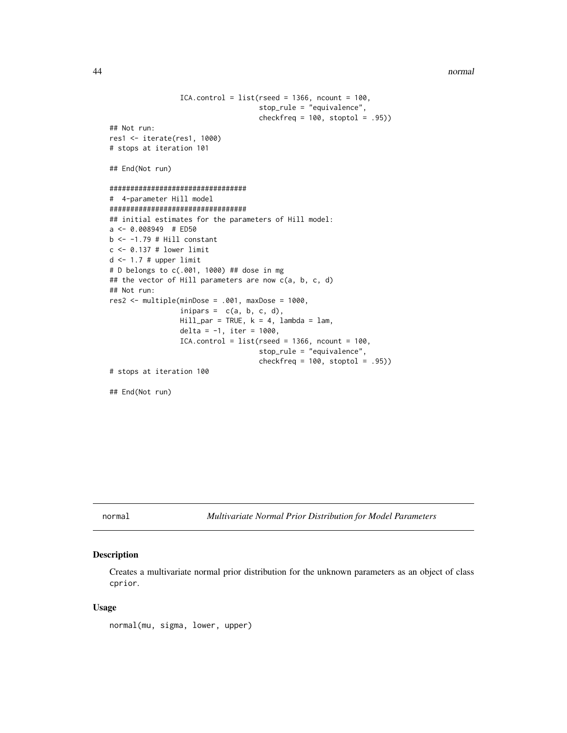44 normal

```
ICA.contrib = list(rseed = 1366, ncount = 100,stop_rule = "equivalence",
                                    checkfreq = 100, stoptol = .95)## Not run:
res1 <- iterate(res1, 1000)
# stops at iteration 101
## End(Not run)
#################################
# 4-parameter Hill model
#################################
## initial estimates for the parameters of Hill model:
a <- 0.008949 # ED50
b \le -1.79 # Hill constant
c <- 0.137 # lower limit
d \le -1.7 # upper limit
# D belongs to c(.001, 1000) ## dose in mg
## the vector of Hill parameters are now c(a, b, c, d)
## Not run:
res2 < - multiple(minDose = .001, maxDose = 1000,
                 inipars = c(a, b, c, d),
                 Hill\_par = TRUE, k = 4, lambda = lam,delta = -1, iter = 1000,
                 ICA.contrib = list(rseed = 1366, ncount = 100,stop_rule = "equivalence",
                                    checkfreq = 100, stoptol = .95)# stops at iteration 100
## End(Not run)
```
<span id="page-43-0"></span>normal *Multivariate Normal Prior Distribution for Model Parameters*

# Description

Creates a multivariate normal prior distribution for the unknown parameters as an object of class cprior.

### Usage

normal(mu, sigma, lower, upper)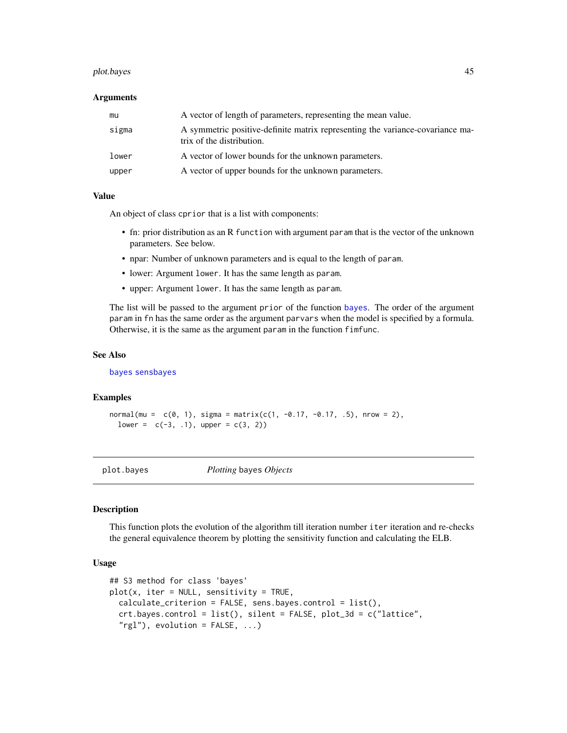### plot.bayes 45

#### Arguments

| mu    | A vector of length of parameters, representing the mean value.                                             |
|-------|------------------------------------------------------------------------------------------------------------|
| sigma | A symmetric positive-definite matrix representing the variance-covariance ma-<br>trix of the distribution. |
| lower | A vector of lower bounds for the unknown parameters.                                                       |
| upper | A vector of upper bounds for the unknown parameters.                                                       |

#### Value

An object of class cprior that is a list with components:

- fn: prior distribution as an R function with argument param that is the vector of the unknown parameters. See below.
- npar: Number of unknown parameters and is equal to the length of param.
- lower: Argument lower. It has the same length as param.
- upper: Argument lower. It has the same length as param.

The list will be passed to the argument prior of the function [bayes](#page-1-0). The order of the argument param in fn has the same order as the argument parvars when the model is specified by a formula. Otherwise, it is the same as the argument param in the function fimfunc.

#### See Also

[bayes](#page-1-0) [sensbayes](#page-56-0)

#### Examples

```
normal(m = c(0, 1), sigma = matrix(c(1, -0.17, -0.17, .5), nrow = 2),lower = c(-3, 1), upper = c(3, 2)
```
plot.bayes *Plotting* bayes *Objects*

## Description

This function plots the evolution of the algorithm till iteration number iter iteration and re-checks the general equivalence theorem by plotting the sensitivity function and calculating the ELB.

## Usage

```
## S3 method for class 'bayes'
plot(x, iter = NULL, sensitivity = TRUE,calculate_criterion = FALSE, sens.bayes.control = list(),
 crt.bayes.control = list(), silent = FALSE, plot_3d = c("lattice",
  "rgl"), evolution = FALSE, ...)
```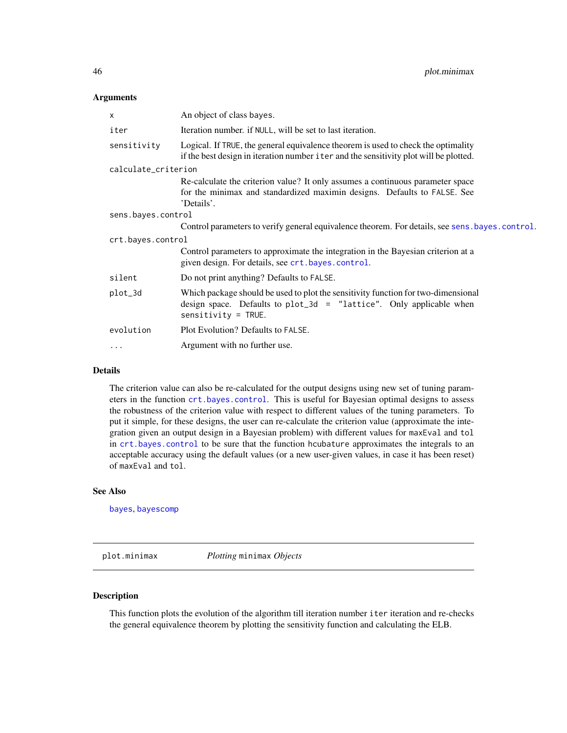## Arguments

| An object of class bayes.                                                                                                                                                           |  |
|-------------------------------------------------------------------------------------------------------------------------------------------------------------------------------------|--|
| Iteration number. if NULL, will be set to last iteration.                                                                                                                           |  |
| Logical. If TRUE, the general equivalence theorem is used to check the optimality<br>if the best design in iteration number i ter and the sensitivity plot will be plotted.         |  |
| calculate_criterion                                                                                                                                                                 |  |
| Re-calculate the criterion value? It only assumes a continuous parameter space<br>for the minimax and standardized maximin designs. Defaults to FALSE. See<br>'Details'.            |  |
| sens.bayes.control                                                                                                                                                                  |  |
| Control parameters to verify general equivalence theorem. For details, see sens. bayes. control.                                                                                    |  |
| crt.bayes.control                                                                                                                                                                   |  |
| Control parameters to approximate the integration in the Bayesian criterion at a<br>given design. For details, see crt.bayes.control.                                               |  |
| Do not print anything? Defaults to FALSE.                                                                                                                                           |  |
| Which package should be used to plot the sensitivity function for two-dimensional<br>design space. Defaults to $plot_3d = "lattice".$ Only applicable when<br>$sensitivity = TRUE.$ |  |
| Plot Evolution? Defaults to FALSE.                                                                                                                                                  |  |
| Argument with no further use.                                                                                                                                                       |  |
|                                                                                                                                                                                     |  |

# Details

The criterion value can also be re-calculated for the output designs using new set of tuning parameters in the function [crt.bayes.control](#page-13-0). This is useful for Bayesian optimal designs to assess the robustness of the criterion value with respect to different values of the tuning parameters. To put it simple, for these designs, the user can re-calculate the criterion value (approximate the integration given an output design in a Bayesian problem) with different values for maxEval and tol in [crt.bayes.control](#page-13-0) to be sure that the function hcubature approximates the integrals to an acceptable accuracy using the default values (or a new user-given values, in case it has been reset) of maxEval and tol.

#### See Also

[bayes](#page-1-0), [bayescomp](#page-10-0)

plot.minimax *Plotting* minimax *Objects*

# Description

This function plots the evolution of the algorithm till iteration number iter iteration and re-checks the general equivalence theorem by plotting the sensitivity function and calculating the ELB.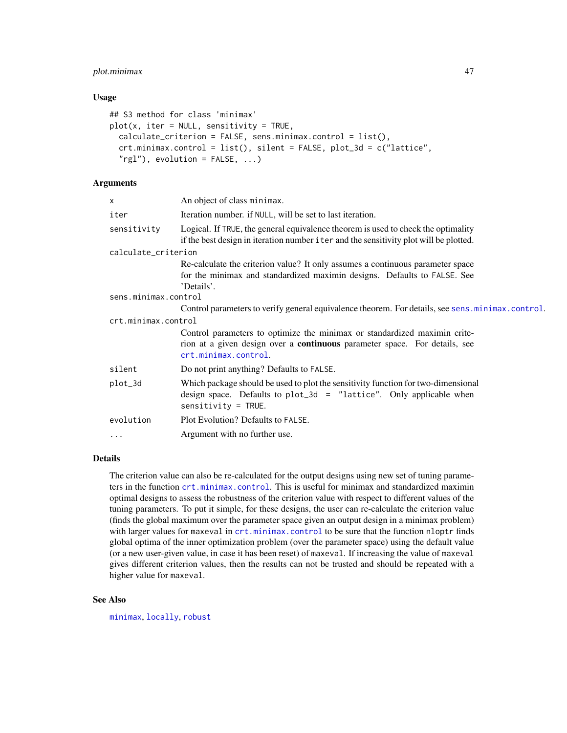# plot.minimax 47

## Usage

```
## S3 method for class 'minimax'
plot(x, iter = NULL, sensitivity = TRUE,calculate_criterion = FALSE, sens.minimax.control = list(),
  crt.minimax.control = list(), silent = FALSE, plot_3d = c("lattice",
  "rgl"), evolution = FALSE, ...)
```
# Arguments

| X                    | An object of class minimax.                                                                                                                                                            |  |
|----------------------|----------------------------------------------------------------------------------------------------------------------------------------------------------------------------------------|--|
| iter                 | Iteration number. if NULL, will be set to last iteration.                                                                                                                              |  |
| sensitivity          | Logical. If TRUE, the general equivalence theorem is used to check the optimality<br>if the best design in iteration number i ter and the sensitivity plot will be plotted.            |  |
| calculate_criterion  |                                                                                                                                                                                        |  |
|                      | Re-calculate the criterion value? It only assumes a continuous parameter space<br>for the minimax and standardized maximin designs. Defaults to FALSE. See<br>'Details'.               |  |
| sens.minimax.control |                                                                                                                                                                                        |  |
|                      | Control parameters to verify general equivalence theorem. For details, see sens. minimax.control.                                                                                      |  |
| crt.minimax.control  |                                                                                                                                                                                        |  |
|                      | Control parameters to optimize the minimax or standardized maximin crite-<br>rion at a given design over a <b>continuous</b> parameter space. For details, see<br>crt.minimax.control. |  |
| silent               | Do not print anything? Defaults to FALSE.                                                                                                                                              |  |
| plot_3d              | Which package should be used to plot the sensitivity function for two-dimensional<br>design space. Defaults to $plot_3d = "lattice".$ Only applicable when<br>$sensitivity = TRUE.$    |  |
| evolution            | Plot Evolution? Defaults to FALSE.                                                                                                                                                     |  |
| $\cdots$             | Argument with no further use.                                                                                                                                                          |  |
|                      |                                                                                                                                                                                        |  |

## Details

The criterion value can also be re-calculated for the output designs using new set of tuning parameters in the function [crt.minimax.control](#page-14-0). This is useful for minimax and standardized maximin optimal designs to assess the robustness of the criterion value with respect to different values of the tuning parameters. To put it simple, for these designs, the user can re-calculate the criterion value (finds the global maximum over the parameter space given an output design in a minimax problem) with larger values for maxeval in [crt.minimax.control](#page-14-0) to be sure that the function nloptr finds global optima of the inner optimization problem (over the parameter space) using the default value (or a new user-given value, in case it has been reset) of maxeval. If increasing the value of maxeval gives different criterion values, then the results can not be trusted and should be repeated with a higher value for maxeval.

## See Also

[minimax](#page-32-0), [locally](#page-28-0), [robust](#page-49-0)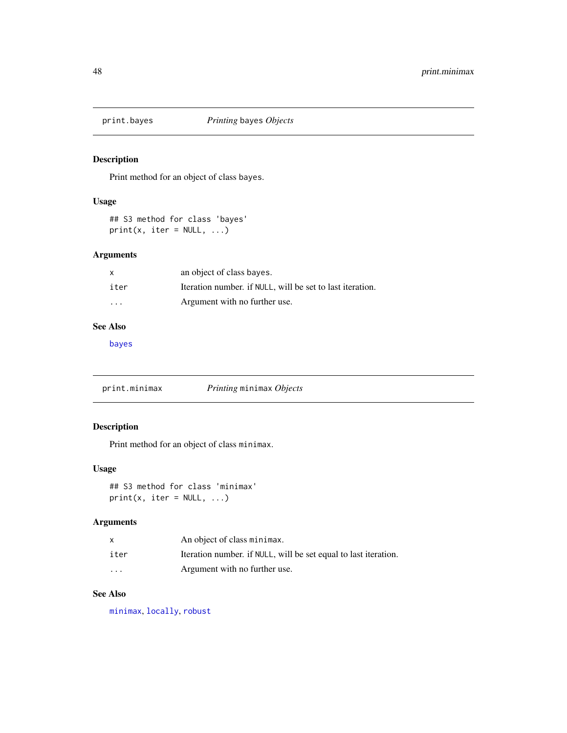# Description

Print method for an object of class bayes.

# Usage

```
## S3 method for class 'bayes'
print(x, iter = NULL, ...)
```
# Arguments

| X                 | an object of class bayes.                                 |
|-------------------|-----------------------------------------------------------|
| iter              | Iteration number, if NULL, will be set to last iteration. |
| $\cdot\cdot\cdot$ | Argument with no further use.                             |

# See Also

[bayes](#page-1-0)

print.minimax *Printing* minimax *Objects*

# Description

Print method for an object of class minimax.

# Usage

## S3 method for class 'minimax'  $print(x, iter = NULL, ...)$ 

# Arguments

|                         | An object of class minimax.                                     |
|-------------------------|-----------------------------------------------------------------|
| iter                    | Iteration number. if NULL, will be set equal to last iteration. |
| $\cdot$ $\cdot$ $\cdot$ | Argument with no further use.                                   |

# See Also

[minimax](#page-32-0), [locally](#page-28-0), [robust](#page-49-0)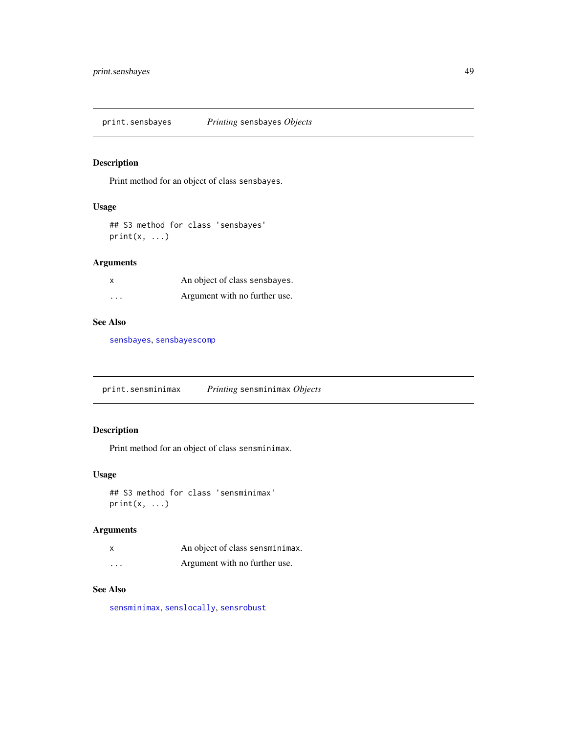print.sensbayes *Printing* sensbayes *Objects*

# Description

Print method for an object of class sensbayes.

## Usage

```
## S3 method for class 'sensbayes'
print(x, \ldots)
```
# Arguments

| $\boldsymbol{\mathsf{x}}$ | An object of class sensbayes. |
|---------------------------|-------------------------------|
| $\cdots$                  | Argument with no further use. |

# See Also

[sensbayes](#page-56-0), [sensbayescomp](#page-59-0)

print.sensminimax *Printing* sensminimax *Objects*

# Description

Print method for an object of class sensminimax.

## Usage

```
## S3 method for class 'sensminimax'
print(x, \ldots)
```
# Arguments

|          | An object of class sensminimax. |
|----------|---------------------------------|
| $\cdots$ | Argument with no further use.   |

# See Also

[sensminimax](#page-64-0), [senslocally](#page-61-0), [sensrobust](#page-74-0)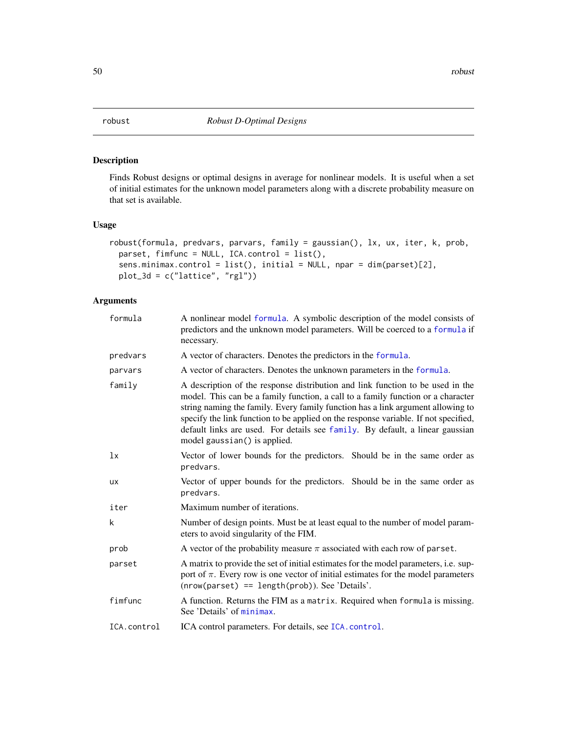<span id="page-49-0"></span>

# Description

Finds Robust designs or optimal designs in average for nonlinear models. It is useful when a set of initial estimates for the unknown model parameters along with a discrete probability measure on that set is available.

## Usage

```
robust(formula, predvars, parvars, family = gaussian(), lx, ux, iter, k, prob,
 parset, fimfunc = NULL, ICA.control = list(),
 sens.minimax.control = list(), initial = NULL, npar = dim(parset)[2],
 plot_3d = c("lattice", "rgl"))
```

| formula     | A nonlinear model formula. A symbolic description of the model consists of<br>predictors and the unknown model parameters. Will be coerced to a formula if<br>necessary.                                                                                                                                                                                                                                                                                      |
|-------------|---------------------------------------------------------------------------------------------------------------------------------------------------------------------------------------------------------------------------------------------------------------------------------------------------------------------------------------------------------------------------------------------------------------------------------------------------------------|
| predvars    | A vector of characters. Denotes the predictors in the formula.                                                                                                                                                                                                                                                                                                                                                                                                |
| parvars     | A vector of characters. Denotes the unknown parameters in the formula.                                                                                                                                                                                                                                                                                                                                                                                        |
| family      | A description of the response distribution and link function to be used in the<br>model. This can be a family function, a call to a family function or a character<br>string naming the family. Every family function has a link argument allowing to<br>specify the link function to be applied on the response variable. If not specified,<br>default links are used. For details see family. By default, a linear gaussian<br>model gaussian() is applied. |
| 1x          | Vector of lower bounds for the predictors. Should be in the same order as<br>predvars.                                                                                                                                                                                                                                                                                                                                                                        |
| <b>UX</b>   | Vector of upper bounds for the predictors. Should be in the same order as<br>predvars.                                                                                                                                                                                                                                                                                                                                                                        |
| iter        | Maximum number of iterations.                                                                                                                                                                                                                                                                                                                                                                                                                                 |
| k           | Number of design points. Must be at least equal to the number of model param-<br>eters to avoid singularity of the FIM.                                                                                                                                                                                                                                                                                                                                       |
| prob        | A vector of the probability measure $\pi$ associated with each row of parset.                                                                                                                                                                                                                                                                                                                                                                                 |
| parset      | A matrix to provide the set of initial estimates for the model parameters, <i>i.e.</i> sup-<br>port of $\pi$ . Every row is one vector of initial estimates for the model parameters<br>$(nrow(parest) == length(prob))$ . See 'Details'.                                                                                                                                                                                                                     |
| fimfunc     | A function. Returns the FIM as a matrix. Required when formula is missing.<br>See 'Details' of minimax.                                                                                                                                                                                                                                                                                                                                                       |
| ICA.control | ICA control parameters. For details, see ICA. control.                                                                                                                                                                                                                                                                                                                                                                                                        |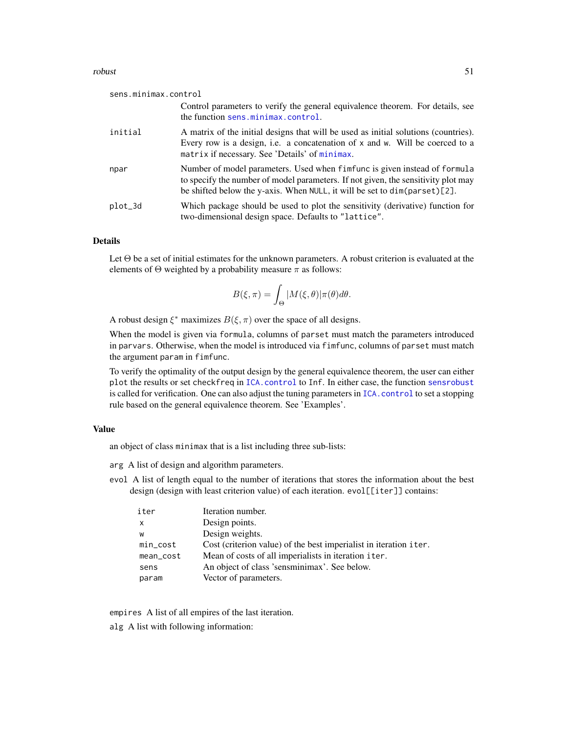### robust 51

| sens.minimax.control |                                                                                                                                                                                                                                             |
|----------------------|---------------------------------------------------------------------------------------------------------------------------------------------------------------------------------------------------------------------------------------------|
|                      | Control parameters to verify the general equivalence theorem. For details, see<br>the function sens.minimax.control.                                                                                                                        |
| initial              | A matrix of the initial designs that will be used as initial solutions (countries).<br>Every row is a design, i.e. a concatenation of x and w. Will be coerced to a<br>matrix if necessary. See 'Details' of minimax.                       |
| npar                 | Number of model parameters. Used when fimfunc is given instead of formula<br>to specify the number of model parameters. If not given, the sensitivity plot may<br>be shifted below the y-axis. When NULL, it will be set to dim(parset)[2]. |
| plot_3d              | Which package should be used to plot the sensitivity (derivative) function for<br>two-dimensional design space. Defaults to "lattice".                                                                                                      |

## Details

Let Θ be a set of initial estimates for the unknown parameters. A robust criterion is evaluated at the elements of  $\Theta$  weighted by a probability measure  $\pi$  as follows:

$$
B(\xi, \pi) = \int_{\Theta} |M(\xi, \theta)| \pi(\theta) d\theta.
$$

A robust design  $\xi^*$  maximizes  $B(\xi, \pi)$  over the space of all designs.

When the model is given via formula, columns of parset must match the parameters introduced in parvars. Otherwise, when the model is introduced via fimfunc, columns of parset must match the argument param in fimfunc.

To verify the optimality of the output design by the general equivalence theorem, the user can either plot the results or set checkfreq in [ICA.control](#page-23-0) to Inf. In either case, the function [sensrobust](#page-74-0) is called for verification. One can also adjust the tuning parameters in [ICA.control](#page-23-0) to set a stopping rule based on the general equivalence theorem. See 'Examples'.

### Value

an object of class minimax that is a list including three sub-lists:

arg A list of design and algorithm parameters.

evol A list of length equal to the number of iterations that stores the information about the best design (design with least criterion value) of each iteration. evol[[iter]] contains:

| iter         | Iteration number.                                                 |
|--------------|-------------------------------------------------------------------|
| $\mathsf{x}$ | Design points.                                                    |
| W            | Design weights.                                                   |
| $min\_cost$  | Cost (criterion value) of the best imperialist in iteration iter. |
| mean_cost    | Mean of costs of all imperialists in iteration iter.              |
| sens         | An object of class 'sensminimax'. See below.                      |
| param        | Vector of parameters.                                             |

empires A list of all empires of the last iteration.

alg A list with following information: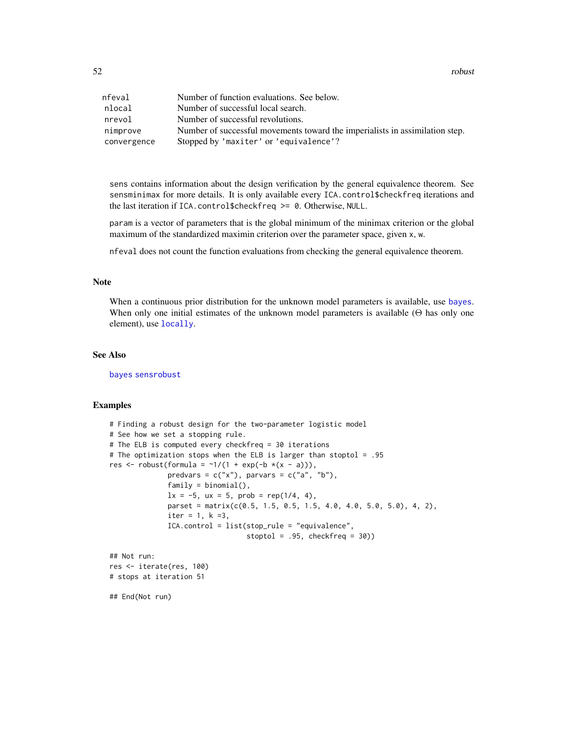52 robust and the contract of the contract of the contract of the contract of the contract of the contract of the contract of the contract of the contract of the contract of the contract of the contract of the contract of

| nfeval      | Number of function evaluations. See below.                                   |
|-------------|------------------------------------------------------------------------------|
| nlocal      | Number of successful local search.                                           |
| nrevol      | Number of successful revolutions.                                            |
| nimprove    | Number of successful movements toward the imperialists in assimilation step. |
| convergence | Stopped by 'maxiter' or 'equivalence'?                                       |

sens contains information about the design verification by the general equivalence theorem. See sensminimax for more details. It is only available every ICA.control\$checkfreq iterations and the last iteration if ICA.control\$checkfreq >= 0. Otherwise, NULL.

param is a vector of parameters that is the global minimum of the minimax criterion or the global maximum of the standardized maximin criterion over the parameter space, given x, w.

nfeval does not count the function evaluations from checking the general equivalence theorem.

## Note

When a continuous prior distribution for the unknown model parameters is available, use [bayes](#page-1-0). When only one initial estimates of the unknown model parameters is available (Θ has only one element), use [locally](#page-28-0).

#### See Also

[bayes](#page-1-0) [sensrobust](#page-74-0)

## Examples

```
# Finding a robust design for the two-parameter logistic model
# See how we set a stopping rule.
# The ELB is computed every checkfreq = 30 iterations
# The optimization stops when the ELB is larger than stoptol = .95
res <- robust(formula = \sim 1/(1 + \exp(-b \times (x - a))),
              predvars = c("x"), parvars = c("a", "b"),
              family = binomial(),
              1x = -5, ux = 5, prob = rep(1/4, 4),
              parset = matrix(c(0.5, 1.5, 0.5, 1.5, 4.0, 4.0, 5.0, 5.0), 4, 2),
              iter = 1, k = 3,ICA.control = list(stop_rule = "equivalence",
                                 stoptol = .95, checkfreq = 30))
## Not run:
res <- iterate(res, 100)
# stops at iteration 51
```
## End(Not run)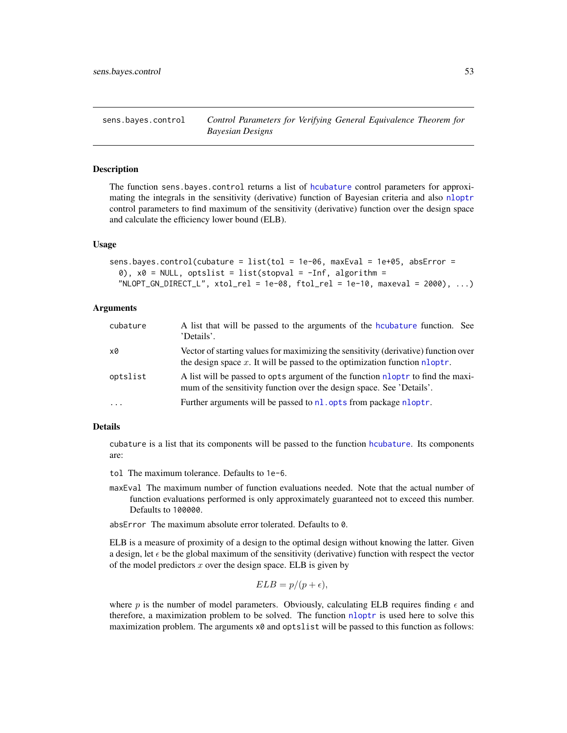<span id="page-52-0"></span>sens.bayes.control *Control Parameters for Verifying General Equivalence Theorem for Bayesian Designs*

## Description

The function sens.bayes.control returns a list of [hcubature](#page-0-0) control parameters for approximating the integrals in the sensitivity (derivative) function of Bayesian criteria and also [nloptr](#page-0-0) control parameters to find maximum of the sensitivity (derivative) function over the design space and calculate the efficiency lower bound (ELB).

## Usage

```
sens.bayes.control(cubature = list(tol = 1e-06, maxEval = 1e+05, absError =
 0), x0 = NULL, optslist = list(stopval = -Inf, algorithm =
 NLOPT_GN_DIRECT_L", xtol_rel = 1e-08, ftol_rel = 1e-10, maxval = 2000), ...
```
## Arguments

| cubature  | A list that will be passed to the arguments of the houbature function. See<br>'Details'.                                                                             |
|-----------|----------------------------------------------------------------------------------------------------------------------------------------------------------------------|
| x0        | Vector of starting values for maximizing the sensitivity (derivative) function over<br>the design space $x$ . It will be passed to the optimization function nloptr. |
| optslist  | A list will be passed to opts argument of the function nloptr to find the maxi-<br>mum of the sensitivity function over the design space. See 'Details'.             |
| $\ddotsc$ | Further arguments will be passed to nl. opts from package nloptr.                                                                                                    |

## Details

cubature is a list that its components will be passed to the function [hcubature](#page-0-0). Its components are:

tol The maximum tolerance. Defaults to 1e-6.

maxEval The maximum number of function evaluations needed. Note that the actual number of function evaluations performed is only approximately guaranteed not to exceed this number. Defaults to 100000.

absError The maximum absolute error tolerated. Defaults to 0.

ELB is a measure of proximity of a design to the optimal design without knowing the latter. Given a design, let  $\epsilon$  be the global maximum of the sensitivity (derivative) function with respect the vector of the model predictors  $x$  over the design space. ELB is given by

$$
ELB = p/(p + \epsilon),
$$

where p is the number of model parameters. Obviously, calculating ELB requires finding  $\epsilon$  and therefore, a maximization problem to be solved. The function [nloptr](#page-0-0) is used here to solve this maximization problem. The arguments  $x0$  and optslist will be passed to this function as follows: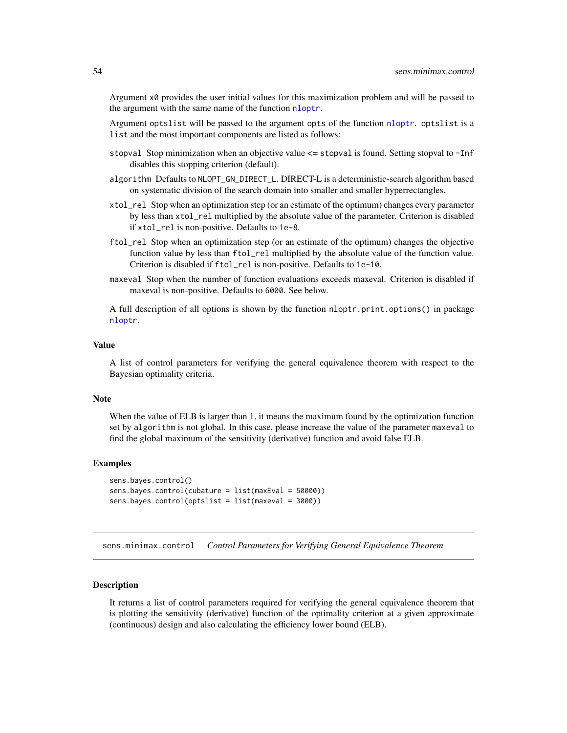Argument x0 provides the user initial values for this maximization problem and will be passed to the argument with the same name of the function [nloptr](#page-0-0).

Argument optslist will be passed to the argument opts of the function [nloptr](#page-0-0). optslist is a list and the most important components are listed as follows:

- stopval Stop minimization when an objective value <= stopval is found. Setting stopval to -Inf disables this stopping criterion (default).
- algorithm Defaults to NLOPT\_GN\_DIRECT\_L. DIRECT-L is a deterministic-search algorithm based on systematic division of the search domain into smaller and smaller hyperrectangles.
- xtol\_rel Stop when an optimization step (or an estimate of the optimum) changes every parameter by less than xtol\_rel multiplied by the absolute value of the parameter. Criterion is disabled if xtol\_rel is non-positive. Defaults to 1e-8.
- ftol\_rel Stop when an optimization step (or an estimate of the optimum) changes the objective function value by less than ftol\_rel multiplied by the absolute value of the function value. Criterion is disabled if ftol\_rel is non-positive. Defaults to 1e-10.
- maxeval Stop when the number of function evaluations exceeds maxeval. Criterion is disabled if maxeval is non-positive. Defaults to 6000. See below.

A full description of all options is shown by the function nloptr.print.options() in package [nloptr](#page-0-0).

## Value

A list of control parameters for verifying the general equivalence theorem with respect to the Bayesian optimality criteria.

#### **Note**

When the value of ELB is larger than 1, it means the maximum found by the optimization function set by algorithm is not global. In this case, please increase the value of the parameter maxeval to find the global maximum of the sensitivity (derivative) function and avoid false ELB.

### Examples

```
sens.bayes.control()
sens.bayes.control(cubature = list(maxEval = 50000))
sens.bayes.control(optslist = list(maxeval = 3000))
```
<span id="page-53-0"></span>sens.minimax.control *Control Parameters for Verifying General Equivalence Theorem*

#### Description

It returns a list of control parameters required for verifying the general equivalence theorem that is plotting the sensitivity (derivative) function of the optimality criterion at a given approximate (continuous) design and also calculating the efficiency lower bound (ELB).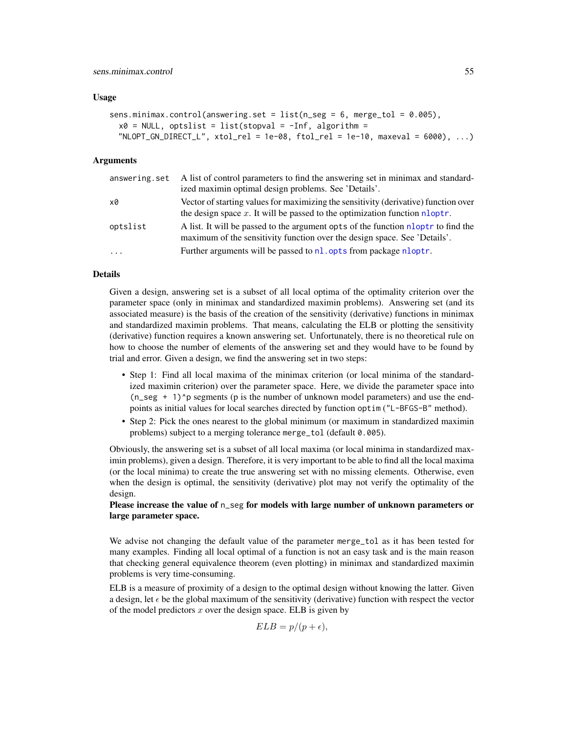### Usage

```
sens.minimax.control(answering.set = list(n\_seg = 6, merge_tol = 0.005),
 x0 = NULL, optslist = list(stopval = -Inf, algorithm =
 NLOPT_GN_DIRECT_L", xtol_rel = 1e-08, ftol_rel = 1e-10, maxeval = 6000), ...
```
#### Arguments

| answering.set | A list of control parameters to find the answering set in minimax and standard-<br>ized maximin optimal design problems. See 'Details'.                              |
|---------------|----------------------------------------------------------------------------------------------------------------------------------------------------------------------|
| x0            | Vector of starting values for maximizing the sensitivity (derivative) function over<br>the design space $x$ . It will be passed to the optimization function nloptr. |
| optslist      | A list. It will be passed to the argument opts of the function nloptr to find the<br>maximum of the sensitivity function over the design space. See 'Details'.       |
| $\ddots$      | Further arguments will be passed to nl. opts from package nloptr.                                                                                                    |

# Details

Given a design, answering set is a subset of all local optima of the optimality criterion over the parameter space (only in minimax and standardized maximin problems). Answering set (and its associated measure) is the basis of the creation of the sensitivity (derivative) functions in minimax and standardized maximin problems. That means, calculating the ELB or plotting the sensitivity (derivative) function requires a known answering set. Unfortunately, there is no theoretical rule on how to choose the number of elements of the answering set and they would have to be found by trial and error. Given a design, we find the answering set in two steps:

- Step 1: Find all local maxima of the minimax criterion (or local minima of the standardized maximin criterion) over the parameter space. Here, we divide the parameter space into  $(n$  seg + 1)<sup> $\alpha$ </sup> p segments (p is the number of unknown model parameters) and use the endpoints as initial values for local searches directed by function optim ("L-BFGS-B" method).
- Step 2: Pick the ones nearest to the global minimum (or maximum in standardized maximin problems) subject to a merging tolerance merge\_tol (default 0.005).

Obviously, the answering set is a subset of all local maxima (or local minima in standardized maximin problems), given a design. Therefore, it is very important to be able to find all the local maxima (or the local minima) to create the true answering set with no missing elements. Otherwise, even when the design is optimal, the sensitivity (derivative) plot may not verify the optimality of the design.

## Please increase the value of n\_seg for models with large number of unknown parameters or large parameter space.

We advise not changing the default value of the parameter merge\_tol as it has been tested for many examples. Finding all local optimal of a function is not an easy task and is the main reason that checking general equivalence theorem (even plotting) in minimax and standardized maximin problems is very time-consuming.

ELB is a measure of proximity of a design to the optimal design without knowing the latter. Given a design, let  $\epsilon$  be the global maximum of the sensitivity (derivative) function with respect the vector of the model predictors  $x$  over the design space. ELB is given by

$$
ELB = p/(p + \epsilon),
$$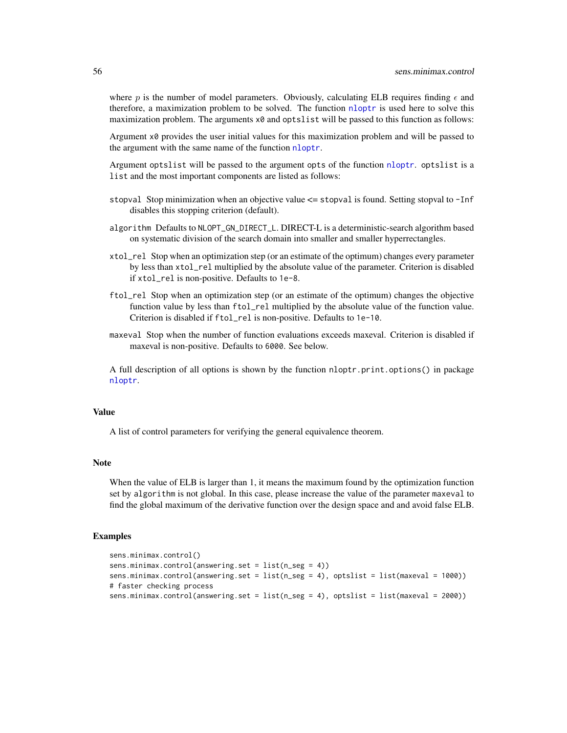where p is the number of model parameters. Obviously, calculating ELB requires finding  $\epsilon$  and therefore, a maximization problem to be solved. The function [nloptr](#page-0-0) is used here to solve this maximization problem. The arguments  $\times \emptyset$  and optslist will be passed to this function as follows:

Argument x0 provides the user initial values for this maximization problem and will be passed to the argument with the same name of the function [nloptr](#page-0-0).

Argument optslist will be passed to the argument opts of the function [nloptr](#page-0-0). optslist is a list and the most important components are listed as follows:

- stopval Stop minimization when an objective value <= stopval is found. Setting stopval to -Inf disables this stopping criterion (default).
- algorithm Defaults to NLOPT\_GN\_DIRECT\_L. DIRECT-L is a deterministic-search algorithm based on systematic division of the search domain into smaller and smaller hyperrectangles.
- xtol\_rel Stop when an optimization step (or an estimate of the optimum) changes every parameter by less than xtol\_rel multiplied by the absolute value of the parameter. Criterion is disabled if xtol\_rel is non-positive. Defaults to 1e-8.
- ftol\_rel Stop when an optimization step (or an estimate of the optimum) changes the objective function value by less than ftol\_rel multiplied by the absolute value of the function value. Criterion is disabled if ftol\_rel is non-positive. Defaults to 1e-10.
- maxeval Stop when the number of function evaluations exceeds maxeval. Criterion is disabled if maxeval is non-positive. Defaults to 6000. See below.

A full description of all options is shown by the function nloptr.print.options() in package [nloptr](#page-0-0).

### Value

A list of control parameters for verifying the general equivalence theorem.

### **Note**

When the value of ELB is larger than 1, it means the maximum found by the optimization function set by algorithm is not global. In this case, please increase the value of the parameter maxeval to find the global maximum of the derivative function over the design space and and avoid false ELB.

### Examples

```
sens.minimax.control()
sens.minimax.control(answering.set = list(n_seg = 4))
sens.minimax.control(answering.set = list(n_seg = 4), optslist = list(maxeval = 1000))
# faster checking process
sens.minimax.control(answering.set = list(n_seg = 4), optslist = list(maxeval = 2000))
```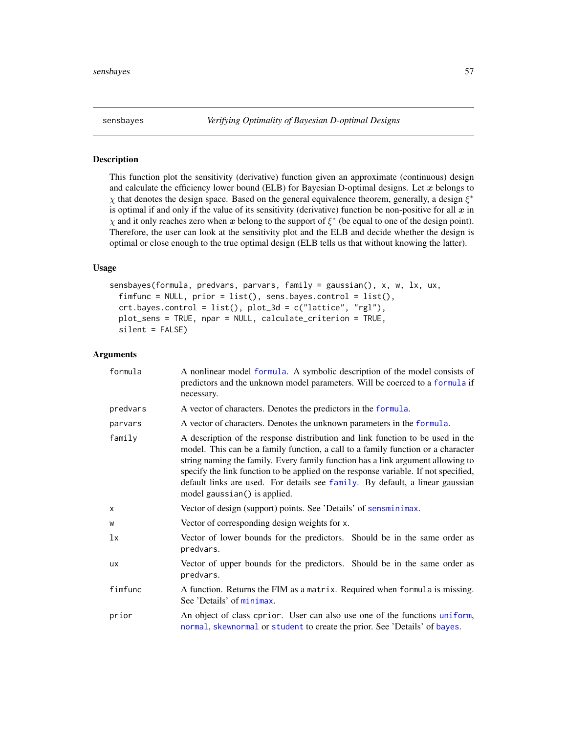<span id="page-56-0"></span>

## Description

This function plot the sensitivity (derivative) function given an approximate (continuous) design and calculate the efficiency lower bound (ELB) for Bayesian D-optimal designs. Let  $x$  belongs to  $\chi$  that denotes the design space. Based on the general equivalence theorem, generally, a design  $\xi^*$ is optimal if and only if the value of its sensitivity (derivative) function be non-positive for all  $x$  in  $\chi$  and it only reaches zero when x belong to the support of  $\xi^*$  (be equal to one of the design point). Therefore, the user can look at the sensitivity plot and the ELB and decide whether the design is optimal or close enough to the true optimal design (ELB tells us that without knowing the latter).

## Usage

```
sensbayes(formula, predvars, parvars, family = gaussian(), x, w, lx, ux,
  fimfunc = NULL, prior = list(), sens.bayes.control = list(),
 crt.bayes.control = list(), plot_3d = c("lattice", "rgl"),
 plot_sens = TRUE, npar = NULL, calculate_criterion = TRUE,
  silent = FALSE)
```

| formula   | A nonlinear model formula. A symbolic description of the model consists of<br>predictors and the unknown model parameters. Will be coerced to a formula if<br>necessary.                                                                                                                                                                                                                                                                                      |
|-----------|---------------------------------------------------------------------------------------------------------------------------------------------------------------------------------------------------------------------------------------------------------------------------------------------------------------------------------------------------------------------------------------------------------------------------------------------------------------|
| predvars  | A vector of characters. Denotes the predictors in the formula.                                                                                                                                                                                                                                                                                                                                                                                                |
| parvars   | A vector of characters. Denotes the unknown parameters in the formula.                                                                                                                                                                                                                                                                                                                                                                                        |
| family    | A description of the response distribution and link function to be used in the<br>model. This can be a family function, a call to a family function or a character<br>string naming the family. Every family function has a link argument allowing to<br>specify the link function to be applied on the response variable. If not specified,<br>default links are used. For details see family. By default, a linear gaussian<br>model gaussian() is applied. |
| X         | Vector of design (support) points. See 'Details' of sensminimax.                                                                                                                                                                                                                                                                                                                                                                                              |
| W         | Vector of corresponding design weights for x.                                                                                                                                                                                                                                                                                                                                                                                                                 |
| lx        | Vector of lower bounds for the predictors. Should be in the same order as<br>predvars.                                                                                                                                                                                                                                                                                                                                                                        |
| <b>UX</b> | Vector of upper bounds for the predictors. Should be in the same order as<br>predvars.                                                                                                                                                                                                                                                                                                                                                                        |
| fimfunc   | A function. Returns the FIM as a matrix. Required when formula is missing.<br>See 'Details' of minimax.                                                                                                                                                                                                                                                                                                                                                       |
| prior     | An object of class cprior. User can also use one of the functions uniform,<br>normal, skewnormal or student to create the prior. See 'Details' of bayes.                                                                                                                                                                                                                                                                                                      |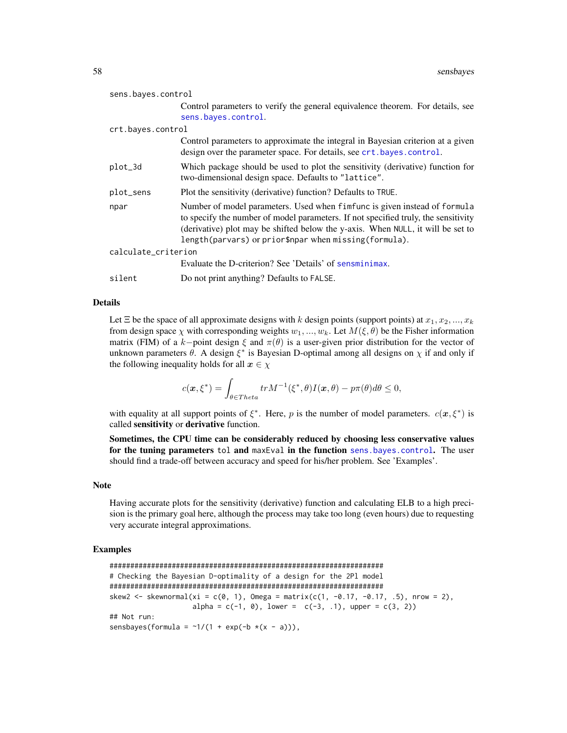| sens.bayes.control  |                                                                                                                                                                                                                                                                                                             |  |
|---------------------|-------------------------------------------------------------------------------------------------------------------------------------------------------------------------------------------------------------------------------------------------------------------------------------------------------------|--|
|                     | Control parameters to verify the general equivalence theorem. For details, see<br>sens.bayes.control.                                                                                                                                                                                                       |  |
| crt.bayes.control   |                                                                                                                                                                                                                                                                                                             |  |
|                     | Control parameters to approximate the integral in Bayesian criterion at a given<br>design over the parameter space. For details, see crt. bayes. control.                                                                                                                                                   |  |
| plot_3d             | Which package should be used to plot the sensitivity (derivative) function for<br>two-dimensional design space. Defaults to "lattice".                                                                                                                                                                      |  |
| plot_sens           | Plot the sensitivity (derivative) function? Defaults to TRUE.                                                                                                                                                                                                                                               |  |
| npar                | Number of model parameters. Used when fimfunc is given instead of formula<br>to specify the number of model parameters. If not specified truly, the sensitivity<br>(derivative) plot may be shifted below the y-axis. When NULL, it will be set to<br>length(parvars) or prior\$npar when missing(formula). |  |
| calculate_criterion |                                                                                                                                                                                                                                                                                                             |  |
|                     | Evaluate the D-criterion? See 'Details' of sensminimax.                                                                                                                                                                                                                                                     |  |
| silent              | Do not print anything? Defaults to FALSE.                                                                                                                                                                                                                                                                   |  |

#### Details

Let  $\Xi$  be the space of all approximate designs with k design points (support points) at  $x_1, x_2, ..., x_k$ from design space  $\chi$  with corresponding weights  $w_1, ..., w_k$ . Let  $M(\xi, \theta)$  be the Fisher information matrix (FIM) of a k–point design  $\xi$  and  $\pi(\theta)$  is a user-given prior distribution for the vector of unknown parameters  $\theta$ . A design  $\xi^*$  is Bayesian D-optimal among all designs on  $\chi$  if and only if the following inequality holds for all  $x \in \chi$ 

$$
c(\boldsymbol{x},\xi^*) = \int_{\theta \in \text{Theta}} tr M^{-1}(\xi^*,\theta) I(\boldsymbol{x},\theta) - p\pi(\theta) d\theta \le 0,
$$

with equality at all support points of  $\xi^*$ . Here, p is the number of model parameters.  $c(x, \xi^*)$  is called sensitivity or derivative function.

Sometimes, the CPU time can be considerably reduced by choosing less conservative values for the tuning parameters tol and maxEval in the function [sens.bayes.control](#page-52-0). The user should find a trade-off between accuracy and speed for his/her problem. See 'Examples'.

#### Note

Having accurate plots for the sensitivity (derivative) function and calculating ELB to a high precision is the primary goal here, although the process may take too long (even hours) due to requesting very accurate integral approximations.

## Examples

```
##################################################################
# Checking the Bayesian D-optimality of a design for the 2Pl model
##################################################################
skew2 <- skewnormal(xi = c(0, 1), Omega = matrix(c(1, -0.17, -0.17, .5), nrow = 2),
                    alpha = c(-1, 0), lower = c(-3, 1), upper = c(3, 2))
## Not run:
sensbayes(formula = \sim 1/(1 + \exp(-b \times (x - a))),
```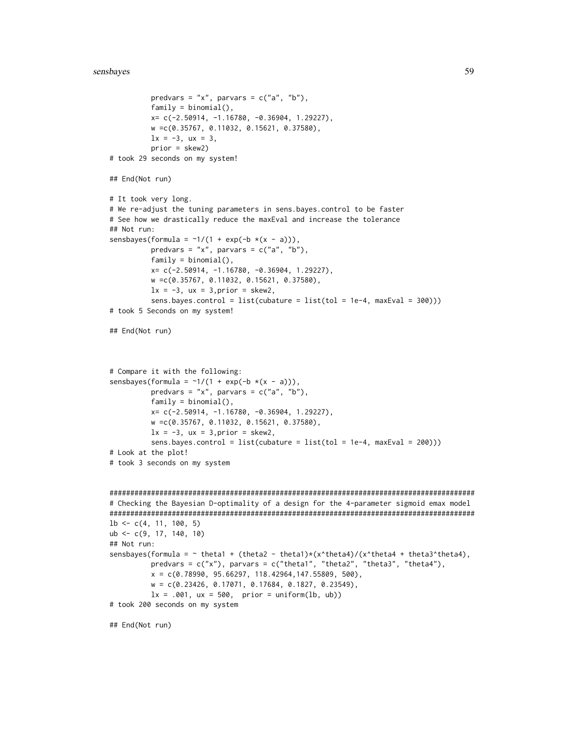```
predvars = "x", parvars = c("a", "b"),
          family = binomial(),
          x= c(-2.50914, -1.16780, -0.36904, 1.29227),
          w =c(0.35767, 0.11032, 0.15621, 0.37580),
          lx = -3, ux = 3,
          prior = skew2)
# took 29 seconds on my system!
## End(Not run)
# It took very long.
# We re-adjust the tuning parameters in sens.bayes.control to be faster
# See how we drastically reduce the maxEval and increase the tolerance
## Not run:
sensbayes(formula = \sim 1/(1 + \exp(-b \times (x - a))),
          predvars = "x", parvars = c("a", "b"),
          family = binomial(),
          x= c(-2.50914, -1.16780, -0.36904, 1.29227),
          w =c(0.35767, 0.11032, 0.15621, 0.37580),
          lx = -3, ux = 3, prior = skew2,
          sens.bayes.control = list(cubature = list(tol = 1e-4, maxEval = 300)))
# took 5 Seconds on my system!
## End(Not run)
# Compare it with the following:
sensbayes(formula = \sim 1/(1 + \exp(-b \times (x - a))),
          predvars = "x", parvars = c("a", "b"),
          family = binomial(),
          x= c(-2.50914, -1.16780, -0.36904, 1.29227),
          w =c(0.35767, 0.11032, 0.15621, 0.37580),
          lx = -3, ux = 3, prior = skew2,
          sens.bayes.control = list(cubature = list(tol = 1e-4, maxEval = 200)))
# Look at the plot!
# took 3 seconds on my system
########################################################################################
# Checking the Bayesian D-optimality of a design for the 4-parameter sigmoid emax model
########################################################################################
1b \leftarrow c(4, 11, 100, 5)ub <- c(9, 17, 140, 10)
## Not run:
sensbayes(formula = \sim theta1 + (theta2 - theta1)*(x^theta4)/(x^theta4 + theta3^theta4),
          predvars = c("x"), parvars = c("theta1", "theta2", "theta3", "theta44"),
          x = c(0.78990, 95.66297, 118.42964, 147.55809, 500),w = c(0.23426, 0.17071, 0.17684, 0.1827, 0.23549),
          lx = .001, ux = 500, prior = uniform(lb, ub)# took 200 seconds on my system
## End(Not run)
```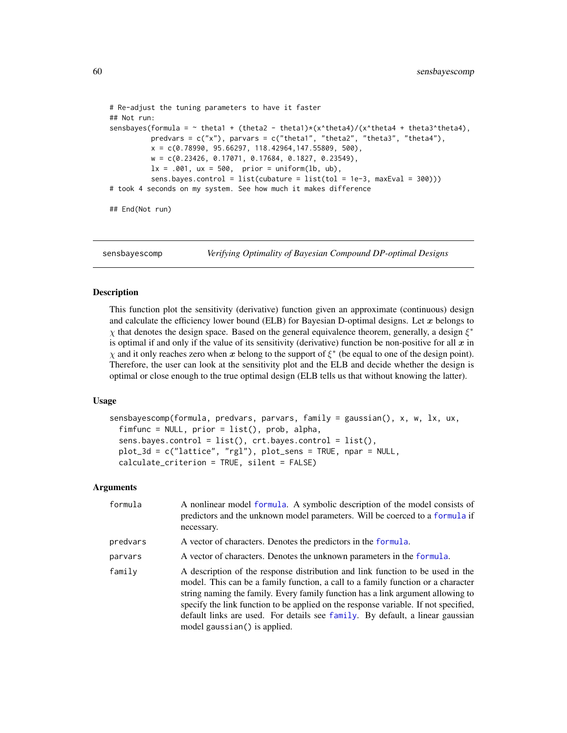```
# Re-adjust the tuning parameters to have it faster
## Not run:
sensbayes(formula = \sim theta1 + (theta2 - theta1)*(x^theta4)/(x^theta4 + theta3^theta4),
          predvars = c("x"), parvars = c("theta1", "theta2", "theta3", "theta44"),
          x = c(0.78990, 95.66297, 118.42964, 147.55809, 500),w = c(0.23426, 0.17071, 0.17684, 0.1827, 0.23549),
         lx = .001, ux = 500, prior = uniform(lb, ub),
          sens.bayes.control = list(cubature = list(tol = 1e-3, maxEval = 300)))
# took 4 seconds on my system. See how much it makes difference
## End(Not run)
```
<span id="page-59-0"></span>sensbayescomp *Verifying Optimality of Bayesian Compound DP-optimal Designs*

#### Description

This function plot the sensitivity (derivative) function given an approximate (continuous) design and calculate the efficiency lower bound (ELB) for Bayesian D-optimal designs. Let  $x$  belongs to  $\chi$  that denotes the design space. Based on the general equivalence theorem, generally, a design  $\xi^*$ is optimal if and only if the value of its sensitivity (derivative) function be non-positive for all  $x$  in  $\chi$  and it only reaches zero when x belong to the support of  $\xi^*$  (be equal to one of the design point). Therefore, the user can look at the sensitivity plot and the ELB and decide whether the design is optimal or close enough to the true optimal design (ELB tells us that without knowing the latter).

### Usage

```
sensbayescomp(formula, predvars, parvars, family = gaussian(), x, w, lx, ux,
  fimfunc = NULL, prior = list(), prob, alpha,
  sens.bayes.control = list(), crt.bayes.control = list(),
 plot_3d = c("lattice", "rgl"), plot_sens = TRUE, npar = NULL,
  calculate_criterion = TRUE, silent = FALSE)
```

| formula  | A nonlinear model formula. A symbolic description of the model consists of<br>predictors and the unknown model parameters. Will be coerced to a formula if<br>necessary.                                                                                                                                                                                                                                                                                      |
|----------|---------------------------------------------------------------------------------------------------------------------------------------------------------------------------------------------------------------------------------------------------------------------------------------------------------------------------------------------------------------------------------------------------------------------------------------------------------------|
| predvars | A vector of characters. Denotes the predictors in the formula.                                                                                                                                                                                                                                                                                                                                                                                                |
| parvars  | A vector of characters. Denotes the unknown parameters in the formula.                                                                                                                                                                                                                                                                                                                                                                                        |
| family   | A description of the response distribution and link function to be used in the<br>model. This can be a family function, a call to a family function or a character<br>string naming the family. Every family function has a link argument allowing to<br>specify the link function to be applied on the response variable. If not specified,<br>default links are used. For details see family. By default, a linear gaussian<br>model gaussian() is applied. |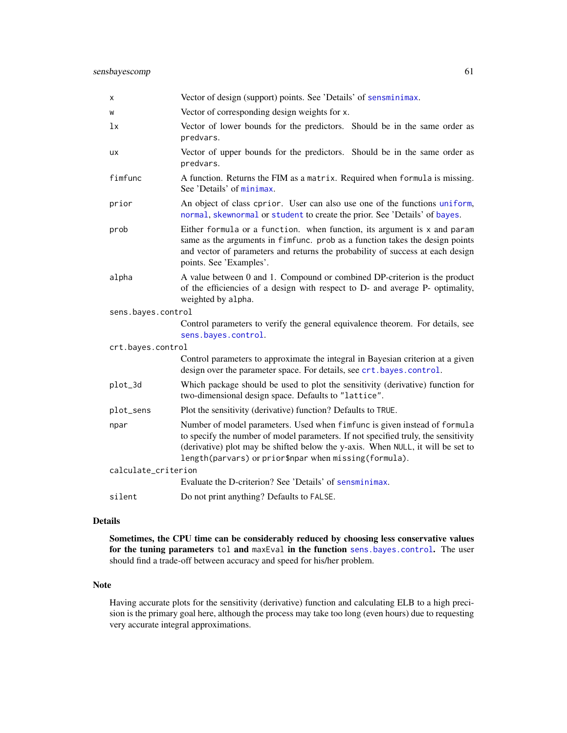| х                   | Vector of design (support) points. See 'Details' of sensminimax.                                                                                                                                                                                                                                            |
|---------------------|-------------------------------------------------------------------------------------------------------------------------------------------------------------------------------------------------------------------------------------------------------------------------------------------------------------|
| W                   | Vector of corresponding design weights for x.                                                                                                                                                                                                                                                               |
| lx                  | Vector of lower bounds for the predictors. Should be in the same order as<br>predvars.                                                                                                                                                                                                                      |
| ux                  | Vector of upper bounds for the predictors. Should be in the same order as<br>predvars.                                                                                                                                                                                                                      |
| fimfunc             | A function. Returns the FIM as a matrix. Required when formula is missing.<br>See 'Details' of minimax.                                                                                                                                                                                                     |
| prior               | An object of class cprior. User can also use one of the functions uniform,<br>normal, skewnormal or student to create the prior. See 'Details' of bayes.                                                                                                                                                    |
| prob                | Either formula or a function. when function, its argument is x and param<br>same as the arguments in fimfunc. prob as a function takes the design points<br>and vector of parameters and returns the probability of success at each design<br>points. See 'Examples'.                                       |
| alpha               | A value between 0 and 1. Compound or combined DP-criterion is the product<br>of the efficiencies of a design with respect to D- and average P- optimality,<br>weighted by alpha.                                                                                                                            |
| sens.bayes.control  |                                                                                                                                                                                                                                                                                                             |
|                     | Control parameters to verify the general equivalence theorem. For details, see<br>sens.bayes.control.                                                                                                                                                                                                       |
| crt.bayes.control   |                                                                                                                                                                                                                                                                                                             |
|                     | Control parameters to approximate the integral in Bayesian criterion at a given<br>design over the parameter space. For details, see crt.bayes.control.                                                                                                                                                     |
| plot_3d             | Which package should be used to plot the sensitivity (derivative) function for<br>two-dimensional design space. Defaults to "lattice".                                                                                                                                                                      |
| plot_sens           | Plot the sensitivity (derivative) function? Defaults to TRUE.                                                                                                                                                                                                                                               |
| npar                | Number of model parameters. Used when fimfunc is given instead of formula<br>to specify the number of model parameters. If not specified truly, the sensitivity<br>(derivative) plot may be shifted below the y-axis. When NULL, it will be set to<br>length(parvars) or prior\$npar when missing(formula). |
| calculate_criterion |                                                                                                                                                                                                                                                                                                             |
|                     | Evaluate the D-criterion? See 'Details' of sensminimax.                                                                                                                                                                                                                                                     |
| silent              | Do not print anything? Defaults to FALSE.                                                                                                                                                                                                                                                                   |

## Details

Sometimes, the CPU time can be considerably reduced by choosing less conservative values for the tuning parameters tol and maxEval in the function [sens.bayes.control](#page-52-0). The user should find a trade-off between accuracy and speed for his/her problem.

## Note

Having accurate plots for the sensitivity (derivative) function and calculating ELB to a high precision is the primary goal here, although the process may take too long (even hours) due to requesting very accurate integral approximations.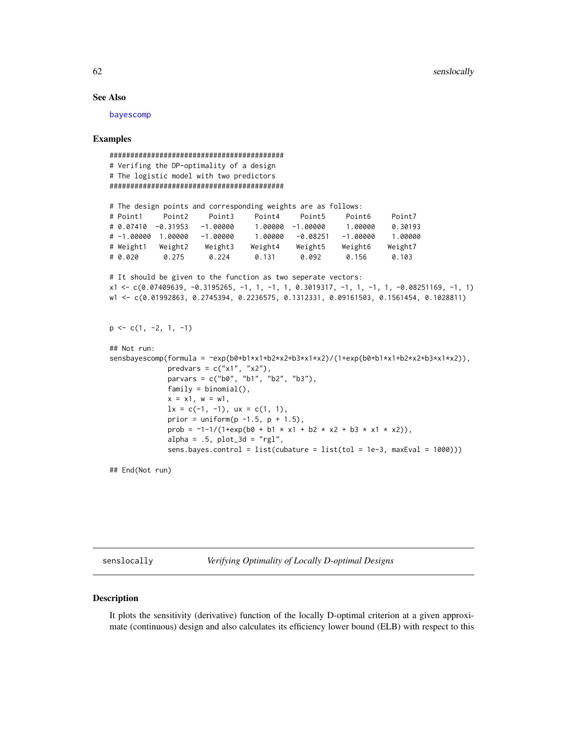### See Also

[bayescomp](#page-10-0)

## Examples

```
##########################################
# Verifing the DP-optimality of a design
# The logistic model with two predictors
##########################################
# The design points and corresponding weights are as follows:
# Point1 Point2 Point3 Point4 Point5 Point6 Point7
# 0.07410 -0.31953 -1.00000 1.00000 -1.00000 1.00000 0.30193
# -1.00000 1.00000 -1.00000 1.00000 -0.08251 -1.00000 1.00000
# Weight1 Weight2 Weight3 Weight4 Weight5 Weight6 Weight7
# 0.020 0.275 0.224 0.131 0.092 0.156 0.103
# It should be given to the function as two seperate vectors:
x1 <- c(0.07409639, -0.3195265, -1, 1, -1, 1, 0.3019317, -1, 1, -1, 1, -0.08251169, -1, 1)
w1 <- c(0.01992863, 0.2745394, 0.2236575, 0.1312331, 0.09161503, 0.1561454, 0.1028811)
p \leq -c(1, -2, 1, -1)## Not run:
sensbayescomp(formula = ~exp(b0+b1*x1+b2*x2+b3*x1*x2)/(1+exp(b0+b1*x1+b2*x2+b3*x1*x2)),
             predvars = c("x1", "x2"),parvars = c("b0", "b1", "b2", "b3"),
             family = binomial(),
             x = x1, w = w1,1x = c(-1, -1), ux = c(1, 1),prior = uniform(p -1.5, p + 1.5),
             prob = \sim1-1/(1+exp(b0 + b1 * x1 + b2 * x2 + b3 * x1 * x2)),
             alpha = .5, plot_3d = "rgl",sens.bayes.control = list(cubature = list(tol = 1e-3, maxEval = 1000)))
```
## End(Not run)

<span id="page-61-0"></span>senslocally *Verifying Optimality of Locally D-optimal Designs*

#### **Description**

It plots the sensitivity (derivative) function of the locally D-optimal criterion at a given approximate (continuous) design and also calculates its efficiency lower bound (ELB) with respect to this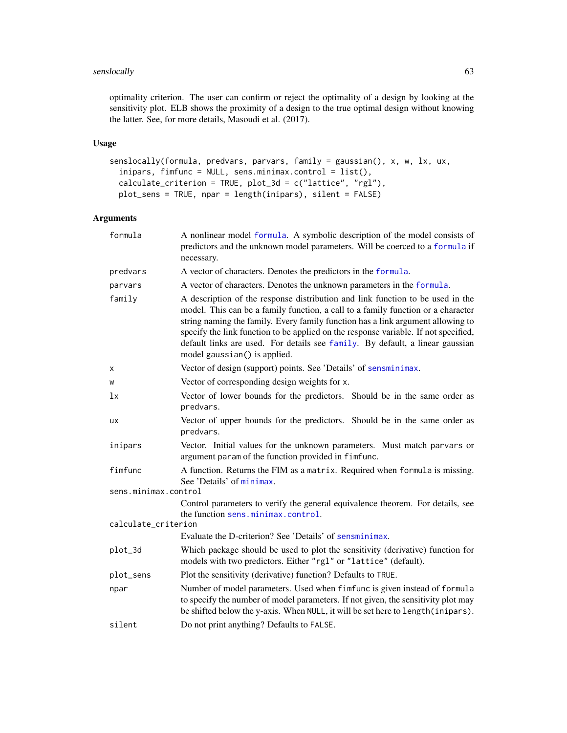# senslocally 63

optimality criterion. The user can confirm or reject the optimality of a design by looking at the sensitivity plot. ELB shows the proximity of a design to the true optimal design without knowing the latter. See, for more details, Masoudi et al. (2017).

# Usage

```
senslocally(formula, predvars, parvars, family = gaussian(), x, w, lx, ux,
  inipars, fimfunc = NULL, sens.minimax.control = list(),
 calculate_criterion = TRUE, plot_3d = c("lattice", "rgl"),
 plot_sens = TRUE, npar = length(inipars), silent = FALSE)
```

| formula              | A nonlinear model formula. A symbolic description of the model consists of<br>predictors and the unknown model parameters. Will be coerced to a formula if<br>necessary.                                                                                                                                                                                                                                                                                      |
|----------------------|---------------------------------------------------------------------------------------------------------------------------------------------------------------------------------------------------------------------------------------------------------------------------------------------------------------------------------------------------------------------------------------------------------------------------------------------------------------|
| predvars             | A vector of characters. Denotes the predictors in the formula.                                                                                                                                                                                                                                                                                                                                                                                                |
| parvars              | A vector of characters. Denotes the unknown parameters in the formula.                                                                                                                                                                                                                                                                                                                                                                                        |
| family               | A description of the response distribution and link function to be used in the<br>model. This can be a family function, a call to a family function or a character<br>string naming the family. Every family function has a link argument allowing to<br>specify the link function to be applied on the response variable. If not specified,<br>default links are used. For details see family. By default, a linear gaussian<br>model gaussian() is applied. |
| X                    | Vector of design (support) points. See 'Details' of sensminimax.                                                                                                                                                                                                                                                                                                                                                                                              |
| W                    | Vector of corresponding design weights for x.                                                                                                                                                                                                                                                                                                                                                                                                                 |
| lx                   | Vector of lower bounds for the predictors. Should be in the same order as<br>predvars.                                                                                                                                                                                                                                                                                                                                                                        |
| ux                   | Vector of upper bounds for the predictors. Should be in the same order as<br>predvars.                                                                                                                                                                                                                                                                                                                                                                        |
| inipars              | Vector. Initial values for the unknown parameters. Must match parvars or<br>argument param of the function provided in fimfunc.                                                                                                                                                                                                                                                                                                                               |
| fimfunc              | A function. Returns the FIM as a matrix. Required when formula is missing.<br>See 'Details' of minimax.                                                                                                                                                                                                                                                                                                                                                       |
| sens.minimax.control |                                                                                                                                                                                                                                                                                                                                                                                                                                                               |
|                      | Control parameters to verify the general equivalence theorem. For details, see<br>the function sens.minimax.control.                                                                                                                                                                                                                                                                                                                                          |
| calculate_criterion  |                                                                                                                                                                                                                                                                                                                                                                                                                                                               |
|                      | Evaluate the D-criterion? See 'Details' of sensminimax.                                                                                                                                                                                                                                                                                                                                                                                                       |
| plot_3d              | Which package should be used to plot the sensitivity (derivative) function for<br>models with two predictors. Either "rgl" or "lattice" (default).                                                                                                                                                                                                                                                                                                            |
| plot_sens            | Plot the sensitivity (derivative) function? Defaults to TRUE.                                                                                                                                                                                                                                                                                                                                                                                                 |
| npar                 | Number of model parameters. Used when fimfunc is given instead of formula<br>to specify the number of model parameters. If not given, the sensitivity plot may<br>be shifted below the y-axis. When NULL, it will be set here to length (inipars).                                                                                                                                                                                                            |
| silent               | Do not print anything? Defaults to FALSE.                                                                                                                                                                                                                                                                                                                                                                                                                     |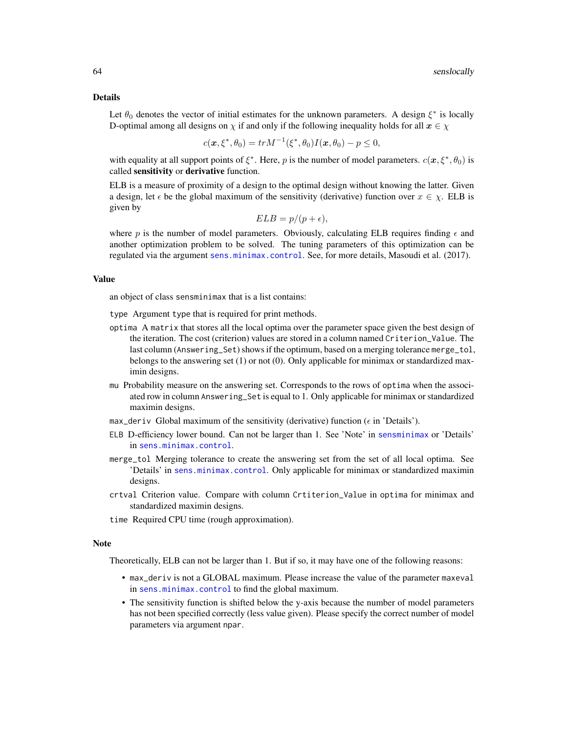#### Details

Let  $\theta_0$  denotes the vector of initial estimates for the unknown parameters. A design  $\xi^*$  is locally D-optimal among all designs on  $\chi$  if and only if the following inequality holds for all  $x \in \chi$ 

$$
c(\bm{x},\xi^*,\theta_0) = tr M^{-1}(\xi^*,\theta_0) I(\bm{x},\theta_0) - p \le 0,
$$

with equality at all support points of  $\xi^*$ . Here, p is the number of model parameters.  $c(\bm{x}, \xi^*, \theta_0)$  is called sensitivity or derivative function.

ELB is a measure of proximity of a design to the optimal design without knowing the latter. Given a design, let  $\epsilon$  be the global maximum of the sensitivity (derivative) function over  $x \in \chi$ . ELB is given by

$$
ELB = p/(p + \epsilon),
$$

where p is the number of model parameters. Obviously, calculating ELB requires finding  $\epsilon$  and another optimization problem to be solved. The tuning parameters of this optimization can be regulated via the argument [sens.minimax.control](#page-53-0). See, for more details, Masoudi et al. (2017).

## Value

an object of class sensminimax that is a list contains:

type Argument type that is required for print methods.

- optima A matrix that stores all the local optima over the parameter space given the best design of the iteration. The cost (criterion) values are stored in a column named Criterion\_Value. The last column (Answering\_Set) shows if the optimum, based on a merging tolerance merge\_tol, belongs to the answering set (1) or not (0). Only applicable for minimax or standardized maximin designs.
- mu Probability measure on the answering set. Corresponds to the rows of optima when the associated row in column Answering\_Set is equal to 1. Only applicable for minimax or standardized maximin designs.
- max\_deriv Global maximum of the sensitivity (derivative) function ( $\epsilon$  in 'Details').
- ELB D-efficiency lower bound. Can not be larger than 1. See 'Note' in [sensminimax](#page-64-0) or 'Details' in [sens.minimax.control](#page-53-0).
- merge\_tol Merging tolerance to create the answering set from the set of all local optima. See 'Details' in [sens.minimax.control](#page-53-0). Only applicable for minimax or standardized maximin designs.
- crtval Criterion value. Compare with column Crtiterion\_Value in optima for minimax and standardized maximin designs.
- time Required CPU time (rough approximation).

### Note

Theoretically, ELB can not be larger than 1. But if so, it may have one of the following reasons:

- max\_deriv is not a GLOBAL maximum. Please increase the value of the parameter maxeval in [sens.minimax.control](#page-53-0) to find the global maximum.
- The sensitivity function is shifted below the y-axis because the number of model parameters has not been specified correctly (less value given). Please specify the correct number of model parameters via argument npar.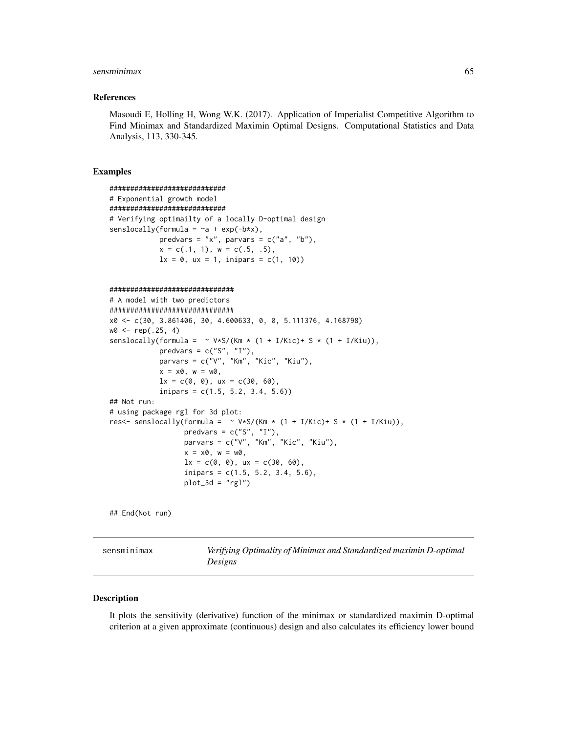### sensminimax 65

### References

Masoudi E, Holling H, Wong W.K. (2017). Application of Imperialist Competitive Algorithm to Find Minimax and Standardized Maximin Optimal Designs. Computational Statistics and Data Analysis, 113, 330-345.

## Examples

```
############################
# Exponential growth model
############################
# Verifying optimailty of a locally D-optimal design
senslocally(formula = -a + \exp(-b*x),
            predvars = "x", parvars = c("a", "b"),
            x = c(.1, 1), w = c(.5, .5),1x = 0, ux = 1, inipars = c(1, 10))
##############################
# A model with two predictors
##############################
x0 <- c(30, 3.861406, 30, 4.600633, 0, 0, 5.111376, 4.168798)
w0 <- rep(.25, 4)
senslocally(formula = \sim V*S/(Km * (1 + I/Kic)+ S * (1 + I/Kiu)),
            predvars = c("S", "I"),parvars = c("V", "Km", "Kic", "Kiu"),
            x = x0, w = w0,
            lx = c(0, 0), ux = c(30, 60),inipars = c(1.5, 5.2, 3.4, 5.6))
## Not run:
# using package rgl for 3d plot:
res<- senslocally(formula = \sim V*S/(Km * (1 + I/Kic)+ S * (1 + I/Kiu)),
                  predvars = c("S", "I"),parvars = c("V", "Km", "Kic", "Kiu"),
                  x = x0, w = w0,lx = c(0, 0), ux = c(30, 60),inipars = c(1.5, 5.2, 3.4, 5.6),
                  plot_3d = "rgl")
```
## End(Not run)

<span id="page-64-0"></span>sensminimax *Verifying Optimality of Minimax and Standardized maximin D-optimal Designs*

#### Description

It plots the sensitivity (derivative) function of the minimax or standardized maximin D-optimal criterion at a given approximate (continuous) design and also calculates its efficiency lower bound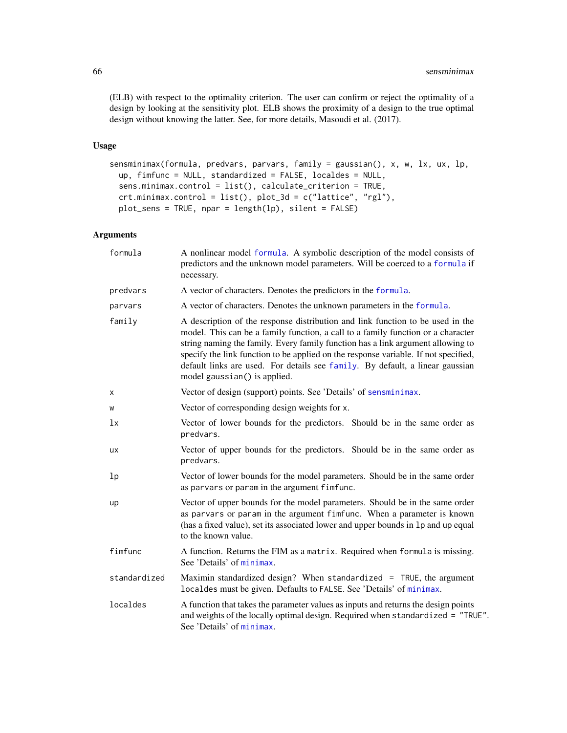(ELB) with respect to the optimality criterion. The user can confirm or reject the optimality of a design by looking at the sensitivity plot. ELB shows the proximity of a design to the true optimal design without knowing the latter. See, for more details, Masoudi et al. (2017).

## Usage

```
sensminimax(formula, predvars, parvars, family = gaussian(), x, w, lx, ux, lp,
 up, fimfunc = NULL, standardized = FALSE, localdes = NULL,
  sens.minimax.control = list(), calculate_criterion = TRUE,
 crt.minimax.control = list(), plot_3d = c("lattice", "rgl"),
 plot_sens = TRUE, npar = length(lp), silent = FALSE)
```

| formula      | A nonlinear model formula. A symbolic description of the model consists of<br>predictors and the unknown model parameters. Will be coerced to a formula if<br>necessary.                                                                                                                                                                                                                                                                                      |
|--------------|---------------------------------------------------------------------------------------------------------------------------------------------------------------------------------------------------------------------------------------------------------------------------------------------------------------------------------------------------------------------------------------------------------------------------------------------------------------|
| predvars     | A vector of characters. Denotes the predictors in the formula.                                                                                                                                                                                                                                                                                                                                                                                                |
| parvars      | A vector of characters. Denotes the unknown parameters in the formula.                                                                                                                                                                                                                                                                                                                                                                                        |
| family       | A description of the response distribution and link function to be used in the<br>model. This can be a family function, a call to a family function or a character<br>string naming the family. Every family function has a link argument allowing to<br>specify the link function to be applied on the response variable. If not specified,<br>default links are used. For details see family. By default, a linear gaussian<br>model gaussian() is applied. |
| X            | Vector of design (support) points. See 'Details' of sensminimax.                                                                                                                                                                                                                                                                                                                                                                                              |
| W            | Vector of corresponding design weights for x.                                                                                                                                                                                                                                                                                                                                                                                                                 |
| 1x           | Vector of lower bounds for the predictors. Should be in the same order as<br>predvars.                                                                                                                                                                                                                                                                                                                                                                        |
| <b>UX</b>    | Vector of upper bounds for the predictors. Should be in the same order as<br>predvars.                                                                                                                                                                                                                                                                                                                                                                        |
| 1p           | Vector of lower bounds for the model parameters. Should be in the same order<br>as parvars or param in the argument fimfunc.                                                                                                                                                                                                                                                                                                                                  |
| up           | Vector of upper bounds for the model parameters. Should be in the same order<br>as parvars or param in the argument fimfunc. When a parameter is known<br>(has a fixed value), set its associated lower and upper bounds in 1p and up equal<br>to the known value.                                                                                                                                                                                            |
| fimfunc      | A function. Returns the FIM as a matrix. Required when formula is missing.<br>See 'Details' of minimax.                                                                                                                                                                                                                                                                                                                                                       |
| standardized | Maximin standardized design? When standardized = TRUE, the argument<br>localdes must be given. Defaults to FALSE. See 'Details' of minimax.                                                                                                                                                                                                                                                                                                                   |
| localdes     | A function that takes the parameter values as inputs and returns the design points<br>and weights of the locally optimal design. Required when standardized = "TRUE".<br>See 'Details' of minimax.                                                                                                                                                                                                                                                            |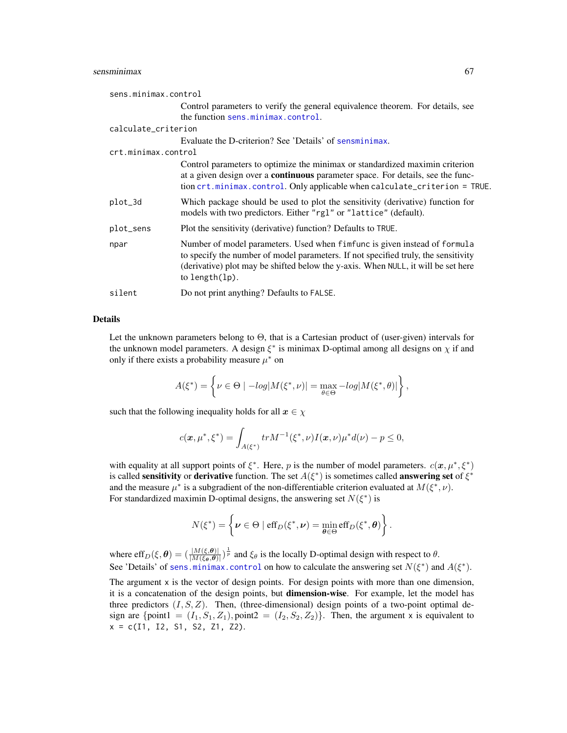### sensminimax 67

| sens.minimax.control |                                                                                                                                                                                                                                                                            |
|----------------------|----------------------------------------------------------------------------------------------------------------------------------------------------------------------------------------------------------------------------------------------------------------------------|
|                      | Control parameters to verify the general equivalence theorem. For details, see                                                                                                                                                                                             |
|                      | the function sens.minimax.control.                                                                                                                                                                                                                                         |
| calculate_criterion  |                                                                                                                                                                                                                                                                            |
|                      | Evaluate the D-criterion? See 'Details' of sensminimax.                                                                                                                                                                                                                    |
| crt.minimax.control  |                                                                                                                                                                                                                                                                            |
|                      | Control parameters to optimize the minimax or standardized maximin criterion<br>at a given design over a <b>continuous</b> parameter space. For details, see the func-<br>tion crt.minimax.control. Only applicable when calculate_criterion = TRUE.                       |
| plot_3d              | Which package should be used to plot the sensitivity (derivative) function for<br>models with two predictors. Either "rgl" or "lattice" (default).                                                                                                                         |
| plot_sens            | Plot the sensitivity (derivative) function? Defaults to TRUE.                                                                                                                                                                                                              |
| npar                 | Number of model parameters. Used when fimfunc is given instead of formula<br>to specify the number of model parameters. If not specified truly, the sensitivity<br>(derivative) plot may be shifted below the y-axis. When NULL, it will be set here<br>to length $(lp)$ . |
| silent               | Do not print anything? Defaults to FALSE.                                                                                                                                                                                                                                  |

## Details

Let the unknown parameters belong to Θ, that is a Cartesian product of (user-given) intervals for the unknown model parameters. A design  $\xi^*$  is minimax D-optimal among all designs on  $\chi$  if and only if there exists a probability measure  $\mu^*$  on

$$
A(\xi^*) = \left\{ \nu \in \Theta \mid -log|M(\xi^*, \nu)| = \max_{\theta \in \Theta} -log|M(\xi^*, \theta)| \right\},\,
$$

such that the following inequality holds for all  $x \in \chi$ 

$$
c(\mathbf{x}, \mu^*, \xi^*) = \int_{A(\xi^*)} tr M^{-1}(\xi^*, \nu) I(\mathbf{x}, \nu) \mu^* d(\nu) - p \le 0,
$$

with equality at all support points of  $\xi^*$ . Here, p is the number of model parameters.  $c(\mathbf{x}, \mu^*, \xi^*)$ is called sensitivity or derivative function. The set  $A(\xi^*)$  is sometimes called answering set of  $\xi^*$ and the measure  $\mu^*$  is a subgradient of the non-differentiable criterion evaluated at  $M(\xi^*, \nu)$ . For standardized maximin D-optimal designs, the answering set  $N(\xi^*)$  is

$$
N(\xi^*) = \left\{ \boldsymbol{\nu} \in \Theta \mid \mathrm{eff}_D(\xi^*, \boldsymbol{\nu}) = \min_{\boldsymbol{\theta} \in \Theta} \mathrm{eff}_D(\xi^*, \boldsymbol{\theta}) \right\}.
$$

where eff $_D(\xi, \theta) = (\frac{|M(\xi, \theta)|}{|M(\xi_{\theta}, \theta)|})^{\frac{1}{p}}$  and  $\xi_{\theta}$  is the locally D-optimal design with respect to  $\theta$ . See 'Details' of [sens.minimax.control](#page-53-0) on how to calculate the answering set  $N(\xi^*)$  and  $A(\xi^*)$ .

The argument  $x$  is the vector of design points. For design points with more than one dimension, it is a concatenation of the design points, but dimension-wise. For example, let the model has three predictors  $(I, S, Z)$ . Then, (three-dimensional) design points of a two-point optimal design are {point1 =  $(I_1, S_1, Z_1)$ , point2 =  $(I_2, S_2, Z_2)$ }. Then, the argument x is equivalent to  $x = c(11, 12, 51, 52, 71, 72).$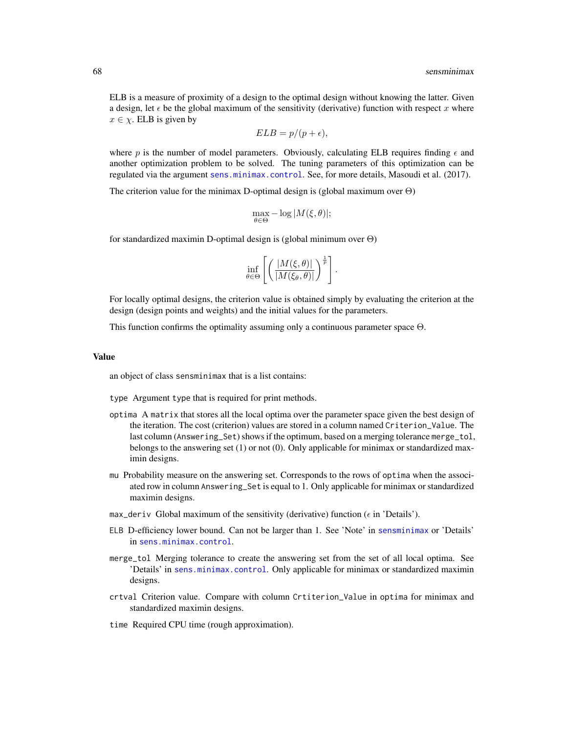ELB is a measure of proximity of a design to the optimal design without knowing the latter. Given a design, let  $\epsilon$  be the global maximum of the sensitivity (derivative) function with respect x where  $x \in \chi$ . ELB is given by

$$
ELB = p/(p + \epsilon),
$$

where p is the number of model parameters. Obviously, calculating ELB requires finding  $\epsilon$  and another optimization problem to be solved. The tuning parameters of this optimization can be regulated via the argument [sens.minimax.control](#page-53-0). See, for more details, Masoudi et al. (2017).

The criterion value for the minimax D-optimal design is (global maximum over  $\Theta$ )

$$
\max_{\theta \in \Theta} -\log |M(\xi, \theta)|;
$$

for standardized maximin D-optimal design is (global minimum over Θ)

$$
\inf_{\theta \in \Theta} \left[ \left( \frac{|M(\xi,\theta)|}{|M(\xi_{\theta},\theta)|} \right)^{\frac{1}{p}} \right].
$$

For locally optimal designs, the criterion value is obtained simply by evaluating the criterion at the design (design points and weights) and the initial values for the parameters.

This function confirms the optimality assuming only a continuous parameter space Θ.

#### Value

an object of class sensminimax that is a list contains:

type Argument type that is required for print methods.

- optima A matrix that stores all the local optima over the parameter space given the best design of the iteration. The cost (criterion) values are stored in a column named Criterion\_Value. The last column (Answering\_Set) shows if the optimum, based on a merging tolerance merge\_tol, belongs to the answering set (1) or not (0). Only applicable for minimax or standardized maximin designs.
- mu Probability measure on the answering set. Corresponds to the rows of optima when the associated row in column Answering\_Set is equal to 1. Only applicable for minimax or standardized maximin designs.
- max\_deriv Global maximum of the sensitivity (derivative) function ( $\epsilon$  in 'Details').
- ELB D-efficiency lower bound. Can not be larger than 1. See 'Note' in [sensminimax](#page-64-0) or 'Details' in [sens.minimax.control](#page-53-0).
- merge\_tol Merging tolerance to create the answering set from the set of all local optima. See 'Details' in [sens.minimax.control](#page-53-0). Only applicable for minimax or standardized maximin designs.
- crtval Criterion value. Compare with column Crtiterion\_Value in optima for minimax and standardized maximin designs.
- time Required CPU time (rough approximation).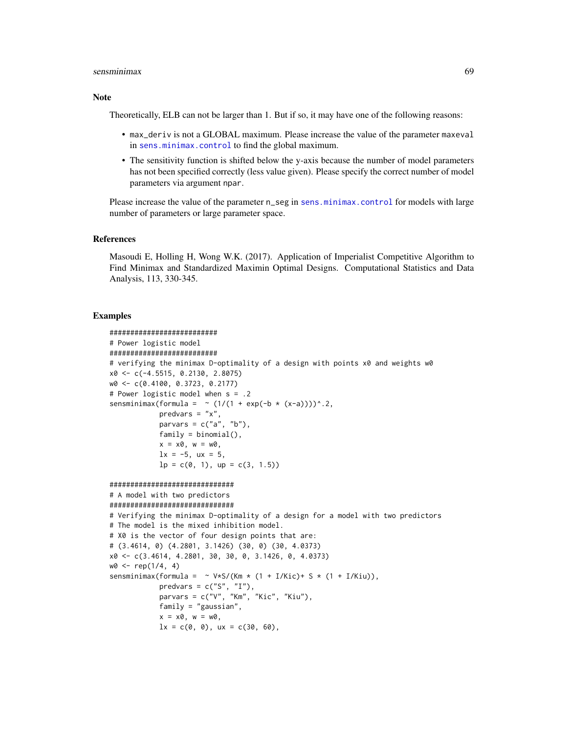### sensminimax 69

### Note

Theoretically, ELB can not be larger than 1. But if so, it may have one of the following reasons:

- max\_deriv is not a GLOBAL maximum. Please increase the value of the parameter maxeval in [sens.minimax.control](#page-53-0) to find the global maximum.
- The sensitivity function is shifted below the y-axis because the number of model parameters has not been specified correctly (less value given). Please specify the correct number of model parameters via argument npar.

Please increase the value of the parameter n\_seg in [sens.minimax.control](#page-53-0) for models with large number of parameters or large parameter space.

### References

Masoudi E, Holling H, Wong W.K. (2017). Application of Imperialist Competitive Algorithm to Find Minimax and Standardized Maximin Optimal Designs. Computational Statistics and Data Analysis, 113, 330-345.

### Examples

```
##########################
# Power logistic model
##########################
# verifying the minimax D-optimality of a design with points x0 and weights w0
x0 <- c(-4.5515, 0.2130, 2.8075)
w0 <- c(0.4100, 0.3723, 0.2177)
# Power logistic model when s = .2
sensminimax(formula = \sim (1/(1 + exp(-b * (x-a))))^.2,
            predvars = "x",
            parvars = c("a", "b"),
            family = binomial(),
            x = x0, w = w0,
            lx = -5, ux = 5,
            lp = c(0, 1), up = c(3, 1.5)##############################
# A model with two predictors
##############################
# Verifying the minimax D-optimality of a design for a model with two predictors
# The model is the mixed inhibition model.
# X0 is the vector of four design points that are:
# (3.4614, 0) (4.2801, 3.1426) (30, 0) (30, 4.0373)
x0 <- c(3.4614, 4.2801, 30, 30, 0, 3.1426, 0, 4.0373)
w0 \leq -rep(1/4, 4)sensminimax(formula = \sim V*S/(Km * (1 + I/Kic)+ S * (1 + I/Kiu)),
            predvars = c("S", "I"),parvars = c("V", "Km", "Kic", "Kiu"),
            family = "gaussian",
            x = x0, w = w0,
            lx = c(0, 0), ux = c(30, 60),
```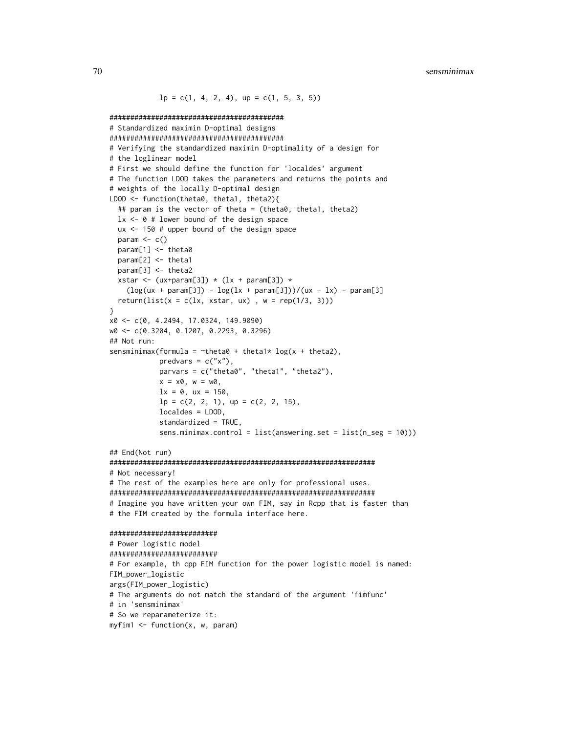```
lp = c(1, 4, 2, 4), up = c(1, 5, 3, 5)##########################################
# Standardized maximin D-optimal designs
##########################################
# Verifying the standardized maximin D-optimality of a design for
# the loglinear model
# First we should define the function for 'localdes' argument
# The function LDOD takes the parameters and returns the points and
# weights of the locally D-optimal design
LDOD <- function(theta0, theta1, theta2){
  ## param is the vector of theta = (theta0, theta1, theta2)
  lx \leq 0 # lower bound of the design space
  ux <- 150 # upper bound of the design space
  param \leq c()
  param[1] <- theta0
  param[2] <- theta1
  param[3] <- theta2
  xstar <- (ux+param[3]) * (lx + param[3]) *(\log(ux + param[3]) - \log(lx + param[3]))/(ux - lx) - param[3]return(list(x = c(lx, xstar, ux), w = rep(1/3, 3)))}
x0 <- c(0, 4.2494, 17.0324, 149.9090)
w0 <- c(0.3204, 0.1207, 0.2293, 0.3296)
## Not run:
sensminimax(formula = \simtheta0 + theta1* log(x + theta2),
            predvars = c("x"),
            parvars = c("theta0", "theta1", "theta2"),
            x = x0, w = w0,lx = 0, ux = 150,
            lp = c(2, 2, 1), up = c(2, 2, 15),localdes = LDOD,
            standardized = TRUE,
            sens.minimax.control = list(answering.set = list(n_seg = 10)))
## End(Not run)
################################################################
# Not necessary!
# The rest of the examples here are only for professional uses.
################################################################
# Imagine you have written your own FIM, say in Rcpp that is faster than
# the FIM created by the formula interface here.
##########################
# Power logistic model
##########################
# For example, th cpp FIM function for the power logistic model is named:
FIM_power_logistic
args(FIM_power_logistic)
# The arguments do not match the standard of the argument 'fimfunc'
# in 'sensminimax'
# So we reparameterize it:
myfin1 < - function(x, w, param)
```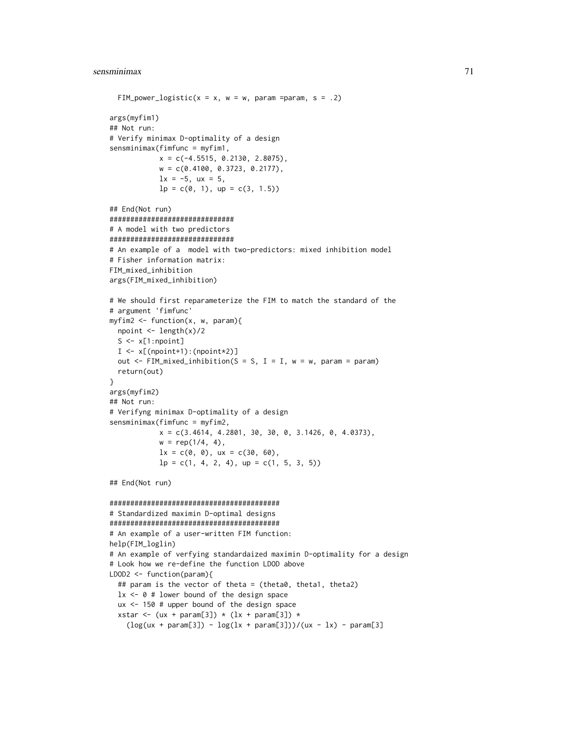```
FIM_power_logistic(x = x, w = w, param =param, s = .2)
args(myfim1)
## Not run:
# Verify minimax D-optimality of a design
sensminimax(fimfunc = myfim1,
            x = c(-4.5515, 0.2130, 2.8075),
            w = c(0.4100, 0.3723, 0.2177),
            lx = -5, ux = 5,
            lp = c(0, 1), up = c(3, 1.5)## End(Not run)
##############################
# A model with two predictors
##############################
# An example of a model with two-predictors: mixed inhibition model
# Fisher information matrix:
FIM_mixed_inhibition
args(FIM_mixed_inhibition)
# We should first reparameterize the FIM to match the standard of the
# argument 'fimfunc'
myfim2 <- function(x, w, param){
  npoint <- length(x)/2
  S \leftarrow x[1:npoint]I \leftarrow x[(\text{npoint+1}) : (\text{npoint+2})]out \leq FIM_mixed_inhibition(S = S, I = I, w = w, param = param)
  return(out)
}
args(myfim2)
## Not run:
# Verifyng minimax D-optimality of a design
sensminimax(fimfunc = myfim2,
            x = c(3.4614, 4.2801, 30, 30, 0, 3.1426, 0, 4.0373),w = rep(1/4, 4),lx = c(0, 0), ux = c(30, 60),lp = c(1, 4, 2, 4), up = c(1, 5, 3, 5))## End(Not run)
#########################################
# Standardized maximin D-optimal designs
#########################################
# An example of a user-written FIM function:
help(FIM_loglin)
# An example of verfying standardaized maximin D-optimality for a design
# Look how we re-define the function LDOD above
LDOD2 <- function(param){
  ## param is the vector of theta = (theta0, theta1, theta2)
  lx \leftarrow 0 # lower bound of the design space
  ux <- 150 # upper bound of the design space
  xstar <- (ux + param[3]) * (lx + param[3]) *
    (\log(ux + param[3]) - \log(lx + param[3]))/(ux - lx) - param[3]
```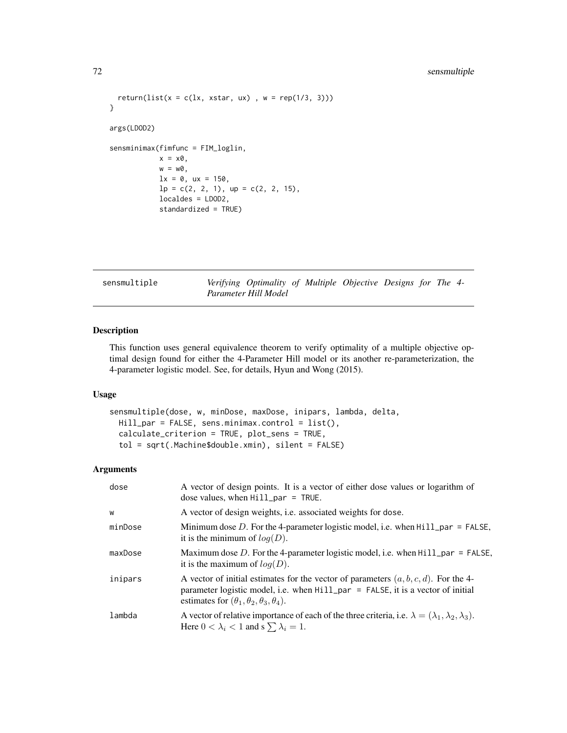```
return(list(x = c(lx, xstar, ux), w = rep(1/3, 3)))
}
args(LDOD2)
sensminimax(fimfunc = FIM_loglin,
            x = x0,
            w = w0,lx = 0, ux = 150,
            lp = c(2, 2, 1), up = c(2, 2, 15),localdes = LDOD2,
            standardized = TRUE)
```
<span id="page-71-0"></span>sensmultiple *Verifying Optimality of Multiple Objective Designs for The 4- Parameter Hill Model*

# Description

This function uses general equivalence theorem to verify optimality of a multiple objective optimal design found for either the 4-Parameter Hill model or its another re-parameterization, the 4-parameter logistic model. See, for details, Hyun and Wong (2015).

### Usage

```
sensmultiple(dose, w, minDose, maxDose, inipars, lambda, delta,
 Hill_par = FALSE, sens.minimax.control = list(),
 calculate_criterion = TRUE, plot_sens = TRUE,
  tol = sqrt(.Machine$double.xmin), silent = FALSE)
```

| dose    | A vector of design points. It is a vector of either dose values or logarithm of<br>dose values, when $Hill\_par = TRUE$ .                                                                                                                 |
|---------|-------------------------------------------------------------------------------------------------------------------------------------------------------------------------------------------------------------------------------------------|
| W       | A vector of design weights, i.e. associated weights for dose.                                                                                                                                                                             |
| minDose | Minimum dose D. For the 4-parameter logistic model, i.e. when $Hill\_par = FALSE$ ,<br>it is the minimum of $log(D)$ .                                                                                                                    |
| maxDose | Maximum dose D. For the 4-parameter logistic model, i.e. when $Hill\_par = FALSE$ ,<br>it is the maximum of $log(D)$ .                                                                                                                    |
| inipars | A vector of initial estimates for the vector of parameters $(a, b, c, d)$ . For the 4-<br>parameter logistic model, i.e. when $HilL$ par = FALSE, it is a vector of initial<br>estimates for $(\theta_1, \theta_2, \theta_3, \theta_4)$ . |
| lambda  | A vector of relative importance of each of the three criteria, i.e. $\lambda = (\lambda_1, \lambda_2, \lambda_3)$ .<br>Here $0 < \lambda_i < 1$ and s $\sum \lambda_i = 1$ .                                                              |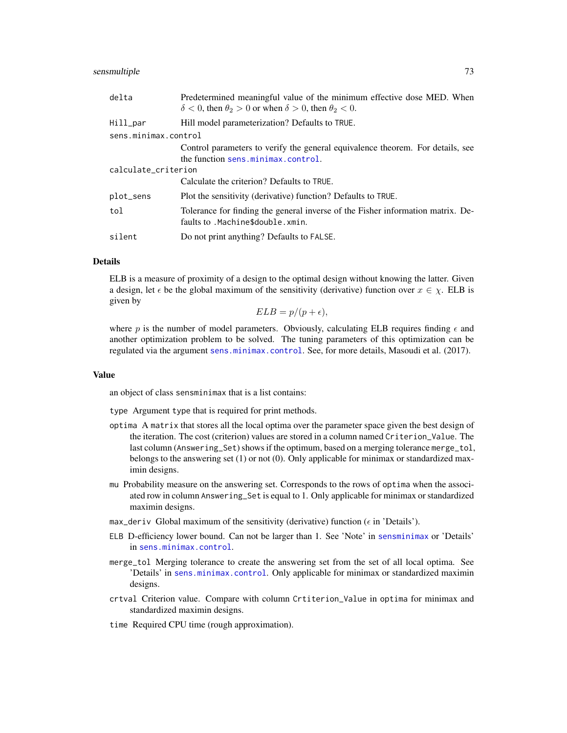#### <span id="page-72-0"></span>sensmultiple 73

| delta                | Predetermined meaningful value of the minimum effective dose MED. When<br>$\delta$ < 0, then $\theta_2$ > 0 or when $\delta$ > 0, then $\theta_2$ < 0. |  |
|----------------------|--------------------------------------------------------------------------------------------------------------------------------------------------------|--|
| Hill_par             | Hill model parameterization? Defaults to TRUE.                                                                                                         |  |
| sens.minimax.control |                                                                                                                                                        |  |
|                      | Control parameters to verify the general equivalence theorem. For details, see<br>the function sens.minimax.control.                                   |  |
| calculate_criterion  |                                                                                                                                                        |  |
|                      | Calculate the criterion? Defaults to TRUE.                                                                                                             |  |
| plot_sens            | Plot the sensitivity (derivative) function? Defaults to TRUE.                                                                                          |  |
| tol                  | Tolerance for finding the general inverse of the Fisher information matrix. De-<br>faults to . Machine\$double. xmin.                                  |  |
| silent               | Do not print anything? Defaults to FALSE.                                                                                                              |  |

#### Details

ELB is a measure of proximity of a design to the optimal design without knowing the latter. Given a design, let  $\epsilon$  be the global maximum of the sensitivity (derivative) function over  $x \in \chi$ . ELB is given by

 $ELB = p/(p + \epsilon),$ 

where p is the number of model parameters. Obviously, calculating ELB requires finding  $\epsilon$  and another optimization problem to be solved. The tuning parameters of this optimization can be regulated via the argument [sens.minimax.control](#page-53-0). See, for more details, Masoudi et al. (2017).

#### Value

an object of class sensminimax that is a list contains:

type Argument type that is required for print methods.

- optima A matrix that stores all the local optima over the parameter space given the best design of the iteration. The cost (criterion) values are stored in a column named Criterion\_Value. The last column (Answering\_Set) shows if the optimum, based on a merging tolerance merge\_tol, belongs to the answering set (1) or not (0). Only applicable for minimax or standardized maximin designs.
- mu Probability measure on the answering set. Corresponds to the rows of optima when the associated row in column Answering\_Set is equal to 1. Only applicable for minimax or standardized maximin designs.
- max\_deriv Global maximum of the sensitivity (derivative) function ( $\epsilon$  in 'Details').
- ELB D-efficiency lower bound. Can not be larger than 1. See 'Note' in [sensminimax](#page-64-0) or 'Details' in [sens.minimax.control](#page-53-0).
- merge\_tol Merging tolerance to create the answering set from the set of all local optima. See 'Details' in [sens.minimax.control](#page-53-0). Only applicable for minimax or standardized maximin designs.
- crtval Criterion value. Compare with column Crtiterion\_Value in optima for minimax and standardized maximin designs.
- time Required CPU time (rough approximation).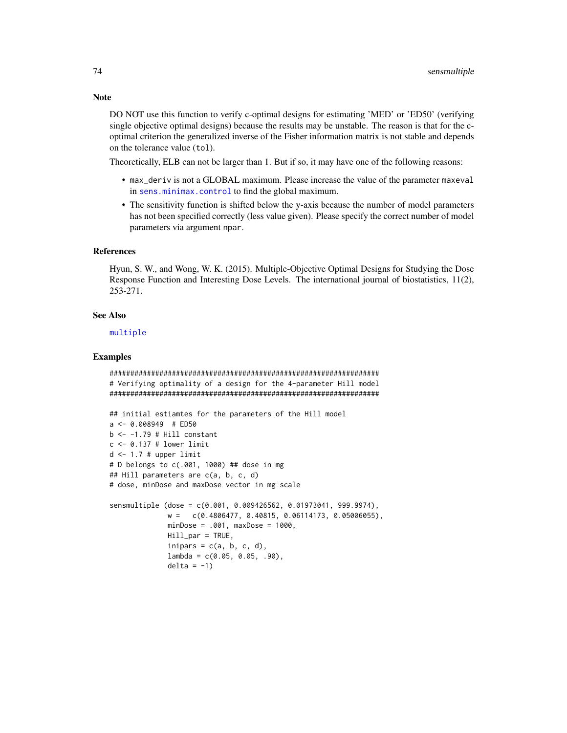DO NOT use this function to verify c-optimal designs for estimating 'MED' or 'ED50' (verifying single objective optimal designs) because the results may be unstable. The reason is that for the coptimal criterion the generalized inverse of the Fisher information matrix is not stable and depends on the tolerance value (tol).

Theoretically, ELB can not be larger than 1. But if so, it may have one of the following reasons:

- max\_deriv is not a GLOBAL maximum. Please increase the value of the parameter maxeval in [sens.minimax.control](#page-53-0) to find the global maximum.
- The sensitivity function is shifted below the y-axis because the number of model parameters has not been specified correctly (less value given). Please specify the correct number of model parameters via argument npar.

#### References

Hyun, S. W., and Wong, W. K. (2015). Multiple-Objective Optimal Designs for Studying the Dose Response Function and Interesting Dose Levels. The international journal of biostatistics, 11(2), 253-271.

#### See Also

#### [multiple](#page-40-0)

### Examples

```
#################################################################
# Verifying optimality of a design for the 4-parameter Hill model
#################################################################
## initial estiamtes for the parameters of the Hill model
a \leq 0.008949 # ED50
b \le -1.79 # Hill constant
c <- 0.137 # lower limit
d \le -1.7 # upper limit
# D belongs to c(.001, 1000) ## dose in mg
## Hill parameters are c(a, b, c, d)
# dose, minDose and maxDose vector in mg scale
sensmultiple (dose = c(0.001, 0.009426562, 0.01973041, 999.9974),
              w = c(0.4806477, 0.40815, 0.06114173, 0.05006055),
             minDose = .001, maxDose = 1000,
             Hill_par = TRUE,
              inipars = c(a, b, c, d),
             lambda = c(0.05, 0.05, .90),
              delta = -1)
```
#### <span id="page-73-0"></span>**Note**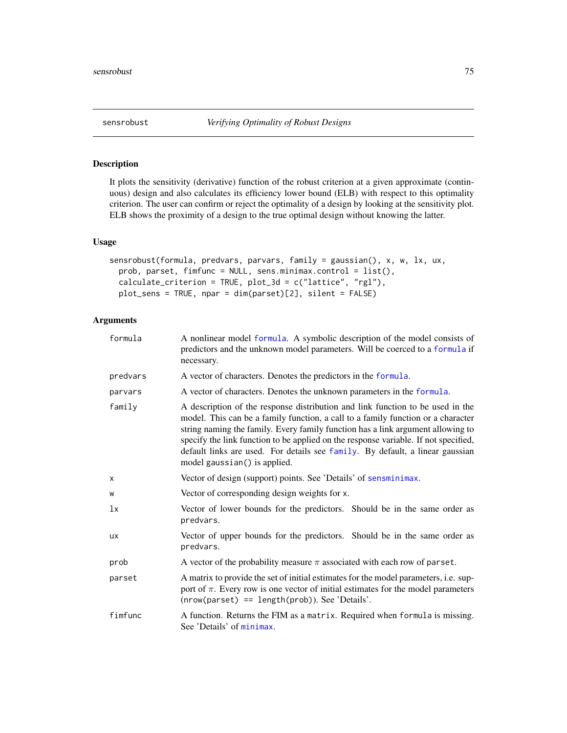<span id="page-74-0"></span>

## Description

It plots the sensitivity (derivative) function of the robust criterion at a given approximate (continuous) design and also calculates its efficiency lower bound (ELB) with respect to this optimality criterion. The user can confirm or reject the optimality of a design by looking at the sensitivity plot. ELB shows the proximity of a design to the true optimal design without knowing the latter.

#### Usage

```
sensrobust(formula, predvars, parvars, family = gaussian(), x, w, lx, ux,
 prob, parset, fimfunc = NULL, sens.minimax.control = list(),
 calculate_criterion = TRUE, plot_3d = c("lattice", "rgl"),
 plot_sens = TRUE, npar = dim(parset)[2], silent = FALSE)
```
## Arguments

| formula  | A nonlinear model formula. A symbolic description of the model consists of<br>predictors and the unknown model parameters. Will be coerced to a formula if<br>necessary.                                                                                                                                                                                                                                                                                      |  |
|----------|---------------------------------------------------------------------------------------------------------------------------------------------------------------------------------------------------------------------------------------------------------------------------------------------------------------------------------------------------------------------------------------------------------------------------------------------------------------|--|
| predvars | A vector of characters. Denotes the predictors in the formula.                                                                                                                                                                                                                                                                                                                                                                                                |  |
| parvars  | A vector of characters. Denotes the unknown parameters in the formula.                                                                                                                                                                                                                                                                                                                                                                                        |  |
| family   | A description of the response distribution and link function to be used in the<br>model. This can be a family function, a call to a family function or a character<br>string naming the family. Every family function has a link argument allowing to<br>specify the link function to be applied on the response variable. If not specified,<br>default links are used. For details see family. By default, a linear gaussian<br>model gaussian() is applied. |  |
| X        | Vector of design (support) points. See 'Details' of sensminimax.                                                                                                                                                                                                                                                                                                                                                                                              |  |
| W        | Vector of corresponding design weights for x.                                                                                                                                                                                                                                                                                                                                                                                                                 |  |
| lx       | Vector of lower bounds for the predictors. Should be in the same order as<br>predvars.                                                                                                                                                                                                                                                                                                                                                                        |  |
| ux       | Vector of upper bounds for the predictors. Should be in the same order as<br>predvars.                                                                                                                                                                                                                                                                                                                                                                        |  |
| prob     | A vector of the probability measure $\pi$ associated with each row of parset.                                                                                                                                                                                                                                                                                                                                                                                 |  |
| parset   | A matrix to provide the set of initial estimates for the model parameters, i.e. sup-<br>port of $\pi$ . Every row is one vector of initial estimates for the model parameters<br>$(nrow(parest) == length(prob))$ . See 'Details'.                                                                                                                                                                                                                            |  |
| fimfunc  | A function. Returns the FIM as a matrix. Required when formula is missing.<br>See 'Details' of minimax.                                                                                                                                                                                                                                                                                                                                                       |  |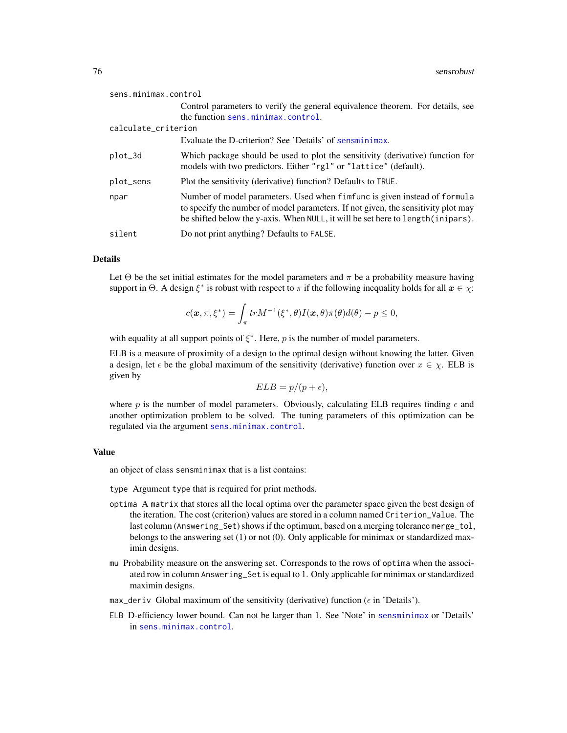<span id="page-75-0"></span>

| sens.minimax.control |                                                                                                                                                                                                                                                    |
|----------------------|----------------------------------------------------------------------------------------------------------------------------------------------------------------------------------------------------------------------------------------------------|
|                      | Control parameters to verify the general equivalence theorem. For details, see                                                                                                                                                                     |
|                      | the function sens.minimax.control.                                                                                                                                                                                                                 |
| calculate_criterion  |                                                                                                                                                                                                                                                    |
|                      | Evaluate the D-criterion? See 'Details' of sensminimax.                                                                                                                                                                                            |
| plot_3d              | Which package should be used to plot the sensitivity (derivative) function for<br>models with two predictors. Either "rgl" or "lattice" (default).                                                                                                 |
| plot_sens            | Plot the sensitivity (derivative) function? Defaults to TRUE.                                                                                                                                                                                      |
| npar                 | Number of model parameters. Used when fimfunc is given instead of formula<br>to specify the number of model parameters. If not given, the sensitivity plot may<br>be shifted below the y-axis. When NULL, it will be set here to length (inipars). |
| silent               | Do not print anything? Defaults to FALSE.                                                                                                                                                                                                          |

#### Details

Let  $\Theta$  be the set initial estimates for the model parameters and  $\pi$  be a probability measure having support in  $\Theta$ . A design  $\xi^*$  is robust with respect to  $\pi$  if the following inequality holds for all  $x \in \chi$ :

$$
c(\boldsymbol{x},\pi,\xi^*) = \int_{\pi} tr M^{-1}(\xi^*,\theta) I(\boldsymbol{x},\theta) \pi(\theta) d(\theta) - p \le 0,
$$

with equality at all support points of  $\xi^*$ . Here, p is the number of model parameters.

ELB is a measure of proximity of a design to the optimal design without knowing the latter. Given a design, let  $\epsilon$  be the global maximum of the sensitivity (derivative) function over  $x \in \chi$ . ELB is given by

$$
ELB = p/(p + \epsilon),
$$

where p is the number of model parameters. Obviously, calculating ELB requires finding  $\epsilon$  and another optimization problem to be solved. The tuning parameters of this optimization can be regulated via the argument [sens.minimax.control](#page-53-0).

### Value

an object of class sensminimax that is a list contains:

type Argument type that is required for print methods.

- optima A matrix that stores all the local optima over the parameter space given the best design of the iteration. The cost (criterion) values are stored in a column named Criterion\_Value. The last column (Answering\_Set) shows if the optimum, based on a merging tolerance merge\_tol, belongs to the answering set (1) or not (0). Only applicable for minimax or standardized maximin designs.
- mu Probability measure on the answering set. Corresponds to the rows of optima when the associated row in column Answering\_Set is equal to 1. Only applicable for minimax or standardized maximin designs.
- max\_deriv Global maximum of the sensitivity (derivative) function ( $\epsilon$  in 'Details').
- ELB D-efficiency lower bound. Can not be larger than 1. See 'Note' in [sensminimax](#page-64-0) or 'Details' in [sens.minimax.control](#page-53-0).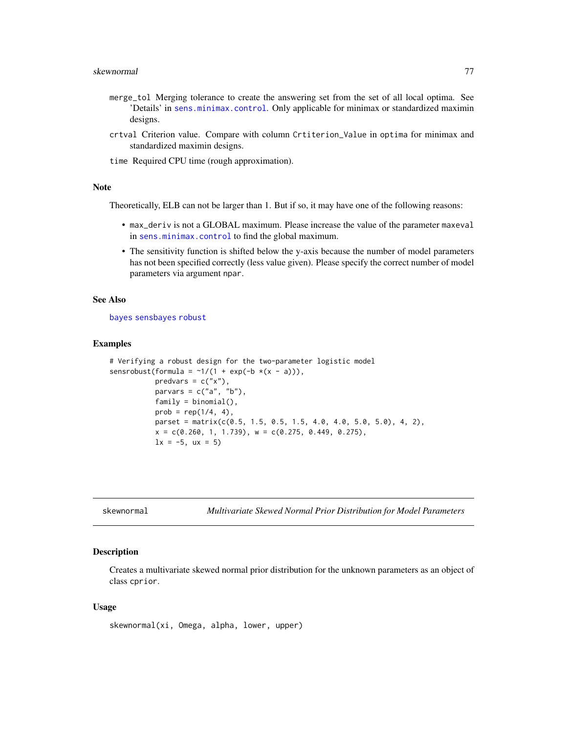- <span id="page-76-0"></span>merge\_tol Merging tolerance to create the answering set from the set of all local optima. See 'Details' in [sens.minimax.control](#page-53-0). Only applicable for minimax or standardized maximin designs.
- crtval Criterion value. Compare with column Crtiterion\_Value in optima for minimax and standardized maximin designs.

time Required CPU time (rough approximation).

#### Note

Theoretically, ELB can not be larger than 1. But if so, it may have one of the following reasons:

- max\_deriv is not a GLOBAL maximum. Please increase the value of the parameter maxeval in [sens.minimax.control](#page-53-0) to find the global maximum.
- The sensitivity function is shifted below the y-axis because the number of model parameters has not been specified correctly (less value given). Please specify the correct number of model parameters via argument npar.

## See Also

[bayes](#page-1-0) [sensbayes](#page-56-0) [robust](#page-49-0)

#### Examples

```
# Verifying a robust design for the two-parameter logistic model
sensrobust(formula = \sim 1/(1 + \exp(-b \times (x - a))),
           predvars = c("x"),
           parvars = c("a", "b"),
           family = binomial(),
           prob = rep(1/4, 4),parset = matrix(c(0.5, 1.5, 0.5, 1.5, 4.0, 4.0, 5.0, 5.0), 4, 2),
           x = c(0.260, 1, 1.739), w = c(0.275, 0.449, 0.275),lx = -5, ux = 5)
```
skewnormal *Multivariate Skewed Normal Prior Distribution for Model Parameters*

#### Description

Creates a multivariate skewed normal prior distribution for the unknown parameters as an object of class cprior.

#### Usage

skewnormal(xi, Omega, alpha, lower, upper)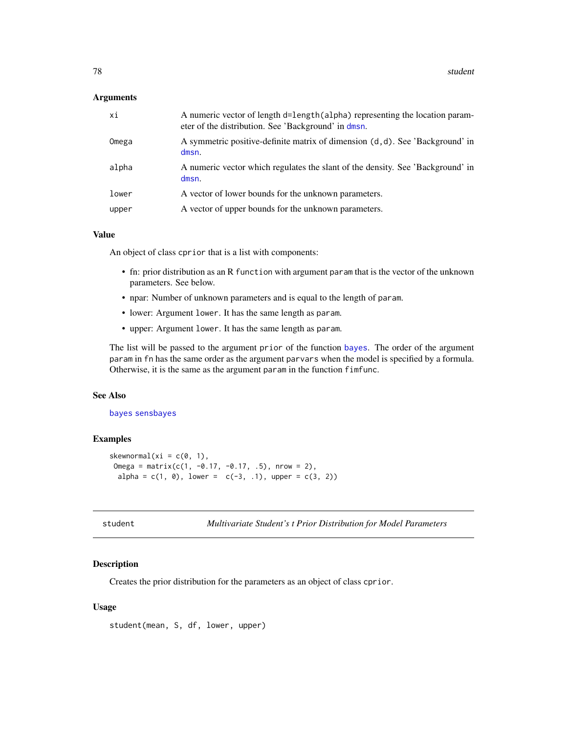### <span id="page-77-0"></span>Arguments

| хi    | A numeric vector of length d=length (alpha) representing the location param-<br>eter of the distribution. See 'Background' in dmsn. |
|-------|-------------------------------------------------------------------------------------------------------------------------------------|
| Omega | A symmetric positive-definite matrix of dimension (d, d). See 'Background' in<br>dmsn.                                              |
| alpha | A numeric vector which regulates the slant of the density. See 'Background' in<br>dmsn.                                             |
| lower | A vector of lower bounds for the unknown parameters.                                                                                |
| upper | A vector of upper bounds for the unknown parameters.                                                                                |

## Value

An object of class cprior that is a list with components:

- fn: prior distribution as an R function with argument param that is the vector of the unknown parameters. See below.
- npar: Number of unknown parameters and is equal to the length of param.
- lower: Argument lower. It has the same length as param.
- upper: Argument lower. It has the same length as param.

The list will be passed to the argument prior of the function [bayes](#page-1-0). The order of the argument param in fn has the same order as the argument parvars when the model is specified by a formula. Otherwise, it is the same as the argument param in the function fimfunc.

#### See Also

#### [bayes](#page-1-0) [sensbayes](#page-56-0)

#### Examples

```
skewnormal(xi = c(0, 1),
Omega = matrix(c(1, -0.17, -0.17, .5), nrow = 2),
 alpha = c(1, 0), lower = c(-3, 1), upper = c(3, 2))
```

```
student Multivariate Student's t Prior Distribution for Model Parameters
```
## Description

Creates the prior distribution for the parameters as an object of class cprior.

#### Usage

```
student(mean, S, df, lower, upper)
```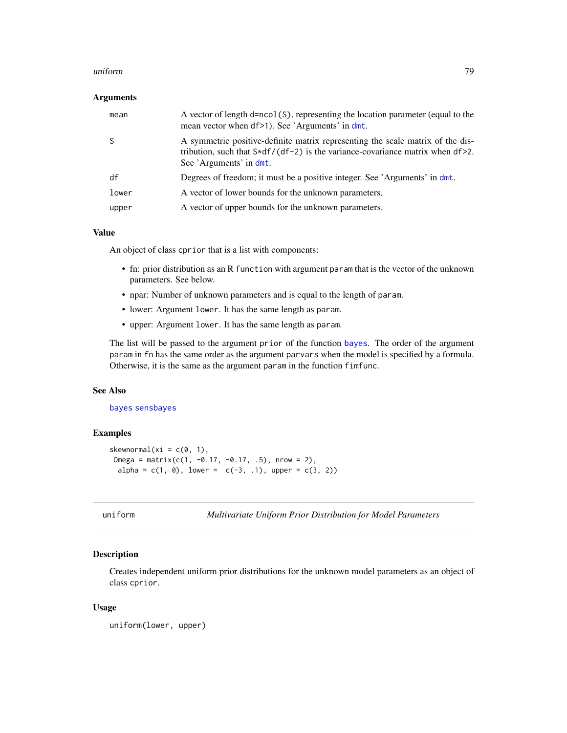#### <span id="page-78-0"></span>uniform 79

#### Arguments

| mean  | A vector of length d=ncol(S), representing the location parameter (equal to the<br>mean vector when df>1). See 'Arguments' in dmt.                                                              |
|-------|-------------------------------------------------------------------------------------------------------------------------------------------------------------------------------------------------|
|       | A symmetric positive-definite matrix representing the scale matrix of the dis-<br>tribution, such that $S*df/(df-2)$ is the variance-covariance matrix when $df>2$ .<br>See 'Arguments' in dmt. |
| df    | Degrees of freedom; it must be a positive integer. See 'Arguments' in dmt.                                                                                                                      |
| lower | A vector of lower bounds for the unknown parameters.                                                                                                                                            |
| upper | A vector of upper bounds for the unknown parameters.                                                                                                                                            |

#### Value

An object of class cprior that is a list with components:

- fn: prior distribution as an R function with argument param that is the vector of the unknown parameters. See below.
- npar: Number of unknown parameters and is equal to the length of param.
- lower: Argument lower. It has the same length as param.
- upper: Argument lower. It has the same length as param.

The list will be passed to the argument prior of the function [bayes](#page-1-0). The order of the argument param in fn has the same order as the argument parvars when the model is specified by a formula. Otherwise, it is the same as the argument param in the function fimfunc.

#### See Also

[bayes](#page-1-0) [sensbayes](#page-56-0)

## Examples

```
skewnormal(xi = c(0, 1),
Omega = matrix(c(1, -0.17, -0.17, .5), nrow = 2),
 alpha = c(1, 0), lower = c(-3, 1), upper = c(3, 2))
```

```
uniform Multivariate Uniform Prior Distribution for Model Parameters
```
### Description

Creates independent uniform prior distributions for the unknown model parameters as an object of class cprior.

#### Usage

uniform(lower, upper)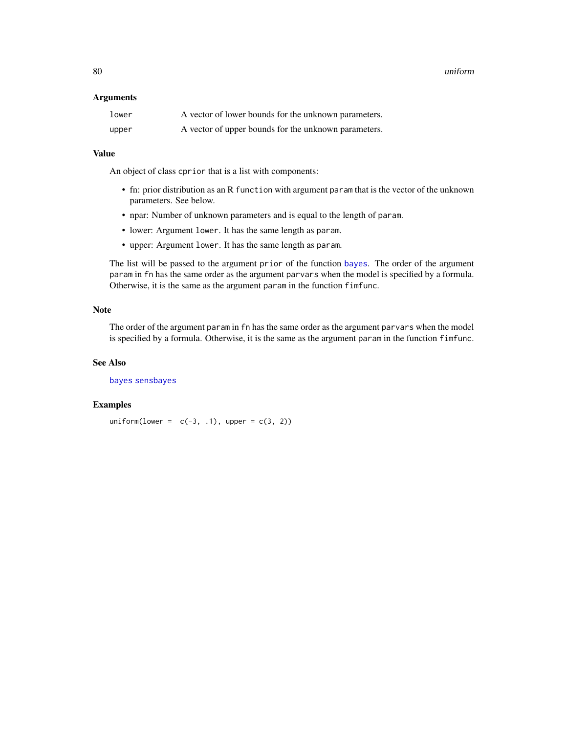<span id="page-79-0"></span>80 uniform and the contract of the contract of the contract of the contract of the contract of the contract of the contract of the contract of the contract of the contract of the contract of the contract of the contract of

#### Arguments

| lower | A vector of lower bounds for the unknown parameters. |
|-------|------------------------------------------------------|
| upper | A vector of upper bounds for the unknown parameters. |

## Value

An object of class cprior that is a list with components:

- fn: prior distribution as an R function with argument param that is the vector of the unknown parameters. See below.
- npar: Number of unknown parameters and is equal to the length of param.
- lower: Argument lower. It has the same length as param.
- upper: Argument lower. It has the same length as param.

The list will be passed to the argument prior of the function [bayes](#page-1-0). The order of the argument param in fn has the same order as the argument parvars when the model is specified by a formula. Otherwise, it is the same as the argument param in the function fimfunc.

## Note

The order of the argument param in fn has the same order as the argument parvars when the model is specified by a formula. Otherwise, it is the same as the argument param in the function fimfunc.

## See Also

[bayes](#page-1-0) [sensbayes](#page-56-0)

#### Examples

uniform(lower =  $c(-3, 1)$ , upper =  $c(3, 2)$ )